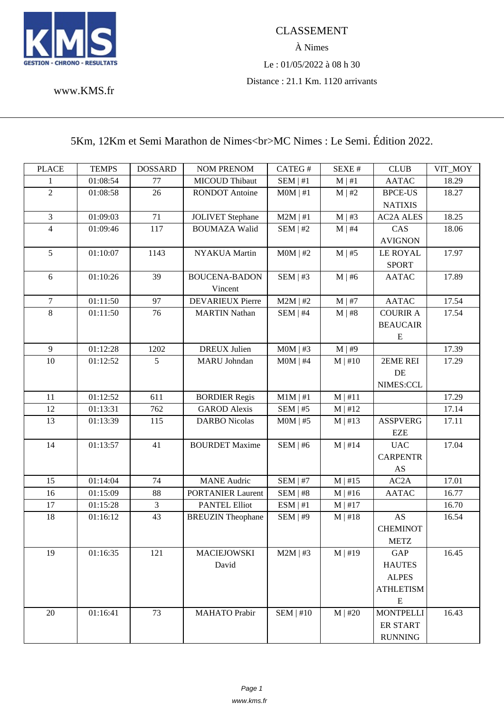

www.KMS.fr

## [5Km, 12K](www.KMS.fr)m et Semi Marathon de Nimes<br>Solometer : Le Semi. Édition 2022.

| <b>PLACE</b>     | <b>TEMPS</b> | <b>DOSSARD</b> | <b>NOM PRENOM</b>        | CATEG#        | SEXE#        | <b>CLUB</b>      | VIT_MOY |
|------------------|--------------|----------------|--------------------------|---------------|--------------|------------------|---------|
| 1                | 01:08:54     | 77             | <b>MICOUD Thibaut</b>    | $SEM$  #1     | $M \mid #1$  | <b>AATAC</b>     | 18.29   |
| $\overline{2}$   | 01:08:58     | 26             | <b>RONDOT Antoine</b>    | $MOM$   #1    | $M \mid #2$  | <b>BPCE-US</b>   | 18.27   |
|                  |              |                |                          |               |              | <b>NATIXIS</b>   |         |
| 3                | 01:09:03     | 71             | <b>JOLIVET</b> Stephane  | $M2M$   #1    | $M \mid #3$  | <b>AC2A ALES</b> | 18.25   |
| $\overline{4}$   | 01:09:46     | 117            | <b>BOUMAZA Walid</b>     | SEM   #2      | $M \mid #4$  | CAS              | 18.06   |
|                  |              |                |                          |               |              | <b>AVIGNON</b>   |         |
| 5                | 01:10:07     | 1143           | NYAKUA Martin            | $MOM$   #2    | $M \mid #5$  | <b>LE ROYAL</b>  | 17.97   |
|                  |              |                |                          |               |              | <b>SPORT</b>     |         |
| 6                | 01:10:26     | 39             | <b>BOUCENA-BADON</b>     | $SEM$   #3    | $M \mid #6$  | <b>AATAC</b>     | 17.89   |
|                  |              |                | Vincent                  |               |              |                  |         |
| $\boldsymbol{7}$ | 01:11:50     | 97             | <b>DEVARIEUX Pierre</b>  | $M2M$   #2    | $M \mid #7$  | <b>AATAC</b>     | 17.54   |
| 8                | 01:11:50     | 76             | <b>MARTIN Nathan</b>     | SEM   #4      | M   #8       | <b>COURIR A</b>  | 17.54   |
|                  |              |                |                          |               |              | <b>BEAUCAIR</b>  |         |
|                  |              |                |                          |               |              | E                |         |
| $\overline{9}$   | 01:12:28     | 1202           | <b>DREUX</b> Julien      | $MOM$   #3    | M   #9       |                  | 17.39   |
| 10               | 01:12:52     | 5 <sup>5</sup> | <b>MARU</b> Johndan      | $MOM$   #4    | $M \mid #10$ | 2EME REI         | 17.29   |
|                  |              |                |                          |               |              | DE               |         |
|                  |              |                |                          |               |              | NIMES:CCL        |         |
| 11               | 01:12:52     | 611            | <b>BORDIER Regis</b>     | $M1M \mid #1$ | M   #11      |                  | 17.29   |
| 12               | 01:13:31     | 762            | <b>GAROD Alexis</b>      | SEM   #5      | M   #12      |                  | 17.14   |
| 13               | 01:13:39     | 115            | <b>DARBO</b> Nicolas     | $MOM$   #5    | $M$   #13    | <b>ASSPVERG</b>  | 17.11   |
|                  |              |                |                          |               |              | EZE              |         |
| 14               | 01:13:57     | 41             | <b>BOURDET Maxime</b>    | SEM   #6      | $M \mid #14$ | <b>UAC</b>       | 17.04   |
|                  |              |                |                          |               |              | <b>CARPENTR</b>  |         |
|                  |              |                |                          |               |              | AS               |         |
| 15               | 01:14:04     | 74             | <b>MANE</b> Audric       | SEM   #7      | $M$   #15    | AC2A             | 17.01   |
| 16               | 01:15:09     | 88             | <b>PORTANIER Laurent</b> | $SEM$   #8    | $M \mid #16$ | <b>AATAC</b>     | 16.77   |
| 17               | 01:15:28     | $\mathfrak{Z}$ | <b>PANTEL Elliot</b>     | ESM   #1      | $M \mid #17$ |                  | 16.70   |
| 18               | 01:16:12     | 43             | <b>BREUZIN</b> Theophane | SEM   #9      | M   #18      | AS               | 16.54   |
|                  |              |                |                          |               |              | <b>CHEMINOT</b>  |         |
|                  |              |                |                          |               |              | ${\rm METZ}$     |         |
| 19               | 01:16:35     | 121            | <b>MACIEJOWSKI</b>       | $M2M$   #3    | $M$   #19    | GAP              | 16.45   |
|                  |              |                | David                    |               |              | <b>HAUTES</b>    |         |
|                  |              |                |                          |               |              | <b>ALPES</b>     |         |
|                  |              |                |                          |               |              | <b>ATHLETISM</b> |         |
|                  |              |                |                          |               |              | ${\bf E}$        |         |
| 20               | 01:16:41     | 73             | <b>MAHATO</b> Prabir     | $SEM$   #10   | $M$   #20    | <b>MONTPELLI</b> | 16.43   |
|                  |              |                |                          |               |              | <b>ER START</b>  |         |
|                  |              |                |                          |               |              | <b>RUNNING</b>   |         |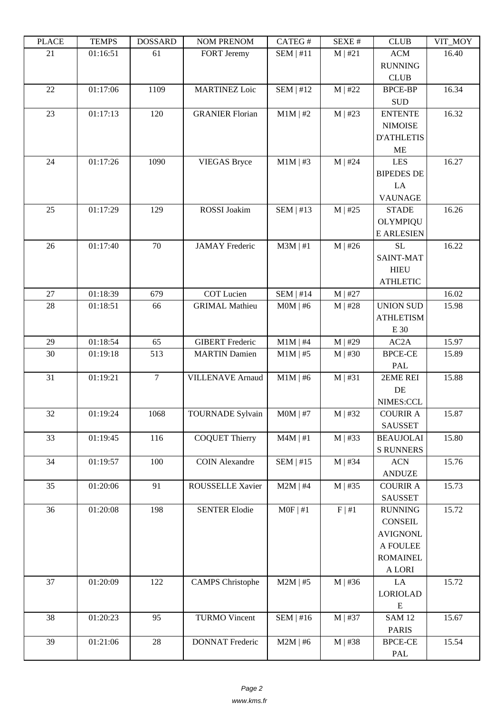| ם המדו | 1 LIVII D | חשממחת         | <b>INUINE LINEINUINE</b> | $CALU \pi$  | л سد      | <b>CLOD</b>          | $V11$ $V1$ |
|--------|-----------|----------------|--------------------------|-------------|-----------|----------------------|------------|
| 21     | 01:16:51  | 61             | <b>FORT Jeremy</b>       | $SEM$   #11 | M   #21   | <b>ACM</b>           | 16.40      |
|        |           |                |                          |             |           | <b>RUNNING</b>       |            |
|        |           |                |                          |             |           | <b>CLUB</b>          |            |
| 22     | 01:17:06  | 1109           | <b>MARTINEZ Loic</b>     | $SEM$   #12 | $M$   #22 | <b>BPCE-BP</b>       | 16.34      |
|        |           |                |                          |             |           | $\operatorname{SUB}$ |            |
| 23     | 01:17:13  | 120            | <b>GRANIER Florian</b>   | $M1M$   #2  | $M$   #23 | <b>ENTENTE</b>       | 16.32      |
|        |           |                |                          |             |           | <b>NIMOISE</b>       |            |
|        |           |                |                          |             |           | <b>D'ATHLETIS</b>    |            |
|        |           |                |                          |             |           | <b>ME</b>            |            |
| 24     | 01:17:26  | 1090           | <b>VIEGAS Bryce</b>      | $M1M$   #3  | $M$   #24 | <b>LES</b>           | 16.27      |
|        |           |                |                          |             |           | <b>BIPEDES DE</b>    |            |
|        |           |                |                          |             |           | LA                   |            |
|        |           |                |                          |             |           | <b>VAUNAGE</b>       |            |
| 25     | 01:17:29  | 129            | ROSSI Joakim             | SEM   #13   | $M$   #25 | <b>STADE</b>         | 16.26      |
|        |           |                |                          |             |           | <b>OLYMPIQU</b>      |            |
|        |           |                |                          |             |           | <b>E ARLESIEN</b>    |            |
| 26     | 01:17:40  | 70             | <b>JAMAY</b> Frederic    | $M3M$   #1  | $M$   #26 | <b>SL</b>            | 16.22      |
|        |           |                |                          |             |           | <b>SAINT-MAT</b>     |            |
|        |           |                |                          |             |           | <b>HIEU</b>          |            |
|        |           |                |                          |             |           | <b>ATHLETIC</b>      |            |
| $27\,$ | 01:18:39  | 679            | <b>COT Lucien</b>        | $SEM$   #14 | $M$   #27 |                      | 16.02      |
| 28     | 01:18:51  | 66             | <b>GRIMAL Mathieu</b>    | $MOM$   #6  | $M$   #28 | <b>UNION SUD</b>     | 15.98      |
|        |           |                |                          |             |           | <b>ATHLETISM</b>     |            |
|        |           |                |                          |             |           | E 30                 |            |
| 29     | 01:18:54  | 65             | <b>GIBERT</b> Frederic   | $M1M$   #4  | $M$   #29 | AC2A                 | 15.97      |
| 30     | 01:19:18  | 513            | <b>MARTIN Damien</b>     | $M1M$   #5  | $M$   #30 | <b>BPCE-CE</b>       | 15.89      |
|        |           |                |                          |             |           | PAL                  |            |
| 31     | 01:19:21  | $\overline{7}$ | <b>VILLENAVE Arnaud</b>  | $M1M$   #6  | M   #31   | 2EME REI             | 15.88      |
|        |           |                |                          |             |           | DE                   |            |
|        |           |                |                          |             |           | NIMES:CCL            |            |
| 32     | 01:19:24  | 1068           | <b>TOURNADE Sylvain</b>  | $MOM$   #7  | $M$   #32 | <b>COURIR A</b>      | 15.87      |
|        |           |                |                          |             |           | <b>SAUSSET</b>       |            |
| 33     | 01:19:45  | 116            | <b>COQUET Thierry</b>    | $M4M$   #1  | $M$   #33 | <b>BEAUJOLAI</b>     | 15.80      |
|        |           |                |                          |             |           | <b>S RUNNERS</b>     |            |
| 34     | 01:19:57  | 100            | <b>COIN Alexandre</b>    | $SEM$   #15 | $M$   #34 | $\rm{ACN}$           | 15.76      |
|        |           |                |                          |             |           | <b>ANDUZE</b>        |            |
| 35     | 01:20:06  | 91             | <b>ROUSSELLE Xavier</b>  | $M2M$   #4  | $M$   #35 | <b>COURIR A</b>      | 15.73      |
|        |           |                |                          |             |           | <b>SAUSSET</b>       |            |
| 36     | 01:20:08  | 198            | <b>SENTER Elodie</b>     | $MOF$   #1  | F   #1    | <b>RUNNING</b>       | 15.72      |
|        |           |                |                          |             |           | <b>CONSEIL</b>       |            |
|        |           |                |                          |             |           | <b>AVIGNONL</b>      |            |
|        |           |                |                          |             |           | A FOULEE             |            |
|        |           |                |                          |             |           | <b>ROMAINEL</b>      |            |
|        |           |                |                          |             |           | A LORI               |            |
| 37     | 01:20:09  | 122            | <b>CAMPS</b> Christophe  | $M2M$   #5  | $M$   #36 | LA                   | 15.72      |
|        |           |                |                          |             |           | <b>LORIOLAD</b>      |            |
|        |           |                |                          |             |           | ${\bf E}$            |            |
| 38     | 01:20:23  | 95             | <b>TURMO Vincent</b>     | $SEM$   #16 | $M$   #37 | <b>SAM 12</b>        | 15.67      |
|        |           |                |                          |             |           | <b>PARIS</b>         |            |
| 39     | 01:21:06  | $28\,$         | <b>DONNAT Frederic</b>   | $M2M$   #6  | $M$   #38 | <b>BPCE-CE</b>       | 15.54      |
|        |           |                |                          |             |           | PAL                  |            |
|        |           |                |                          |             |           |                      |            |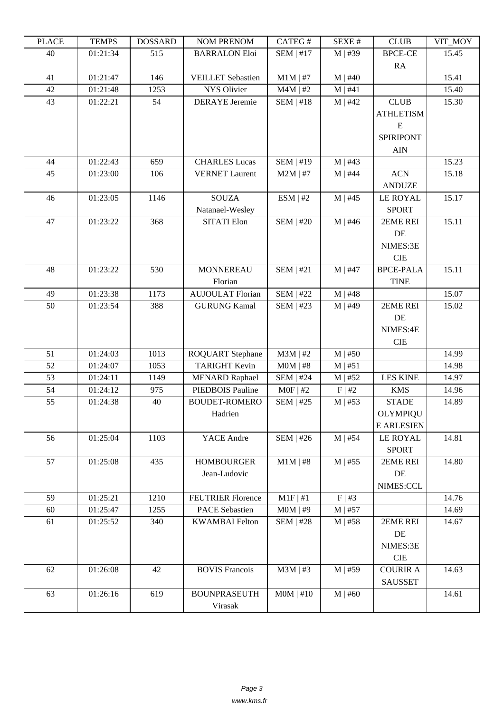| LLAUD | L LIVIII IJ | <b><i>ANURGOA</i></b> | <b>NUMERICAN</b>         | CATLOT           | υL/ΛL π     | CLUD              | VII_MUI |
|-------|-------------|-----------------------|--------------------------|------------------|-------------|-------------------|---------|
| 40    | 01:21:34    | 515                   | <b>BARRALON Eloi</b>     | $SEM$   #17      | $M$   #39   | <b>BPCE-CE</b>    | 15.45   |
|       |             |                       |                          |                  |             | RA                |         |
| 41    | 01:21:47    | 146                   | <b>VEILLET</b> Sebastien | $M1M$   #7       | $M$   #40   |                   | 15.41   |
| 42    | 01:21:48    | 1253                  | <b>NYS Olivier</b>       | $M4M$   #2       | M   #41     |                   | 15.40   |
| 43    | 01:22:21    | 54                    | <b>DERAYE</b> Jeremie    | $SEM$   #18      | $M$   #42   | <b>CLUB</b>       | 15.30   |
|       |             |                       |                          |                  |             |                   |         |
|       |             |                       |                          |                  |             | <b>ATHLETISM</b>  |         |
|       |             |                       |                          |                  |             | E                 |         |
|       |             |                       |                          |                  |             | SPIRIPONT         |         |
|       |             |                       |                          |                  |             | <b>AIN</b>        |         |
| 44    | 01:22:43    | 659                   | <b>CHARLES Lucas</b>     | <b>SEM   #19</b> | $M$   #43   |                   | 15.23   |
| 45    | 01:23:00    | 106                   | <b>VERNET Laurent</b>    | $M2M$   #7       | $M$   #44   | <b>ACN</b>        | 15.18   |
|       |             |                       |                          |                  |             | <b>ANDUZE</b>     |         |
| 46    | 01:23:05    | 1146                  | <b>SOUZA</b>             | ESM   #2         | $M$   #45   | <b>LE ROYAL</b>   | 15.17   |
|       |             |                       | Natanael-Wesley          |                  |             | <b>SPORT</b>      |         |
| 47    | 01:23:22    | 368                   | <b>SITATI Elon</b>       | <b>SEM   #20</b> | $M$   #46   | 2EME REI          | 15.11   |
|       |             |                       |                          |                  |             | DE                |         |
|       |             |                       |                          |                  |             | NIMES:3E          |         |
|       |             |                       |                          |                  |             | <b>CIE</b>        |         |
| 48    | 01:23:22    | 530                   | <b>MONNEREAU</b>         | SEM   #21        | $M$   #47   | <b>BPCE-PALA</b>  | 15.11   |
|       |             |                       | Florian                  |                  |             |                   |         |
|       |             |                       |                          |                  |             | <b>TINE</b>       |         |
| 49    | 01:23:38    | 1173                  | <b>AUJOULAT Florian</b>  | <b>SEM   #22</b> | $M$   #48   |                   | 15.07   |
| 50    | 01:23:54    | 388                   | <b>GURUNG Kamal</b>      | <b>SEM   #23</b> | $M$   #49   | 2EME REI          | 15.02   |
|       |             |                       |                          |                  |             | DE                |         |
|       |             |                       |                          |                  |             | NIMES:4E          |         |
|       |             |                       |                          |                  |             | <b>CIE</b>        |         |
| 51    | 01:24:03    | 1013                  | <b>ROQUART</b> Stephane  | $M3M$   #2       | $M$   #50   |                   | 14.99   |
| 52    | 01:24:07    | 1053                  | <b>TARIGHT Kevin</b>     | $MOM$   #8       | M   #51     |                   | 14.98   |
| 53    | 01:24:11    | 1149                  | <b>MENARD Raphael</b>    | <b>SEM   #24</b> | $M$   #52   | <b>LES KINE</b>   | 14.97   |
| 54    | 01:24:12    | 975                   | PIEDBOIS Pauline         | $MOF$   #2       | F   #2      | <b>KMS</b>        | 14.96   |
| 55    | 01:24:38    | 40                    | <b>BOUDET-ROMERO</b>     | $SEM$   #25      | $M$   #53   | <b>STADE</b>      | 14.89   |
|       |             |                       | Hadrien                  |                  |             | <b>OLYMPIQU</b>   |         |
|       |             |                       |                          |                  |             | <b>E ARLESIEN</b> |         |
| 56    | 01:25:04    | 1103                  | YACE Andre               | $SEM$   #26      | $M$   #54   | <b>LE ROYAL</b>   | 14.81   |
|       |             |                       |                          |                  |             | <b>SPORT</b>      |         |
| 57    | 01:25:08    | 435                   | <b>HOMBOURGER</b>        | $M1M$   #8       | $M$   #55   | 2EME REI          | 14.80   |
|       |             |                       |                          |                  |             |                   |         |
|       |             |                       | Jean-Ludovic             |                  |             | DE                |         |
|       |             |                       |                          |                  |             | NIMES:CCL         |         |
| 59    | 01:25:21    | 1210                  | <b>FEUTRIER Florence</b> | $M1F$   #1       | $F \mid #3$ |                   | 14.76   |
| 60    | 01:25:47    | 1255                  | <b>PACE Sebastien</b>    | $MOM$   #9       | $M$   #57   |                   | 14.69   |
| 61    | 01:25:52    | 340                   | <b>KWAMBAI</b> Felton    | <b>SEM   #28</b> | $M$   #58   | 2EME REI          | 14.67   |
|       |             |                       |                          |                  |             | DE                |         |
|       |             |                       |                          |                  |             | NIMES:3E          |         |
|       |             |                       |                          |                  |             | CIE               |         |
| 62    | 01:26:08    | 42                    | <b>BOVIS Francois</b>    | $M3M$   #3       | $M$   #59   | <b>COURIR A</b>   | 14.63   |
|       |             |                       |                          |                  |             | <b>SAUSSET</b>    |         |
| 63    | 01:26:16    | 619                   | <b>BOUNPRASEUTH</b>      | $MOM$   #10      | $M$   #60   |                   | 14.61   |
|       |             |                       | Virasak                  |                  |             |                   |         |
|       |             |                       |                          |                  |             |                   |         |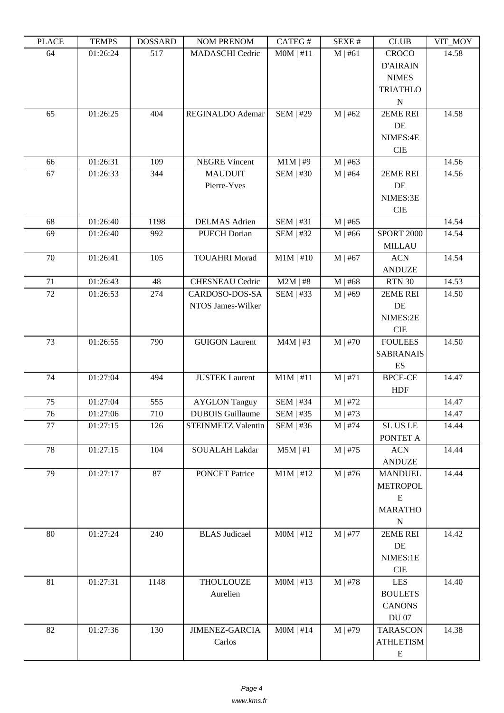| ם המדו | <b>TEIATI</b> 2 | חשממחת | TAQIM TIATITAQIM        | $CALU \pi$       | л سد         | <b>CEOD</b>       | $V11$ $V1$ |
|--------|-----------------|--------|-------------------------|------------------|--------------|-------------------|------------|
| 64     | 01:26:24        | 517    | <b>MADASCHI</b> Cedric  | MOM   #11        | M   #61      | <b>CROCO</b>      | 14.58      |
|        |                 |        |                         |                  |              | <b>D'AIRAIN</b>   |            |
|        |                 |        |                         |                  |              | <b>NIMES</b>      |            |
|        |                 |        |                         |                  |              | <b>TRIATHLO</b>   |            |
|        |                 |        |                         |                  |              | ${\bf N}$         |            |
| 65     | 01:26:25        | 404    | REGINALDO Ademar        | <b>SEM   #29</b> | M   #62      | 2EME REI          | 14.58      |
|        |                 |        |                         |                  |              | DE                |            |
|        |                 |        |                         |                  |              | NIMES:4E          |            |
|        |                 |        |                         |                  |              | CIE               |            |
| 66     | 01:26:31        | 109    | <b>NEGRE Vincent</b>    | $M1M$   #9       | $M$   #63    |                   | 14.56      |
| 67     | 01:26:33        | 344    | <b>MAUDUIT</b>          | $SEM$   #30      | $M$   #64    | 2EME REI          | 14.56      |
|        |                 |        | Pierre-Yves             |                  |              | DE                |            |
|        |                 |        |                         |                  |              | NIMES:3E          |            |
|        |                 |        |                         |                  |              | CIE               |            |
| 68     | 01:26:40        | 1198   | <b>DELMAS</b> Adrien    | <b>SEM   #31</b> | $M$   #65    |                   | 14.54      |
| 69     | 01:26:40        | 992    | <b>PUECH Dorian</b>     | <b>SEM   #32</b> | $M$   #66    | <b>SPORT 2000</b> | 14.54      |
|        |                 |        |                         |                  |              | <b>MILLAU</b>     |            |
| 70     | 01:26:41        | 105    | <b>TOUAHRI Morad</b>    | $M1M$   #10      | $M \mid #67$ | <b>ACN</b>        | 14.54      |
|        |                 |        |                         |                  |              | <b>ANDUZE</b>     |            |
| 71     | 01:26:43        | 48     | <b>CHESNEAU Cedric</b>  | $M2M$   #8       | M   #68      | <b>RTN 30</b>     | 14.53      |
| 72     | 01:26:53        | 274    | CARDOSO-DOS-SA          | SEM   #33        | $M \mid #69$ | 2EME REI          | 14.50      |
|        |                 |        | NTOS James-Wilker       |                  |              | DE                |            |
|        |                 |        |                         |                  |              | NIMES:2E          |            |
|        |                 |        |                         |                  |              | $\rm CIE$         |            |
| 73     | 01:26:55        | 790    | <b>GUIGON Laurent</b>   | $M4M$   #3       | $M$   #70    | <b>FOULEES</b>    | 14.50      |
|        |                 |        |                         |                  |              | <b>SABRANAIS</b>  |            |
|        |                 |        |                         |                  |              | ES                |            |
| 74     | 01:27:04        | 494    | <b>JUSTEK Laurent</b>   | $M1M$   #11      | M   #71      | <b>BPCE-CE</b>    | 14.47      |
|        |                 |        |                         |                  |              | <b>HDF</b>        |            |
| 75     | 01:27:04        | 555    | <b>AYGLON Tanguy</b>    | $SEM$   #34      | $M$   #72    |                   | 14.47      |
| 76     | 01:27:06        | 710    | <b>DUBOIS</b> Guillaume | SEM   #35        | $M$   #73    |                   | 14.47      |
| 77     | 01:27:15        | 126    | STEINMETZ Valentin      | $SEM$   #36      | $M \mid #74$ | SL US LE          | 14.44      |
|        |                 |        |                         |                  |              | PONTET A          |            |
| 78     | 01:27:15        | 104    | SOUALAH Lakdar          | $M5M$   #1       | $M$   #75    | <b>ACN</b>        | 14.44      |
|        |                 |        |                         |                  |              | <b>ANDUZE</b>     |            |
| 79     | 01:27:17        | 87     | <b>PONCET Patrice</b>   | $M1M$   #12      | $M$   #76    | <b>MANDUEL</b>    | 14.44      |
|        |                 |        |                         |                  |              | <b>METROPOL</b>   |            |
|        |                 |        |                         |                  |              | ${\bf E}$         |            |
|        |                 |        |                         |                  |              | <b>MARATHO</b>    |            |
|        |                 |        |                         |                  |              | ${\bf N}$         |            |
| 80     | 01:27:24        | 240    | <b>BLAS</b> Judicael    | $MOM$   #12      | $M$   #77    | 2EME REI          | 14.42      |
|        |                 |        |                         |                  |              | DE                |            |
|        |                 |        |                         |                  |              | NIMES:1E          |            |
|        |                 |        |                         |                  |              | ${\rm CIE}$       |            |
| 81     | 01:27:31        | 1148   | <b>THOULOUZE</b>        | $MOM$   #13      | $M$   #78    | <b>LES</b>        | 14.40      |
|        |                 |        | Aurelien                |                  |              | <b>BOULETS</b>    |            |
|        |                 |        |                         |                  |              | <b>CANONS</b>     |            |
|        |                 |        |                         |                  |              | <b>DU 07</b>      |            |
| 82     | 01:27:36        | 130    | <b>JIMENEZ-GARCIA</b>   | $MOM$   #14      | $M \mid #79$ | <b>TARASCON</b>   | 14.38      |
|        |                 |        | Carlos                  |                  |              | <b>ATHLETISM</b>  |            |
|        |                 |        |                         |                  |              | E                 |            |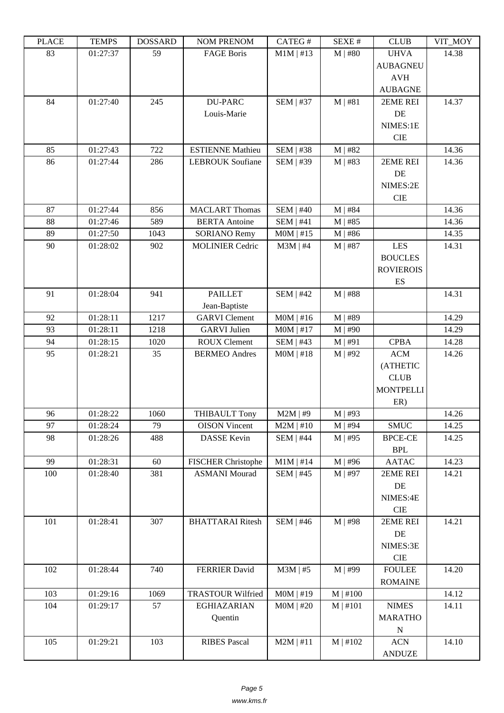| ם המדו | 1 LIVII D | חשממחת | <b>INUINE LINEINUINE</b>  | $CALU \pi$       | JLΛL π        | <b>CEOD</b>             | $V11$ $N1$ |
|--------|-----------|--------|---------------------------|------------------|---------------|-------------------------|------------|
| 83     | 01:27:37  | 59     | <b>FAGE Boris</b>         | $M1M$   #13      | $M$   #80     | <b>UHVA</b>             | 14.38      |
|        |           |        |                           |                  |               | <b>AUBAGNEU</b>         |            |
|        |           |        |                           |                  |               | <b>AVH</b>              |            |
|        |           |        |                           |                  |               | <b>AUBAGNE</b>          |            |
| 84     | 01:27:40  | 245    | DU-PARC                   | <b>SEM   #37</b> | M   #81       | 2EME REI                | 14.37      |
|        |           |        | Louis-Marie               |                  |               | DE                      |            |
|        |           |        |                           |                  |               | NIMES:1E                |            |
|        |           |        |                           |                  |               | <b>CIE</b>              |            |
| 85     | 01:27:43  | 722    | <b>ESTIENNE Mathieu</b>   | <b>SEM   #38</b> | $M$   #82     |                         | 14.36      |
| 86     | 01:27:44  | 286    | <b>LEBROUK Soufiane</b>   | SEM   #39        | $M$   #83     | 2EME REI                | 14.36      |
|        |           |        |                           |                  |               | DE                      |            |
|        |           |        |                           |                  |               | NIMES:2E                |            |
|        |           |        |                           |                  |               | <b>CIE</b>              |            |
| 87     | 01:27:44  | 856    | <b>MACLART Thomas</b>     | <b>SEM   #40</b> | $M$   #84     |                         | 14.36      |
| 88     | 01:27:46  | 589    | <b>BERTA</b> Antoine      | SEM   #41        | $M$   #85     |                         | 14.36      |
| 89     | 01:27:50  | 1043   | <b>SORIANO Remy</b>       | $MOM$   #15      | $M$   #86     |                         | 14.35      |
| 90     | 01:28:02  | 902    | <b>MOLINIER Cedric</b>    | $M3M$   #4       | $M$   #87     | <b>LES</b>              | 14.31      |
|        |           |        |                           |                  |               | <b>BOUCLES</b>          |            |
|        |           |        |                           |                  |               | <b>ROVIEROIS</b>        |            |
|        |           |        |                           |                  |               | ES                      |            |
| 91     | 01:28:04  | 941    | <b>PAILLET</b>            | <b>SEM   #42</b> | $M$   #88     |                         | 14.31      |
|        |           |        | Jean-Baptiste             |                  |               |                         |            |
| 92     | 01:28:11  | 1217   | <b>GARVI</b> Clement      | $MOM$   #16      | $M$   #89     |                         | 14.29      |
| 93     | 01:28:11  | 1218   | <b>GARVI</b> Julien       | $MOM$   #17      | $M$   #90     |                         | 14.29      |
| 94     | 01:28:15  | 1020   | <b>ROUX Clement</b>       | <b>SEM   #43</b> | M   #91       | <b>CPBA</b>             | 14.28      |
| 95     | 01:28:21  | 35     | <b>BERMEO</b> Andres      | $MOM$   #18      | $M$   #92     | <b>ACM</b>              | 14.26      |
|        |           |        |                           |                  |               | (ATHETIC                |            |
|        |           |        |                           |                  |               | <b>CLUB</b>             |            |
|        |           |        |                           |                  |               | <b>MONTPELLI</b><br>ER) |            |
| 96     | 01:28:22  | 1060   | <b>THIBAULT Tony</b>      | $M2M$   #9       | $M$   #93     |                         | 14.26      |
| 97     | 01:28:24  | 79     | <b>OISON</b> Vincent      | $M2M$   #10      | $M \mid #94$  | <b>SMUC</b>             | 14.25      |
| 98     | 01:28:26  | 488    | <b>DASSE Kevin</b>        | <b>SEM   #44</b> | $M$   #95     | <b>BPCE-CE</b>          | 14.25      |
|        |           |        |                           |                  |               | <b>BPL</b>              |            |
| 99     | 01:28:31  | 60     | <b>FISCHER Christophe</b> | $M1M$   #14      | $M$   #96     | <b>AATAC</b>            | 14.23      |
| 100    | 01:28:40  | 381    | <b>ASMANI Mourad</b>      | $SEM$   #45      | $M$   #97     | 2EME REI                | 14.21      |
|        |           |        |                           |                  |               | DE                      |            |
|        |           |        |                           |                  |               | NIMES:4E                |            |
|        |           |        |                           |                  |               | $\rm CIE$               |            |
| 101    | 01:28:41  | 307    | <b>BHATTARAI Ritesh</b>   | <b>SEM   #46</b> | $M$   #98     | 2EME REI                | 14.21      |
|        |           |        |                           |                  |               | DE                      |            |
|        |           |        |                           |                  |               | NIMES:3E                |            |
|        |           |        |                           |                  |               | $\rm CIE$               |            |
| 102    | 01:28:44  | 740    | <b>FERRIER David</b>      | $M3M$   #5       | M   #99       | <b>FOULEE</b>           | 14.20      |
|        |           |        |                           |                  |               | <b>ROMAINE</b>          |            |
| 103    | 01:29:16  | 1069   | <b>TRASTOUR Wilfried</b>  | $MOM$   #19      | $M \mid #100$ |                         | 14.12      |
| 104    | 01:29:17  | 57     | <b>EGHIAZARIAN</b>        | $MOM$   #20      | M   #101      | <b>NIMES</b>            | 14.11      |
|        |           |        | Quentin                   |                  |               | <b>MARATHO</b>          |            |
|        |           |        |                           |                  |               | ${\bf N}$               |            |
| 105    | 01:29:21  | 103    | <b>RIBES Pascal</b>       | $M2M$   #11      | $M$   #102    | <b>ACN</b>              | 14.10      |
|        |           |        |                           |                  |               | <b>ANDUZE</b>           |            |
|        |           |        |                           |                  |               |                         |            |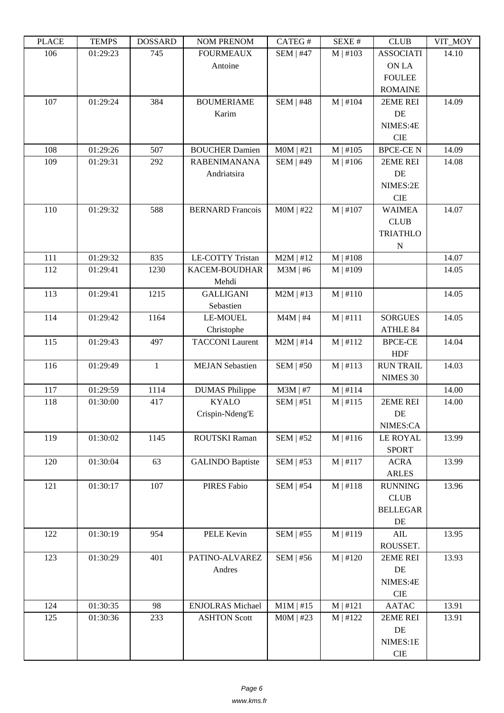| i lati | ט וואדד ו | חשממחת       | TAARTEE LATERAART       | $CALU \pi$       | NL/NL π       | <b>CLOD</b>      | $V11$ $N1$ |
|--------|-----------|--------------|-------------------------|------------------|---------------|------------------|------------|
| 106    | 01:29:23  | 745          | <b>FOURMEAUX</b>        | <b>SEM   #47</b> | M   #103      | <b>ASSOCIATI</b> | 14.10      |
|        |           |              | Antoine                 |                  |               | ON LA            |            |
|        |           |              |                         |                  |               | <b>FOULEE</b>    |            |
|        |           |              |                         |                  |               | <b>ROMAINE</b>   |            |
| 107    | 01:29:24  | 384          | <b>BOUMERIAME</b>       | <b>SEM   #48</b> | $M$   #104    | 2EME REI         | 14.09      |
|        |           |              | Karim                   |                  |               | DE               |            |
|        |           |              |                         |                  |               | NIMES:4E         |            |
|        |           |              |                         |                  |               | <b>CIE</b>       |            |
| 108    | 01:29:26  | 507          | <b>BOUCHER Damien</b>   | $MOM$   #21      | M   #105      | <b>BPCE-CEN</b>  | 14.09      |
| 109    | 01:29:31  | 292          | <b>RABENIMANANA</b>     | <b>SEM   #49</b> | M   #106      | 2EME REI         | 14.08      |
|        |           |              | Andriatsira             |                  |               | DE               |            |
|        |           |              |                         |                  |               | NIMES:2E         |            |
|        |           |              |                         |                  |               | <b>CIE</b>       |            |
| 110    | 01:29:32  | 588          | <b>BERNARD</b> Francois | $MOM$   #22      | $M$   #107    | <b>WAIMEA</b>    | 14.07      |
|        |           |              |                         |                  |               | <b>CLUB</b>      |            |
|        |           |              |                         |                  |               | <b>TRIATHLO</b>  |            |
|        |           |              |                         |                  |               | N                |            |
| 111    | 01:29:32  | 835          | <b>LE-COTTY Tristan</b> | $M2M$   #12      | $M \mid #108$ |                  | 14.07      |
| 112    | 01:29:41  | 1230         | KACEM-BOUDHAR           | $M3M$   #6       | $M$   #109    |                  | 14.05      |
|        |           |              | Mehdi                   |                  |               |                  |            |
| 113    | 01:29:41  | 1215         | <b>GALLIGANI</b>        | $M2M$   #13      | $M \mid #110$ |                  | 14.05      |
|        |           |              | Sebastien               |                  |               |                  |            |
| 114    | 01:29:42  | 1164         | <b>LE-MOUEL</b>         | $M4M$   #4       | $M$   #111    | <b>SORGUES</b>   | 14.05      |
|        |           |              | Christophe              |                  |               | ATHLE 84         |            |
| 115    | 01:29:43  | 497          | <b>TACCONI</b> Laurent  | $M2M$   #14      | M   #112      | <b>BPCE-CE</b>   | 14.04      |
|        |           |              |                         |                  |               | <b>HDF</b>       |            |
| 116    | 01:29:49  | $\mathbf{1}$ | <b>MEJAN</b> Sebastien  | <b>SEM   #50</b> | M   #113      | <b>RUN TRAIL</b> | 14.03      |
|        |           |              |                         |                  |               | NIMES 30         |            |
| 117    | 01:29:59  | 1114         | <b>DUMAS Philippe</b>   | $M3M$   #7       | $M \mid #114$ |                  | 14.00      |
| 118    | 01:30:00  | 417          | <b>KYALO</b>            | SEM   #51        | $M$   #115    | 2EME REI         | 14.00      |
|        |           |              | Crispin-Ndeng'E         |                  |               | DE               |            |
|        |           |              |                         |                  |               | NIMES:CA         |            |
| 119    | 01:30:02  | 1145         | ROUTSKI Raman           | $SEM$   #52      | M   #116      | <b>LE ROYAL</b>  | 13.99      |
|        |           |              |                         |                  |               | <b>SPORT</b>     |            |
| 120    | 01:30:04  | 63           | <b>GALINDO Baptiste</b> | $SEM$   #53      | $M$   #117    | <b>ACRA</b>      | 13.99      |
|        |           |              |                         |                  |               | <b>ARLES</b>     |            |
| 121    | 01:30:17  | 107          | PIRES Fabio             | <b>SEM   #54</b> | $M \mid #118$ | <b>RUNNING</b>   | 13.96      |
|        |           |              |                         |                  |               | CLUB             |            |
|        |           |              |                         |                  |               | <b>BELLEGAR</b>  |            |
|        |           |              |                         |                  |               | DE               |            |
| 122    | 01:30:19  | 954          | PELE Kevin              | SEM   #55        | $M \mid #119$ | AIL              | 13.95      |
|        |           |              |                         |                  |               | ROUSSET.         |            |
| 123    | 01:30:29  | 401          | PATINO-ALVAREZ          | SEM   #56        | $M \mid #120$ | 2EME REI         | 13.93      |
|        |           |              | Andres                  |                  |               | DE               |            |
|        |           |              |                         |                  |               | NIMES:4E         |            |
|        |           |              |                         |                  |               | $\rm CIE$        |            |
| 124    | 01:30:35  | 98           | <b>ENJOLRAS Michael</b> | $M1M$   #15      | M   #121      | <b>AATAC</b>     | 13.91      |
| 125    | 01:30:36  | 233          | <b>ASHTON Scott</b>     | $MOM$   #23      | M   #122      | 2EME REI         | 13.91      |
|        |           |              |                         |                  |               | $\rm DE$         |            |
|        |           |              |                         |                  |               | NIMES:1E         |            |
|        |           |              |                         |                  |               | $\rm CIE$        |            |
|        |           |              |                         |                  |               |                  |            |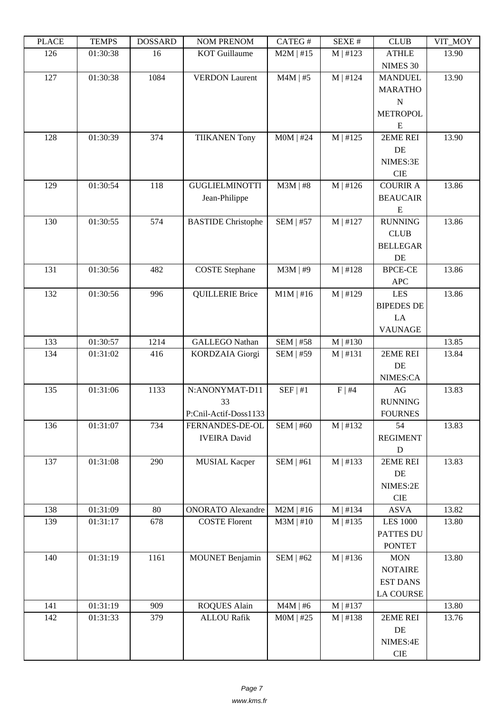| LEUCE | ר TL'IVII | <b>UUUUUUU</b> | NUM I NENUM               | $\sqrt{11100}$   | יד בב/גבוט | CLUD                       | YII_MUI<br>13.90 |
|-------|-----------|----------------|---------------------------|------------------|------------|----------------------------|------------------|
| 126   | 01:30:38  | 16             | <b>KOT</b> Guillaume      | $M2M$   #15      | M   #123   | <b>ATHLE</b>               |                  |
| 127   | 01:30:38  | 1084           | <b>VERDON Laurent</b>     | $M4M$   #5       | M   #124   | NIMES 30<br><b>MANDUEL</b> | 13.90            |
|       |           |                |                           |                  |            | <b>MARATHO</b>             |                  |
|       |           |                |                           |                  |            | $\mathbf N$                |                  |
|       |           |                |                           |                  |            |                            |                  |
|       |           |                |                           |                  |            | <b>METROPOL</b>            |                  |
| 128   | 01:30:39  | 374            |                           | $MOM$   #24      | M   #125   | E<br>2EME REI              | 13.90            |
|       |           |                | <b>TIIKANEN Tony</b>      |                  |            | DE                         |                  |
|       |           |                |                           |                  |            | NIMES:3E                   |                  |
|       |           |                |                           |                  |            | <b>CIE</b>                 |                  |
| 129   | 01:30:54  | 118            | <b>GUGLIELMINOTTI</b>     | $M3M$   #8       | M   #126   | <b>COURIR A</b>            | 13.86            |
|       |           |                | Jean-Philippe             |                  |            | <b>BEAUCAIR</b>            |                  |
|       |           |                |                           |                  |            | E                          |                  |
| 130   | 01:30:55  | 574            | <b>BASTIDE Christophe</b> | <b>SEM   #57</b> | M   #127   | <b>RUNNING</b>             | 13.86            |
|       |           |                |                           |                  |            | <b>CLUB</b>                |                  |
|       |           |                |                           |                  |            | <b>BELLEGAR</b>            |                  |
|       |           |                |                           |                  |            | DE                         |                  |
| 131   | 01:30:56  | 482            | <b>COSTE</b> Stephane     | $M3M$   #9       | M   #128   | <b>BPCE-CE</b>             | 13.86            |
|       |           |                |                           |                  |            | <b>APC</b>                 |                  |
| 132   | 01:30:56  | 996            | <b>QUILLERIE Brice</b>    | $M1M$   #16      | M   #129   | <b>LES</b>                 | 13.86            |
|       |           |                |                           |                  |            | <b>BIPEDES DE</b>          |                  |
|       |           |                |                           |                  |            | LA                         |                  |
|       |           |                |                           |                  |            | <b>VAUNAGE</b>             |                  |
| 133   | 01:30:57  | 1214           | <b>GALLEGO Nathan</b>     | <b>SEM   #58</b> | M   #130   |                            | 13.85            |
| 134   | 01:31:02  | 416            | <b>KORDZAIA</b> Giorgi    | <b>SEM   #59</b> | M   #131   | 2EME REI                   | 13.84            |
|       |           |                |                           |                  |            | DE                         |                  |
|       |           |                |                           |                  |            | NIMES:CA                   |                  |
| 135   | 01:31:06  | 1133           | N:ANONYMAT-D11            | SEF   #1         | F   #4     | AG                         | 13.83            |
|       |           |                | 33                        |                  |            | <b>RUNNING</b>             |                  |
|       |           |                | P:Cnil-Actif-Doss1133     |                  |            | <b>FOURNES</b>             |                  |
| 136   | 01:31:07  | 734            | FERNANDES-DE-OL           | SEM   #60        | M   #132   | 54                         | 13.83            |
|       |           |                | <b>IVEIRA</b> David       |                  |            | <b>REGIMENT</b>            |                  |
|       |           |                |                           |                  |            | ${\bf D}$                  |                  |
| 137   | 01:31:08  | 290            | <b>MUSIAL Kacper</b>      | SEM   #61        | M   #133   | 2EME REI                   | 13.83            |
|       |           |                |                           |                  |            | DE                         |                  |
|       |           |                |                           |                  |            | NIMES:2E                   |                  |
|       |           |                |                           |                  |            | <b>CIE</b>                 |                  |
| 138   | 01:31:09  | 80             | <b>ONORATO Alexandre</b>  | $M2M$   #16      | M   #134   | <b>ASVA</b>                | 13.82            |
| 139   | 01:31:17  | 678            | <b>COSTE Florent</b>      | $M3M$   #10      | M   #135   | <b>LES 1000</b>            | 13.80            |
|       |           |                |                           |                  |            | PATTES DU                  |                  |
|       |           |                |                           |                  |            | <b>PONTET</b>              |                  |
| 140   | 01:31:19  | 1161           | <b>MOUNET Benjamin</b>    | <b>SEM   #62</b> | M   #136   | <b>MON</b>                 | 13.80            |
|       |           |                |                           |                  |            | <b>NOTAIRE</b>             |                  |
|       |           |                |                           |                  |            | <b>EST DANS</b>            |                  |
|       |           |                |                           |                  |            | LA COURSE                  |                  |
| 141   | 01:31:19  | 909            | <b>ROQUES Alain</b>       | $M4M$   #6       | M   #137   |                            | 13.80            |
| 142   | 01:31:33  | 379            | <b>ALLOU Rafik</b>        | $MOM$   #25      | M   #138   | 2EME REI                   | 13.76            |
|       |           |                |                           |                  |            | DE                         |                  |
|       |           |                |                           |                  |            | NIMES:4E                   |                  |
|       |           |                |                           |                  |            | CIE                        |                  |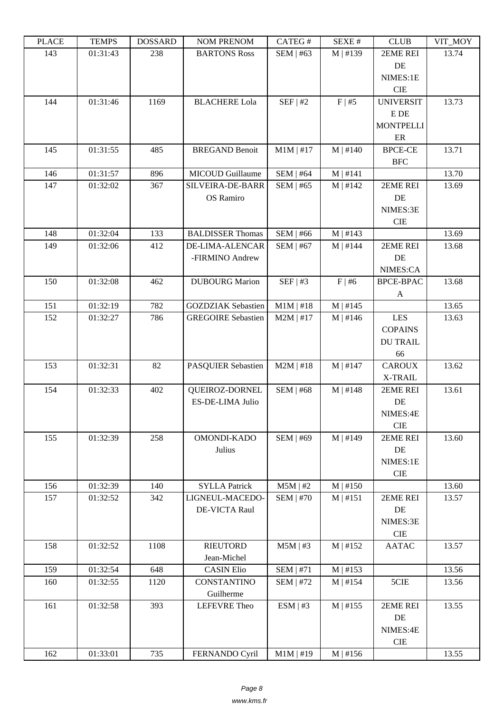| ם המדו | <b>TEIATI</b> 2 | <b>DOPPULP</b> | <b>INOINET IVERFOINE</b>  | $CALU \pi$       | JLΛL π        | <b>CEOD</b>      | $V11$ $V1$ |
|--------|-----------------|----------------|---------------------------|------------------|---------------|------------------|------------|
| 143    | 01:31:43        | 238            | <b>BARTONS Ross</b>       | SEM   #63        | M   #139      | 2EME REI         | 13.74      |
|        |                 |                |                           |                  |               | DE               |            |
|        |                 |                |                           |                  |               | NIMES:1E         |            |
|        |                 |                |                           |                  |               | <b>CIE</b>       |            |
| 144    | 01:31:46        | 1169           | <b>BLACHERE Lola</b>      | SEF   #2         | F   #5        | <b>UNIVERSIT</b> | 13.73      |
|        |                 |                |                           |                  |               | E DE             |            |
|        |                 |                |                           |                  |               | <b>MONTPELLI</b> |            |
|        |                 |                |                           |                  |               | ER               |            |
| 145    | 01:31:55        | 485            | <b>BREGAND Benoit</b>     | $M1M$   #17      | $M \mid #140$ | <b>BPCE-CE</b>   | 13.71      |
|        |                 |                |                           |                  |               | <b>BFC</b>       |            |
| 146    | 01:31:57        | 896            | MICOUD Guillaume          | <b>SEM   #64</b> | M   #141      |                  | 13.70      |
| 147    | 01:32:02        | 367            | SILVEIRA-DE-BARR          | <b>SEM   #65</b> | M   #142      | 2EME REI         | 13.69      |
|        |                 |                | OS Ramiro                 |                  |               | DE               |            |
|        |                 |                |                           |                  |               | NIMES:3E         |            |
|        |                 |                |                           |                  |               | <b>CIE</b>       |            |
| 148    | 01:32:04        | 133            | <b>BALDISSER Thomas</b>   | SEM   #66        | M   #143      |                  | 13.69      |
| 149    | 01:32:06        | 412            | <b>DE-LIMA-ALENCAR</b>    | <b>SEM   #67</b> | $M$   #144    | 2EME REI         | 13.68      |
|        |                 |                | -FIRMINO Andrew           |                  |               | DE               |            |
|        |                 |                |                           |                  |               | NIMES:CA         |            |
| 150    | 01:32:08        | 462            | <b>DUBOURG</b> Marion     | SEF   #3         | $F \mid #6$   | <b>BPCE-BPAC</b> | 13.68      |
|        |                 |                |                           |                  |               | A                |            |
| 151    | 01:32:19        | 782            | <b>GOZDZIAK</b> Sebastien | $M1M$   #18      | M   #145      |                  | 13.65      |
| 152    | 01:32:27        | 786            | <b>GREGOIRE Sebastien</b> | $M2M$   #17      | M   #146      | <b>LES</b>       | 13.63      |
|        |                 |                |                           |                  |               | <b>COPAINS</b>   |            |
|        |                 |                |                           |                  |               | <b>DU TRAIL</b>  |            |
|        |                 |                |                           |                  |               | 66               |            |
| 153    | 01:32:31        | 82             | PASQUIER Sebastien        | $M2M$   #18      | $M$   #147    | <b>CAROUX</b>    | 13.62      |
|        |                 |                |                           |                  |               | X-TRAIL          |            |
| 154    | 01:32:33        | 402            | QUEIROZ-DORNEL            | <b>SEM   #68</b> | $M \mid #148$ | 2EME REI         | 13.61      |
|        |                 |                | ES-DE-LIMA Julio          |                  |               | DE               |            |
|        |                 |                |                           |                  |               | NIMES:4E         |            |
|        |                 |                |                           |                  |               | <b>CIE</b>       |            |
| 155    | 01:32:39        | 258            | OMONDI-KADO               | <b>SEM   #69</b> | M   #149      | 2EME REI         | 13.60      |
|        |                 |                | Julius                    |                  |               | DE               |            |
|        |                 |                |                           |                  |               | NIMES:1E         |            |
|        |                 |                |                           |                  |               | $\rm CIE$        |            |
| 156    | 01:32:39        | 140            | <b>SYLLA Patrick</b>      | $M5M$   #2       | M   #150      |                  | 13.60      |
| 157    | 01:32:52        | 342            | LIGNEUL-MACEDO-           | <b>SEM   #70</b> | M   #151      | 2EME REI         | 13.57      |
|        |                 |                | <b>DE-VICTA Raul</b>      |                  |               | DE               |            |
|        |                 |                |                           |                  |               | NIMES:3E         |            |
|        |                 |                |                           |                  |               | ${\rm CIE}$      |            |
| 158    | 01:32:52        | 1108           | <b>RIEUTORD</b>           | $M5M$   #3       | M   #152      | <b>AATAC</b>     | 13.57      |
|        |                 |                | Jean-Michel               |                  |               |                  |            |
| 159    | 01:32:54        | 648            | <b>CASIN Elio</b>         | $SEM$   #71      | M   #153      |                  | 13.56      |
| 160    | 01:32:55        | 1120           | CONSTANTINO               | <b>SEM   #72</b> | M   #154      | 5CIE             | 13.56      |
|        |                 |                | Guilherme                 |                  |               |                  |            |
| 161    | 01:32:58        | 393            | LEFEVRE Theo              | ESM   #3         | M   #155      | 2EME REI         | 13.55      |
|        |                 |                |                           |                  |               | DE               |            |
|        |                 |                |                           |                  |               | NIMES:4E         |            |
|        |                 |                |                           |                  |               | $\rm CIE$        |            |
| 162    | 01:33:01        | 735            | FERNANDO Cyril            | $M1M$   #19      | M   #156      |                  | 13.55      |
|        |                 |                |                           |                  |               |                  |            |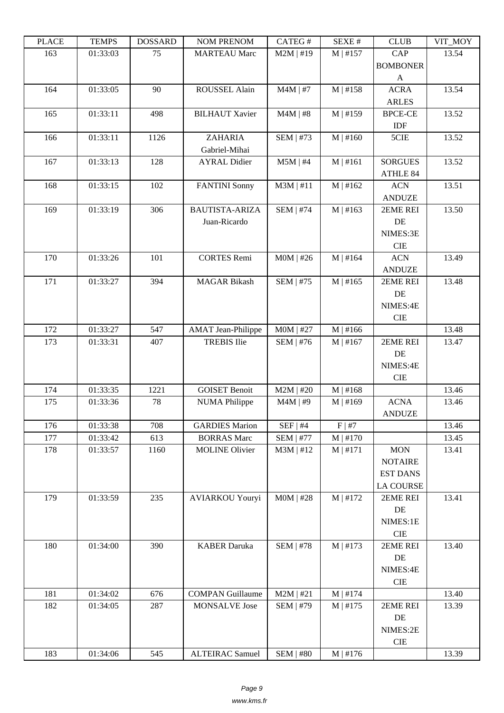| ם המדו     | ט וואדד ו            | חשממחת      | <b>TAOIM I IVETAOIM</b>                     | $CALU \pi$                      | JLΛL π                    | <b>CLOD</b>      | $V11$ $N1$     |
|------------|----------------------|-------------|---------------------------------------------|---------------------------------|---------------------------|------------------|----------------|
| 163        | 01:33:03             | 75          | <b>MARTEAU Marc</b>                         | $M2M$   #19                     | $M$   #157                | CAP              | 13.54          |
|            |                      |             |                                             |                                 |                           | <b>BOMBONER</b>  |                |
|            |                      |             |                                             |                                 |                           | $\mathbf{A}$     |                |
| 164        | 01:33:05             | 90          | ROUSSEL Alain                               | $M4M$   #7                      | M   #158                  | <b>ACRA</b>      | 13.54          |
|            |                      |             |                                             |                                 |                           | <b>ARLES</b>     |                |
| 165        | 01:33:11             | 498         | <b>BILHAUT Xavier</b>                       | $M4M$   #8                      | M   #159                  | <b>BPCE-CE</b>   | 13.52          |
|            |                      |             |                                             |                                 |                           | IDF              |                |
| 166        | 01:33:11             | 1126        | <b>ZAHARIA</b><br>Gabriel-Mihai             | <b>SEM   #73</b>                | $M \mid #160$             | 5CIE             | 13.52          |
| 167        | 01:33:13             | 128         | <b>AYRAL Didier</b>                         | $M5M$   #4                      | M   #161                  | <b>SORGUES</b>   | 13.52          |
|            |                      |             |                                             |                                 |                           | ATHLE 84         |                |
| 168        | 01:33:15             | 102         | <b>FANTINI</b> Sonny                        | $M3M$   #11                     | M   #162                  | <b>ACN</b>       | 13.51          |
|            |                      |             |                                             |                                 |                           | <b>ANDUZE</b>    |                |
| 169        | 01:33:19             | 306         | <b>BAUTISTA-ARIZA</b>                       | <b>SEM   #74</b>                | M   #163                  | 2EME REI         | 13.50          |
|            |                      |             | Juan-Ricardo                                |                                 |                           | DE               |                |
|            |                      |             |                                             |                                 |                           | NIMES:3E         |                |
|            |                      |             |                                             |                                 |                           | <b>CIE</b>       |                |
| 170        | 01:33:26             | 101         | <b>CORTES Remi</b>                          | $MOM$   #26                     | $M \mid #164$             | <b>ACN</b>       | 13.49          |
|            |                      |             |                                             |                                 |                           | <b>ANDUZE</b>    |                |
| 171        | 01:33:27             | 394         | <b>MAGAR Bikash</b>                         | $SEM$   #75                     | M   #165                  | 2EME REI         | 13.48          |
|            |                      |             |                                             |                                 |                           | DE               |                |
|            |                      |             |                                             |                                 |                           | NIMES:4E         |                |
|            |                      |             |                                             |                                 |                           | <b>CIE</b>       |                |
| 172        | 01:33:27             | 547         | <b>AMAT</b> Jean-Philippe                   | $MOM$   #27                     | M   #166                  |                  | 13.48          |
| 173        | 01:33:31             | 407         | <b>TREBIS Ilie</b>                          | $SEM$   #76                     | $M \mid #167$             | 2EME REI         | 13.47          |
|            |                      |             |                                             |                                 |                           | DE               |                |
|            |                      |             |                                             |                                 |                           | NIMES:4E         |                |
|            |                      |             |                                             |                                 |                           | <b>CIE</b>       |                |
| 174        | 01:33:35             | 1221        | <b>GOISET Benoit</b>                        | $M2M$   #20                     | M   #168                  |                  | 13.46          |
| 175        | 01:33:36             | 78          | <b>NUMA Philippe</b>                        | $M4M$   #9                      | M   #169                  | <b>ACNA</b>      | 13.46          |
|            |                      |             |                                             |                                 |                           | <b>ANDUZE</b>    |                |
| 176        | 01:33:38<br>01:33:42 | 708         | <b>GARDIES Marion</b><br><b>BORRAS</b> Marc | $SEF$   #4                      | $F \mid #7$               |                  | 13.46          |
| 177<br>178 | 01:33:57             | 613<br>1160 | <b>MOLINE Olivier</b>                       | <b>SEM   #77</b><br>$M3M$   #12 | $M \mid #170$<br>M   #171 | <b>MON</b>       | 13.45<br>13.41 |
|            |                      |             |                                             |                                 |                           | <b>NOTAIRE</b>   |                |
|            |                      |             |                                             |                                 |                           | <b>EST DANS</b>  |                |
|            |                      |             |                                             |                                 |                           | <b>LA COURSE</b> |                |
| 179        | 01:33:59             | 235         | <b>AVIARKOU Youryi</b>                      | $MOM$   #28                     | M   #172                  | 2EME REI         | 13.41          |
|            |                      |             |                                             |                                 |                           | DE               |                |
|            |                      |             |                                             |                                 |                           | NIMES:1E         |                |
|            |                      |             |                                             |                                 |                           | CIE              |                |
| 180        | 01:34:00             | 390         | <b>KABER Daruka</b>                         | <b>SEM   #78</b>                | M   #173                  | 2EME REI         | 13.40          |
|            |                      |             |                                             |                                 |                           | DE               |                |
|            |                      |             |                                             |                                 |                           | NIMES:4E         |                |
|            |                      |             |                                             |                                 |                           | CIE              |                |
| 181        | 01:34:02             | 676         | <b>COMPAN Guillaume</b>                     | $M2M$   #21                     | $M$   #174                |                  | 13.40          |
| 182        | 01:34:05             | 287         | <b>MONSALVE</b> Jose                        | <b>SEM   #79</b>                | $M$   #175                | 2EME REI         | 13.39          |
|            |                      |             |                                             |                                 |                           | DE               |                |
|            |                      |             |                                             |                                 |                           | NIMES:2E         |                |
|            |                      |             |                                             |                                 |                           | $\rm CIE$        |                |
| 183        | 01:34:06             | 545         | <b>ALTEIRAC Samuel</b>                      | SEM   #80                       | $M \mid #176$             |                  | 13.39          |
|            |                      |             |                                             |                                 |                           |                  |                |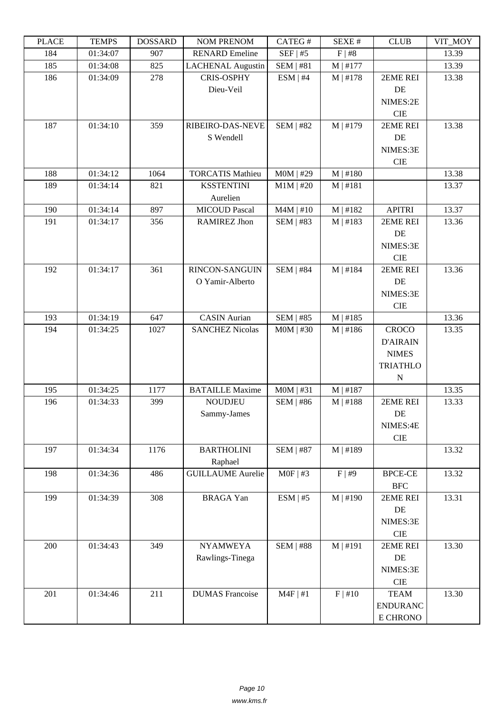| LEUCE | L LIVIII D | <b><i>ANURGOA</i></b> | NUM TNENUM               | CATLO 11         | π בב∧בת       | CLUD            | YII_MUI |
|-------|------------|-----------------------|--------------------------|------------------|---------------|-----------------|---------|
| 184   | 01:34:07   | 907                   | <b>RENARD</b> Emeline    | $SEF$   #5       | F   #8        |                 | 13.39   |
| 185   | 01:34:08   | 825                   | <b>LACHENAL Augustin</b> | <b>SEM   #81</b> | $M$   #177    |                 | 13.39   |
| 186   | 01:34:09   | 278                   | <b>CRIS-OSPHY</b>        | ESM   #4         | $M \mid #178$ | 2EME REI        | 13.38   |
|       |            |                       | Dieu-Veil                |                  |               | DE              |         |
|       |            |                       |                          |                  |               | NIMES:2E        |         |
|       |            |                       |                          |                  |               | CIE             |         |
| 187   | 01:34:10   | 359                   | RIBEIRO-DAS-NEVE         | <b>SEM   #82</b> | M   #179      | 2EME REI        | 13.38   |
|       |            |                       | S Wendell                |                  |               | DE              |         |
|       |            |                       |                          |                  |               | NIMES:3E        |         |
|       |            |                       |                          |                  |               | <b>CIE</b>      |         |
| 188   | 01:34:12   | 1064                  | <b>TORCATIS Mathieu</b>  | $MOM$   #29      | $M \mid #180$ |                 | 13.38   |
| 189   | 01:34:14   | 821                   | <b>KSSTENTINI</b>        | $M1M$   #20      | M   #181      |                 | 13.37   |
|       |            |                       | Aurelien                 |                  |               |                 |         |
| 190   | 01:34:14   | 897                   | <b>MICOUD Pascal</b>     | $M4M$   #10      | M   #182      | <b>APITRI</b>   | 13.37   |
| 191   |            | 356                   |                          | <b>SEM   #83</b> |               | 2EME REI        |         |
|       | 01:34:17   |                       | <b>RAMIREZ Jhon</b>      |                  | M   #183      |                 | 13.36   |
|       |            |                       |                          |                  |               | DE              |         |
|       |            |                       |                          |                  |               | NIMES:3E        |         |
|       |            |                       |                          |                  |               | <b>CIE</b>      |         |
| 192   | 01:34:17   | 361                   | RINCON-SANGUIN           | <b>SEM   #84</b> | M   #184      | 2EME REI        | 13.36   |
|       |            |                       | O Yamir-Alberto          |                  |               | DE              |         |
|       |            |                       |                          |                  |               | NIMES:3E        |         |
|       |            |                       |                          |                  |               | <b>CIE</b>      |         |
| 193   | 01:34:19   | 647                   | <b>CASIN</b> Aurian      | <b>SEM   #85</b> | M   #185      |                 | 13.36   |
| 194   | 01:34:25   | 1027                  | <b>SANCHEZ Nicolas</b>   | $MOM$   #30      | M   #186      | <b>CROCO</b>    | 13.35   |
|       |            |                       |                          |                  |               | <b>D'AIRAIN</b> |         |
|       |            |                       |                          |                  |               | <b>NIMES</b>    |         |
|       |            |                       |                          |                  |               | <b>TRIATHLO</b> |         |
|       |            |                       |                          |                  |               | $\mathbf N$     |         |
| 195   | 01:34:25   | 1177                  | <b>BATAILLE Maxime</b>   | $MOM$   #31      | $M$   #187    |                 | 13.35   |
| 196   | 01:34:33   | 399                   | <b>NOUDJEU</b>           | <b>SEM   #86</b> | M   #188      | 2EME REI        | 13.33   |
|       |            |                       | Sammy-James              |                  |               | DE              |         |
|       |            |                       |                          |                  |               | NIMES:4E        |         |
|       |            |                       |                          |                  |               | CIE             |         |
| 197   | 01:34:34   | 1176                  | <b>BARTHOLINI</b>        | <b>SEM   #87</b> | M   #189      |                 | 13.32   |
|       |            |                       | Raphael                  |                  |               |                 |         |
| 198   | 01:34:36   | 486                   | <b>GUILLAUME Aurelie</b> | $MOF$   #3       | F   #9        | <b>BPCE-CE</b>  | 13.32   |
|       |            |                       |                          |                  |               | <b>BFC</b>      |         |
| 199   | 01:34:39   | 308                   | <b>BRAGA</b> Yan         | ESM   #5         | $M \mid #190$ | 2EME REI        | 13.31   |
|       |            |                       |                          |                  |               | DE              |         |
|       |            |                       |                          |                  |               |                 |         |
|       |            |                       |                          |                  |               | NIMES:3E        |         |
|       |            |                       |                          |                  |               | <b>CIE</b>      |         |
| 200   | 01:34:43   | 349                   | <b>NYAMWEYA</b>          | <b>SEM   #88</b> | M   #191      | 2EME REI        | 13.30   |
|       |            |                       | Rawlings-Tinega          |                  |               | DE              |         |
|       |            |                       |                          |                  |               | NIMES:3E        |         |
|       |            |                       |                          |                  |               | ${\rm CIE}$     |         |
| 201   | 01:34:46   | 211                   | <b>DUMAS</b> Francoise   | $M4F$   #1       | F   #10       | <b>TEAM</b>     | 13.30   |
|       |            |                       |                          |                  |               | <b>ENDURANC</b> |         |
|       |            |                       |                          |                  |               | E CHRONO        |         |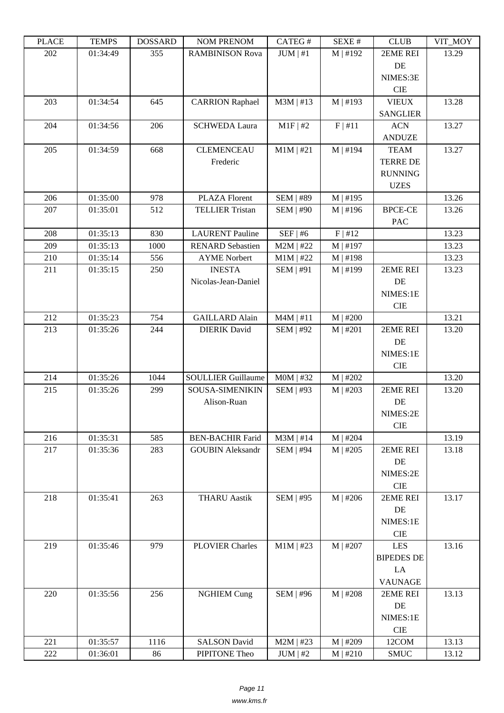| i lati | L LIVIL D | <b>DOPPULP</b> | <b>INUMER IN THE PROPERTY</b> | $CALU \pi$       | π تىدىد    | <b>CEOD</b>       | VII IVIUI |
|--------|-----------|----------------|-------------------------------|------------------|------------|-------------------|-----------|
| 202    | 01:34:49  | 355            | <b>RAMBINISON Rova</b>        | JUM   #1         | $M$   #192 | 2EME REI          | 13.29     |
|        |           |                |                               |                  |            | DE                |           |
|        |           |                |                               |                  |            | NIMES:3E          |           |
|        |           |                |                               |                  |            | CIE               |           |
| 203    | 01:34:54  | 645            | <b>CARRION Raphael</b>        | $M3M$   #13      | $M$   #193 | <b>VIEUX</b>      | 13.28     |
|        |           |                |                               |                  |            | <b>SANGLIER</b>   |           |
| 204    | 01:34:56  | 206            | <b>SCHWEDA Laura</b>          | $M1F$   #2       | F   #11    | $\rm{ACN}$        | 13.27     |
|        |           |                |                               |                  |            | <b>ANDUZE</b>     |           |
| 205    | 01:34:59  | 668            | <b>CLEMENCEAU</b>             | $M1M$   #21      | $M$   #194 | <b>TEAM</b>       | 13.27     |
|        |           |                | Frederic                      |                  |            | <b>TERRE DE</b>   |           |
|        |           |                |                               |                  |            | <b>RUNNING</b>    |           |
|        |           |                |                               |                  |            | <b>UZES</b>       |           |
| 206    | 01:35:00  | 978            | <b>PLAZA Florent</b>          | <b>SEM   #89</b> | $M$   #195 |                   | 13.26     |
| 207    | 01:35:01  | 512            | <b>TELLIER Tristan</b>        | <b>SEM   #90</b> | M   #196   | <b>BPCE-CE</b>    | 13.26     |
|        |           |                |                               |                  |            | PAC               |           |
| 208    | 01:35:13  | 830            | <b>LAURENT</b> Pauline        | $SEF$   #6       | F   #12    |                   | 13.23     |
| 209    | 01:35:13  | 1000           | <b>RENARD Sebastien</b>       | $M2M$   #22      | $M$   #197 |                   | 13.23     |
| 210    | 01:35:14  | 556            | <b>AYME</b> Norbert           | $M1M$   #22      | M   #198   |                   | 13.23     |
| 211    | 01:35:15  | 250            | <b>INESTA</b>                 | <b>SEM   #91</b> | $M$   #199 | 2EME REI          | 13.23     |
|        |           |                | Nicolas-Jean-Daniel           |                  |            | DE                |           |
|        |           |                |                               |                  |            | NIMES:1E          |           |
|        |           |                |                               |                  |            | <b>CIE</b>        |           |
| 212    | 01:35:23  | 754            | <b>GAILLARD Alain</b>         | $M4M$   #11      | $M$   #200 |                   | 13.21     |
| 213    | 01:35:26  | 244            | <b>DIERIK</b> David           | <b>SEM   #92</b> | M   #201   | 2EME REI          | 13.20     |
|        |           |                |                               |                  |            | DE                |           |
|        |           |                |                               |                  |            | NIMES:1E          |           |
|        |           |                |                               |                  |            | CIE               |           |
| 214    | 01:35:26  | 1044           | <b>SOULLIER Guillaume</b>     | $MOM$   #32      | $M$   #202 |                   | 13.20     |
| 215    | 01:35:26  | 299            | SOUSA-SIMENIKIN               | SEM   #93        | M   #203   | 2EME REI          | 13.20     |
|        |           |                | Alison-Ruan                   |                  |            | DE                |           |
|        |           |                |                               |                  |            | NIMES:2E          |           |
|        |           |                |                               |                  |            | <b>CIE</b>        |           |
| 216    | 01:35:31  | 585            | <b>BEN-BACHIR Farid</b>       | $M3M$   #14      | M   #204   |                   | 13.19     |
| 217    | 01:35:36  | 283            | <b>GOUBIN Aleksandr</b>       | <b>SEM   #94</b> | $M$   #205 | 2EME REI          | 13.18     |
|        |           |                |                               |                  |            | DE                |           |
|        |           |                |                               |                  |            | NIMES:2E          |           |
|        |           |                |                               |                  |            | $\rm CIE$         |           |
| 218    | 01:35:41  | 263            | <b>THARU Aastik</b>           | <b>SEM   #95</b> | $M$   #206 | 2EME REI          | 13.17     |
|        |           |                |                               |                  |            | DE                |           |
|        |           |                |                               |                  |            | NIMES:1E          |           |
|        |           |                |                               |                  |            | CIE               |           |
| 219    | 01:35:46  | 979            | <b>PLOVIER Charles</b>        | $M1M$   #23      | $M$   #207 | <b>LES</b>        | 13.16     |
|        |           |                |                               |                  |            | <b>BIPEDES DE</b> |           |
|        |           |                |                               |                  |            | LA                |           |
|        |           |                |                               |                  |            | <b>VAUNAGE</b>    |           |
| 220    | 01:35:56  | 256            | <b>NGHIEM Cung</b>            | <b>SEM   #96</b> | $M$   #208 | 2EME REI          | 13.13     |
|        |           |                |                               |                  |            | DE                |           |
|        |           |                |                               |                  |            | NIMES:1E          |           |
|        |           |                |                               |                  |            | $\rm CIE$         |           |
| 221    | 01:35:57  | 1116           | <b>SALSON David</b>           | $M2M$   #23      | $M$   #209 | 12COM             | 13.13     |
| 222    | 01:36:01  | 86             | PIPITONE Theo                 | JUM   #2         | M   #210   | <b>SMUC</b>       | 13.12     |
|        |           |                |                               |                  |            |                   |           |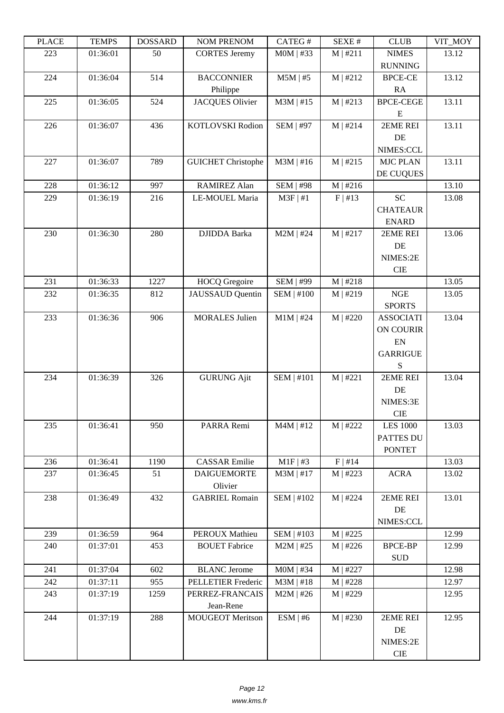| LEACE | L LIVIII IJ | <u> שעורוממטעו</u> | <b>INUMER NETVUM</b>      | <b>CATLOT</b>     | יד בבלגבוט | CLUD                 | VII_MUI |
|-------|-------------|--------------------|---------------------------|-------------------|------------|----------------------|---------|
| 223   | 01:36:01    | 50                 | <b>CORTES</b> Jeremy      | $MOM$   #33       | M   #211   | <b>NIMES</b>         | 13.12   |
|       |             |                    |                           |                   |            | <b>RUNNING</b>       |         |
| 224   | 01:36:04    | 514                | <b>BACCONNIER</b>         | $M5M$   #5        | $M$   #212 | <b>BPCE-CE</b>       | 13.12   |
|       |             |                    | Philippe                  |                   |            | RA                   |         |
| 225   | 01:36:05    | 524                | <b>JACQUES Olivier</b>    | $M3M$   #15       | M   #213   | <b>BPCE-CEGE</b>     | 13.11   |
|       |             |                    |                           |                   |            | E                    |         |
| 226   | 01:36:07    | 436                | KOTLOVSKI Rodion          | <b>SEM   #97</b>  | M   #214   | 2EME REI             | 13.11   |
|       |             |                    |                           |                   |            | DE                   |         |
|       |             |                    |                           |                   |            | NIMES:CCL            |         |
| 227   | 01:36:07    | 789                | <b>GUICHET Christophe</b> | $M3M$   #16       | M   #215   | <b>MJC PLAN</b>      | 13.11   |
|       |             |                    |                           |                   |            | DE CUQUES            |         |
| 228   | 01:36:12    | 997                | <b>RAMIREZ Alan</b>       | <b>SEM   #98</b>  | M   #216   |                      | 13.10   |
| 229   | 01:36:19    | 216                | LE-MOUEL Maria            | $M3F$   #1        | F   #13    | <b>SC</b>            | 13.08   |
|       |             |                    |                           |                   |            | <b>CHATEAUR</b>      |         |
|       |             |                    |                           |                   |            | <b>ENARD</b>         |         |
| 230   | 01:36:30    | 280                | <b>DJIDDA</b> Barka       | $M2M$   #24       | M   #217   | 2EME REI             | 13.06   |
|       |             |                    |                           |                   |            | DE                   |         |
|       |             |                    |                           |                   |            | NIMES:2E             |         |
|       |             |                    |                           |                   |            | <b>CIE</b>           |         |
| 231   | 01:36:33    | 1227               | <b>HOCQ</b> Gregoire      | <b>SEM   #99</b>  | M   #218   |                      | 13.05   |
| 232   | 01:36:35    | 812                | <b>JAUSSAUD</b> Quentin   | <b>SEM   #100</b> | M   #219   | NGE                  | 13.05   |
|       |             |                    |                           |                   |            | <b>SPORTS</b>        |         |
| 233   | 01:36:36    | 906                | <b>MORALES Julien</b>     | $M1M$   #24       | M   #220   | <b>ASSOCIATI</b>     | 13.04   |
|       |             |                    |                           |                   |            | ON COURIR            |         |
|       |             |                    |                           |                   |            | ${\rm EN}$           |         |
|       |             |                    |                           |                   |            | <b>GARRIGUE</b>      |         |
|       |             |                    |                           |                   |            | S                    |         |
| 234   | 01:36:39    | 326                | <b>GURUNG Ajit</b>        | <b>SEM   #101</b> | M   #221   | 2EME REI             | 13.04   |
|       |             |                    |                           |                   |            | DE                   |         |
|       |             |                    |                           |                   |            | NIMES:3E             |         |
|       |             |                    |                           |                   |            | <b>CIE</b>           |         |
| 235   | 01:36:41    | 950                | PARRA Remi                | $M4M$   #12       | M   #222   | <b>LES 1000</b>      | 13.03   |
|       |             |                    |                           |                   |            | PATTES DU            |         |
|       |             |                    |                           |                   |            | <b>PONTET</b>        |         |
| 236   | 01:36:41    | 1190               | <b>CASSAR Emilie</b>      | $M1F$   #3        | $F$   #14  |                      | 13.03   |
| 237   | 01:36:45    | 51                 | <b>DAIGUEMORTE</b>        | $M3M$   #17       | M   #223   | <b>ACRA</b>          | 13.02   |
|       |             |                    | Olivier                   |                   |            |                      |         |
| 238   | 01:36:49    | 432                | <b>GABRIEL Romain</b>     | <b>SEM   #102</b> | M   #224   | 2EME REI             | 13.01   |
|       |             |                    |                           |                   |            | DE                   |         |
|       |             |                    |                           |                   |            | NIMES:CCL            |         |
| 239   | 01:36:59    | 964                | PEROUX Mathieu            | SEM   #103        | M   #225   |                      | 12.99   |
| 240   | 01:37:01    | 453                | <b>BOUET</b> Fabrice      | $M2M$   #25       | M   #226   | <b>BPCE-BP</b>       | 12.99   |
|       |             |                    |                           |                   |            | $\operatorname{SUB}$ |         |
| 241   | 01:37:04    | 602                | <b>BLANC</b> Jerome       | $MOM$   #34       | $M$   #227 |                      | 12.98   |
| 242   | 01:37:11    | 955                | PELLETIER Frederic        | $M3M$   #18       | M   #228   |                      | 12.97   |
| 243   | 01:37:19    | 1259               | PERREZ-FRANCAIS           | $M2M$   #26       | M   #229   |                      | 12.95   |
|       |             |                    | Jean-Rene                 |                   |            |                      |         |
| 244   | 01:37:19    | 288                | <b>MOUGEOT Meritson</b>   | ESM   #6          | M   #230   | 2EME REI             | 12.95   |
|       |             |                    |                           |                   |            | DE                   |         |
|       |             |                    |                           |                   |            | NIMES:2E             |         |
|       |             |                    |                           |                   |            | CIE                  |         |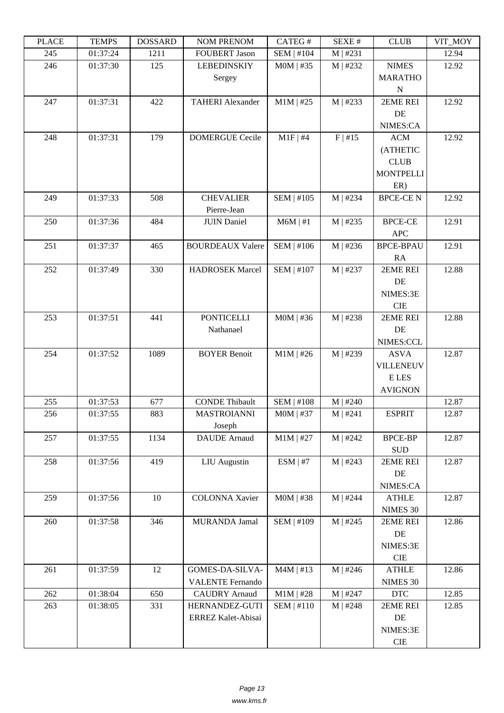| LEUCE | L LIVIII IJ | <b>UUUUUUU</b> | NUM TNENUM              | $CALU\pi$         | DL/AL π    | CLUD                        | VII_NIVI |
|-------|-------------|----------------|-------------------------|-------------------|------------|-----------------------------|----------|
| 245   | 01:37:24    | 1211           | <b>FOUBERT Jason</b>    | SEM   #104        | $M$   #231 |                             | 12.94    |
| 246   | 01:37:30    | 125            | <b>LEBEDINSKIY</b>      | $MOM$   #35       | M   #232   | <b>NIMES</b>                | 12.92    |
|       |             |                | Sergey                  |                   |            | <b>MARATHO</b>              |          |
|       |             |                |                         |                   |            | $\mathbf N$                 |          |
| 247   | 01:37:31    | 422            | <b>TAHERI Alexander</b> | $M1M$   #25       | M   #233   | 2EME REI                    | 12.92    |
|       |             |                |                         |                   |            | DE                          |          |
|       |             |                |                         |                   |            | NIMES:CA                    |          |
| 248   | 01:37:31    | 179            | <b>DOMERGUE Cecile</b>  | $M1F$ #4          | F   #15    | ACM                         | 12.92    |
|       |             |                |                         |                   |            | (ATHETIC                    |          |
|       |             |                |                         |                   |            | <b>CLUB</b>                 |          |
|       |             |                |                         |                   |            | <b>MONTPELLI</b>            |          |
|       |             |                |                         |                   |            | ER)                         |          |
| 249   | 01:37:33    | 508            | <b>CHEVALIER</b>        | SEM   #105        | M   #234   | <b>BPCE-CEN</b>             | 12.92    |
|       |             |                | Pierre-Jean             |                   |            |                             |          |
| 250   | 01:37:36    | 484            | <b>JUIN Daniel</b>      | $M6M$   #1        | M   #235   | <b>BPCE-CE</b>              | 12.91    |
|       |             |                |                         |                   |            | <b>APC</b>                  |          |
| 251   | 01:37:37    | 465            | <b>BOURDEAUX Valere</b> | SEM   #106        | M   #236   | <b>BPCE-BPAU</b>            | 12.91    |
|       |             |                |                         |                   |            | RA                          |          |
| 252   | 01:37:49    | 330            | <b>HADROSEK Marcel</b>  | <b>SEM   #107</b> | M   #237   | 2EME REI                    | 12.88    |
|       |             |                |                         |                   |            | DE                          |          |
|       |             |                |                         |                   |            |                             |          |
|       |             |                |                         |                   |            | NIMES:3E                    |          |
|       |             |                |                         |                   |            | <b>CIE</b>                  |          |
| 253   | 01:37:51    | 441            | <b>PONTICELLI</b>       | $MOM$   #36       | M   #238   | 2EME REI                    | 12.88    |
|       |             |                | Nathanael               |                   |            | DE                          |          |
|       |             |                |                         |                   |            | NIMES:CCL                   |          |
| 254   | 01:37:52    | 1089           | <b>BOYER Benoit</b>     | $M1M$   #26       | M   #239   | <b>ASVA</b>                 | 12.87    |
|       |             |                |                         |                   |            | <b>VILLENEUV</b>            |          |
|       |             |                |                         |                   |            | E LES                       |          |
|       |             |                |                         |                   |            | <b>AVIGNON</b>              |          |
| 255   | 01:37:53    | 677            | <b>CONDE Thibault</b>   | <b>SEM   #108</b> | M   #240   |                             | 12.87    |
| 256   | 01:37:55    | 883            | <b>MASTROIANNI</b>      | $MOM$   #37       | $M$   #241 | <b>ESPRIT</b>               | 12.87    |
|       |             |                | Joseph                  |                   |            |                             |          |
| 257   | 01:37:55    | 1134           | <b>DAUDE</b> Arnaud     | $M1M$   #27       | M   #242   | <b>BPCE-BP</b>              | 12.87    |
|       |             |                |                         |                   |            | <b>SUD</b>                  |          |
| 258   | 01:37:56    | 419            | <b>LIU</b> Augustin     | ESM   #7          | M   #243   | 2EME REI                    | 12.87    |
|       |             |                |                         |                   |            | DE                          |          |
|       |             |                |                         |                   |            | NIMES:CA                    |          |
| 259   | 01:37:56    | $10\,$         | <b>COLONNA Xavier</b>   | $MOM$   #38       | $M$   #244 | <b>ATHLE</b>                | 12.87    |
|       |             |                |                         |                   |            | NIMES 30                    |          |
| 260   | 01:37:58    | 346            | <b>MURANDA Jamal</b>    | <b>SEM   #109</b> | M   #245   | 2EME REI                    | 12.86    |
|       |             |                |                         |                   |            | $\rm DE$                    |          |
|       |             |                |                         |                   |            | NIMES:3E                    |          |
|       |             |                |                         |                   |            | <b>CIE</b>                  |          |
| 261   | 01:37:59    | 12             | GOMES-DA-SILVA-         | $M4M \mid #13$    | M   #246   | <b>ATHLE</b>                | 12.86    |
|       |             |                | <b>VALENTE Fernando</b> |                   |            | NIMES 30                    |          |
| 262   | 01:38:04    | 650            | <b>CAUDRY</b> Arnaud    | $M1M$   #28       | $M$   #247 | $\ensuremath{\mathsf{DTC}}$ | 12.85    |
| 263   | 01:38:05    | 331            | HERNANDEZ-GUTI          | SEM   #110        | M   #248   | 2EME REI                    | 12.85    |
|       |             |                | ERREZ Kalet-Abisai      |                   |            | DE                          |          |
|       |             |                |                         |                   |            | NIMES:3E                    |          |
|       |             |                |                         |                   |            | $\rm CIE$                   |          |
|       |             |                |                         |                   |            |                             |          |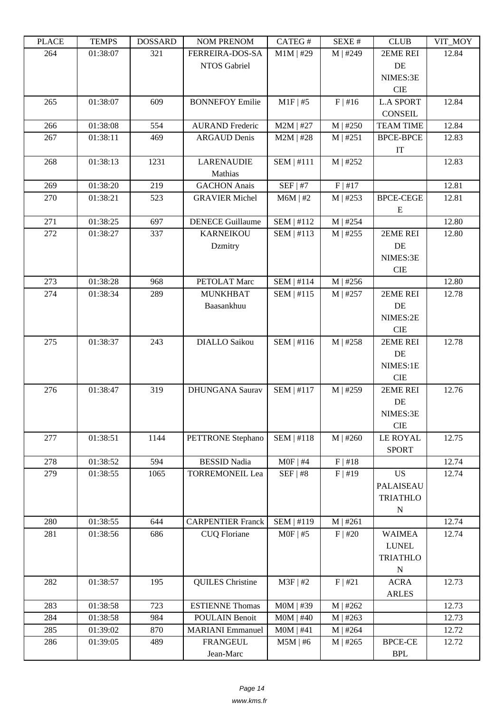| LEUCE | L LIVIII IJ | <b>ANURGOA</b> | <b>INUINI I INEINUINI</b> | CATLOT            | DL/AL π    | CLUD             | YII_MUI |
|-------|-------------|----------------|---------------------------|-------------------|------------|------------------|---------|
| 264   | 01:38:07    | 321            | <b>FERREIRA-DOS-SA</b>    | $M1M$   #29       | M   #249   | 2EME REI         | 12.84   |
|       |             |                | NTOS Gabriel              |                   |            | DE               |         |
|       |             |                |                           |                   |            | NIMES:3E         |         |
|       |             |                |                           |                   |            | <b>CIE</b>       |         |
| 265   | 01:38:07    | 609            | <b>BONNEFOY Emilie</b>    | $M1F$   #5        | $F$   #16  | <b>L.A SPORT</b> | 12.84   |
|       |             |                |                           |                   |            | <b>CONSEIL</b>   |         |
| 266   | 01:38:08    | 554            | <b>AURAND</b> Frederic    | $M2M$   #27       | M   #250   | <b>TEAM TIME</b> | 12.84   |
| 267   | 01:38:11    | 469            | <b>ARGAUD Denis</b>       | $M2M$   #28       | M   #251   | <b>BPCE-BPCE</b> | 12.83   |
|       |             |                |                           |                   |            | IT               |         |
| 268   | 01:38:13    | 1231           | <b>LARENAUDIE</b>         | <b>SEM   #111</b> | M   #252   |                  | 12.83   |
|       |             |                | Mathias                   |                   |            |                  |         |
| 269   | 01:38:20    | 219            | <b>GACHON</b> Anais       | $SEF$   #7        | F   #17    |                  | 12.81   |
| 270   | 01:38:21    | 523            | <b>GRAVIER Michel</b>     | $M6M$   #2        | M   #253   | <b>BPCE-CEGE</b> | 12.81   |
|       |             |                |                           |                   |            | E                |         |
| 271   | 01:38:25    | 697            | <b>DENECE Guillaume</b>   | SEM   #112        | M   #254   |                  | 12.80   |
| 272   | 01:38:27    | 337            | <b>KARNEIKOU</b>          | SEM   #113        | M   #255   | 2EME REI         | 12.80   |
|       |             |                | Dzmitry                   |                   |            | DE               |         |
|       |             |                |                           |                   |            | NIMES:3E         |         |
|       |             |                |                           |                   |            | <b>CIE</b>       |         |
| 273   | 01:38:28    | 968            | PETOLAT Marc              | <b>SEM   #114</b> | M   #256   |                  | 12.80   |
| 274   | 01:38:34    | 289            | <b>MUNKHBAT</b>           | SEM   #115        | $M$   #257 | 2EME REI         | 12.78   |
|       |             |                | Baasankhuu                |                   |            | DE               |         |
|       |             |                |                           |                   |            | NIMES:2E         |         |
|       |             |                |                           |                   |            | <b>CIE</b>       |         |
| 275   | 01:38:37    | 243            | <b>DIALLO</b> Saikou      | SEM   #116        | $M$   #258 | 2EME REI         | 12.78   |
|       |             |                |                           |                   |            | DE               |         |
|       |             |                |                           |                   |            | NIMES:1E         |         |
|       |             |                |                           |                   |            | <b>CIE</b>       |         |
| 276   | 01:38:47    | 319            | <b>DHUNGANA Saurav</b>    | SEM   #117        | M   #259   | 2EME REI         | 12.76   |
|       |             |                |                           |                   |            | DE               |         |
|       |             |                |                           |                   |            | NIMES:3E         |         |
|       |             |                |                           |                   |            | <b>CIE</b>       |         |
| 277   | 01:38:51    | 1144           | PETTRONE Stephano         | SEM   #118        | $M$   #260 | <b>LE ROYAL</b>  | 12.75   |
|       |             |                |                           |                   |            | <b>SPORT</b>     |         |
| 278   | 01:38:52    | 594            | <b>BESSID Nadia</b>       | $MOF$   #4        | F   #18    | <b>US</b>        | 12.74   |
| 279   | 01:38:55    | 1065           | <b>TORREMONEIL Lea</b>    | SEF   #8          | F   #19    |                  | 12.74   |
|       |             |                |                           |                   |            | PALAISEAU        |         |
|       |             |                |                           |                   |            | <b>TRIATHLO</b>  |         |
| 280   | 01:38:55    | 644            | <b>CARPENTIER Franck</b>  | SEM   #119        | M   #261   | ${\bf N}$        | 12.74   |
| 281   | 01:38:56    | 686            | <b>CUQ Floriane</b>       | $MOF$   #5        | $F$   #20  | <b>WAIMEA</b>    | 12.74   |
|       |             |                |                           |                   |            | <b>LUNEL</b>     |         |
|       |             |                |                           |                   |            | <b>TRIATHLO</b>  |         |
|       |             |                |                           |                   |            | ${\bf N}$        |         |
| 282   | 01:38:57    | 195            | <b>QUILES</b> Christine   | $M3F$   #2        | F   #21    | <b>ACRA</b>      | 12.73   |
|       |             |                |                           |                   |            | <b>ARLES</b>     |         |
| 283   | 01:38:58    | 723            | <b>ESTIENNE Thomas</b>    | $MOM$   #39       | M   #262   |                  | 12.73   |
| 284   | 01:38:58    | 984            | POULAIN Benoit            | $MOM$   #40       | M   #263   |                  | 12.73   |
| 285   | 01:39:02    | 870            | <b>MARIANI</b> Emmanuel   | $MOM$   #41       | $M$   #264 |                  | 12.72   |
| 286   | 01:39:05    | 489            | <b>FRANGEUL</b>           | $M5M$   #6        | M   #265   | <b>BPCE-CE</b>   | 12.72   |
|       |             |                |                           |                   |            |                  |         |
|       |             |                | Jean-Marc                 |                   |            | <b>BPL</b>       |         |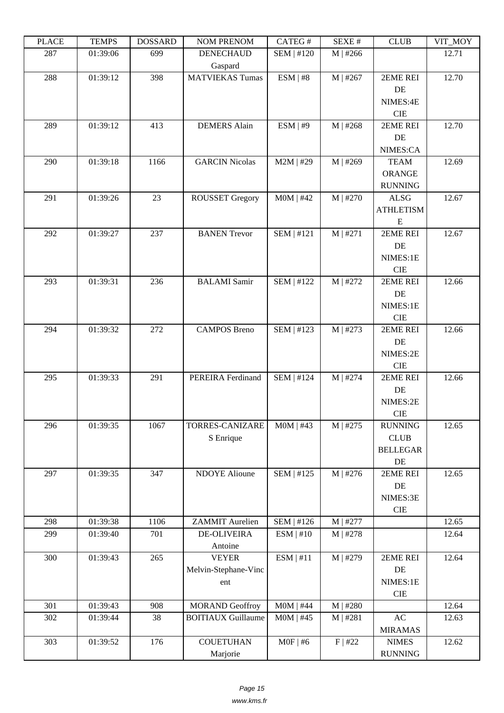| ם המדו | 1 LIVII D | חשממחת | <b>TAQIMET IZETAQIME</b>          | $CATEO \pi$       | л سد       | <b>CLOD</b>      | $V11$ $V1$ |
|--------|-----------|--------|-----------------------------------|-------------------|------------|------------------|------------|
| 287    | 01:39:06  | 699    | <b>DENECHAUD</b>                  | SEM   #120        | $M$   #266 |                  | 12.71      |
| 288    | 01:39:12  | 398    | Gaspard<br><b>MATVIEKAS Tumas</b> | ESM   #8          | $M$   #267 | 2EME REI         | 12.70      |
|        |           |        |                                   |                   |            | DE               |            |
|        |           |        |                                   |                   |            | NIMES:4E         |            |
|        |           |        |                                   |                   |            | $\rm CIE$        |            |
| 289    | 01:39:12  | 413    | <b>DEMERS</b> Alain               | ESM   #9          | M   #268   | 2EME REI         | 12.70      |
|        |           |        |                                   |                   |            | DE               |            |
|        |           |        |                                   |                   |            | NIMES:CA         |            |
| 290    | 01:39:18  | 1166   | <b>GARCIN Nicolas</b>             | $M2M$   #29       | M   #269   | <b>TEAM</b>      | 12.69      |
|        |           |        |                                   |                   |            | ORANGE           |            |
|        |           |        |                                   |                   |            | <b>RUNNING</b>   |            |
| 291    | 01:39:26  | 23     | <b>ROUSSET Gregory</b>            | $MOM$   #42       | M   #270   | <b>ALSG</b>      | 12.67      |
|        |           |        |                                   |                   |            | <b>ATHLETISM</b> |            |
|        |           |        |                                   |                   |            | ${\bf E}$        |            |
| 292    | 01:39:27  | 237    | <b>BANEN Trevor</b>               | <b>SEM   #121</b> | M   #271   | 2EME REI         | 12.67      |
|        |           |        |                                   |                   |            | DE               |            |
|        |           |        |                                   |                   |            | NIMES:1E         |            |
|        |           |        |                                   |                   |            | CIE              |            |
| 293    | 01:39:31  | 236    | <b>BALAMI</b> Samir               | <b>SEM   #122</b> | M   #272   | 2EME REI         | 12.66      |
|        |           |        |                                   |                   |            | DE               |            |
|        |           |        |                                   |                   |            | NIMES:1E         |            |
|        |           |        |                                   |                   |            | <b>CIE</b>       |            |
| 294    | 01:39:32  | 272    | <b>CAMPOS Breno</b>               | SEM   #123        | M   #273   | 2EME REI         | 12.66      |
|        |           |        |                                   |                   |            | DE               |            |
|        |           |        |                                   |                   |            | NIMES:2E         |            |
|        |           |        |                                   |                   |            | $\rm CIE$        |            |
| 295    | 01:39:33  | 291    | PEREIRA Ferdinand                 | <b>SEM   #124</b> | $M$   #274 | 2EME REI         | 12.66      |
|        |           |        |                                   |                   |            | DE               |            |
|        |           |        |                                   |                   |            | NIMES:2E         |            |
|        |           |        |                                   |                   |            | $\rm CIE$        |            |
| 296    | 01:39:35  | 1067   | TORRES-CANIZARE                   | $MOM$   #43       | M   #275   | <b>RUNNING</b>   | 12.65      |
|        |           |        | S Enrique                         |                   |            | <b>CLUB</b>      |            |
|        |           |        |                                   |                   |            | <b>BELLEGAR</b>  |            |
|        |           |        |                                   |                   |            | DE               |            |
| 297    | 01:39:35  | 347    | <b>NDOYE</b> Alioune              | SEM   #125        | M   #276   | 2EME REI         | 12.65      |
|        |           |        |                                   |                   |            | DE               |            |
|        |           |        |                                   |                   |            | NIMES:3E         |            |
| 298    | 01:39:38  | 1106   | <b>ZAMMIT</b> Aurelien            | SEM   #126        | $M$   #277 | CIE              | 12.65      |
| 299    | 01:39:40  | 701    | <b>DE-OLIVEIRA</b>                | ESM   #10         | M   #278   |                  | 12.64      |
|        |           |        | Antoine                           |                   |            |                  |            |
| 300    | 01:39:43  | 265    | <b>VEYER</b>                      | ESM   #11         | M   #279   | 2EME REI         | 12.64      |
|        |           |        | Melvin-Stephane-Vinc              |                   |            | DE               |            |
|        |           |        | ent                               |                   |            | NIMES:1E         |            |
|        |           |        |                                   |                   |            | $\rm CIE$        |            |
| 301    | 01:39:43  | 908    | <b>MORAND</b> Geoffroy            | $MOM$   #44       | M   #280   |                  | 12.64      |
| 302    | 01:39:44  | 38     | <b>BOITIAUX Guillaume</b>         | $MOM$   #45       | M   #281   | AC               | 12.63      |
|        |           |        |                                   |                   |            | <b>MIRAMAS</b>   |            |
| 303    | 01:39:52  | 176    | <b>COUETUHAN</b>                  | $MOF$   #6        | F   #22    | <b>NIMES</b>     | 12.62      |
|        |           |        | Marjorie                          |                   |            | <b>RUNNING</b>   |            |
|        |           |        |                                   |                   |            |                  |            |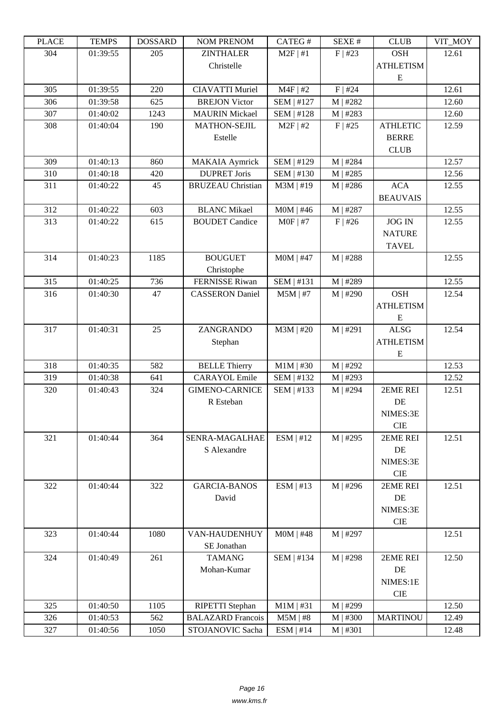| LLAUL | <u>ר דוגרדו</u> | <b>UUDDAIND</b> | I VUNI I I NEI VUNI                         | CATLO T           | υL/ΛL π    | CLUD             | VII_MUI |
|-------|-----------------|-----------------|---------------------------------------------|-------------------|------------|------------------|---------|
| 304   | 01:39:55        | 205             | <b>ZINTHALER</b>                            | $M2F$   #1        | $F$   #23  | <b>OSH</b>       | 12.61   |
|       |                 |                 | Christelle                                  |                   |            | <b>ATHLETISM</b> |         |
|       |                 |                 |                                             |                   |            | ${\bf E}$        |         |
| 305   | 01:39:55        | 220             | <b>CIAVATTI Muriel</b>                      | $M4F$   #2        | $F$   #24  |                  | 12.61   |
| 306   | 01:39:58        | 625             | <b>BREJON Victor</b>                        | SEM   #127        | M   #282   |                  | 12.60   |
| 307   | 01:40:02        | 1243            | <b>MAURIN</b> Mickael                       | <b>SEM   #128</b> | M   #283   |                  | 12.60   |
| 308   | 01:40:04        | 190             | <b>MATHON-SEJIL</b>                         | $M2F$   #2        | $F$   #25  | <b>ATHLETIC</b>  | 12.59   |
|       |                 |                 | Estelle                                     |                   |            | <b>BERRE</b>     |         |
|       |                 |                 |                                             |                   |            | <b>CLUB</b>      |         |
| 309   | 01:40:13        | 860             | <b>MAKAIA</b> Aymrick                       | SEM   #129        | $M$   #284 |                  | 12.57   |
| 310   | 01:40:18        | 420             | <b>DUPRET Joris</b>                         | SEM   #130        | M   #285   |                  | 12.56   |
| 311   | 01:40:22        | 45              | <b>BRUZEAU Christian</b>                    | $M3M$   #19       | M   #286   | <b>ACA</b>       | 12.55   |
|       |                 |                 |                                             |                   |            | <b>BEAUVAIS</b>  |         |
| 312   | 01:40:22        | 603             | <b>BLANC Mikael</b>                         | $MOM$   #46       | M   #287   |                  | 12.55   |
| 313   | 01:40:22        | 615             | <b>BOUDET</b> Candice                       | $MOF$   #7        | $F$   #26  | <b>JOG IN</b>    | 12.55   |
|       |                 |                 |                                             |                   |            | <b>NATURE</b>    |         |
|       |                 |                 |                                             |                   |            | <b>TAVEL</b>     |         |
| 314   | 01:40:23        | 1185            | <b>BOUGUET</b>                              | $MOM$   #47       | M   #288   |                  | 12.55   |
|       |                 |                 | Christophe                                  |                   |            |                  |         |
| 315   | 01:40:25        | 736             | <b>FERNISSE Riwan</b>                       | SEM   #131        | M   #289   |                  | 12.55   |
| 316   | 01:40:30        | 47              | <b>CASSERON</b> Daniel                      | $M5M$   #7        | M   #290   | <b>OSH</b>       | 12.54   |
|       |                 |                 |                                             |                   |            | <b>ATHLETISM</b> |         |
|       |                 |                 |                                             |                   |            | E                |         |
| 317   | 01:40:31        | 25              | ZANGRANDO                                   | $M3M$   #20       | M   #291   | <b>ALSG</b>      | 12.54   |
|       |                 |                 | Stephan                                     |                   |            | <b>ATHLETISM</b> |         |
|       |                 |                 |                                             |                   |            | Ε                |         |
| 318   | 01:40:35        | 582             | <b>BELLE Thierry</b>                        | $M1M$   #30       | M   #292   |                  | 12.53   |
| 319   | 01:40:38        | 641             | <b>CARAYOL</b> Emile                        | SEM   #132        | M   #293   |                  | 12.52   |
| 320   | 01:40:43        | 324             | <b>GIMENO-CARNICE</b>                       | SEM   #133        | $M$   #294 | 2EME REI         | 12.51   |
|       |                 |                 | R Esteban                                   |                   |            | DE               |         |
|       |                 |                 |                                             |                   |            | NIMES:3E         |         |
|       |                 |                 |                                             |                   |            | <b>CIE</b>       |         |
| 321   | 01:40:44        | 364             | SENRA-MAGALHAE                              | $ESM$   #12       | M   #295   | 2EME REI         | 12.51   |
|       |                 |                 | S Alexandre                                 |                   |            | DE               |         |
|       |                 |                 |                                             |                   |            | NIMES:3E         |         |
|       |                 |                 |                                             |                   |            | <b>CIE</b>       |         |
| 322   | 01:40:44        | 322             | <b>GARCIA-BANOS</b>                         | ESM   #13         | M   #296   | 2EME REI         | 12.51   |
|       |                 |                 | David                                       |                   |            | DE               |         |
|       |                 |                 |                                             |                   |            | NIMES:3E         |         |
|       |                 |                 |                                             |                   |            | CIE              |         |
| 323   | 01:40:44        | 1080            | VAN-HAUDENHUY                               | $MOM$   #48       | M   #297   |                  | 12.51   |
|       |                 |                 | SE Jonathan                                 |                   |            |                  |         |
| 324   | 01:40:49        | 261             | <b>TAMANG</b>                               | SEM   #134        | M   #298   | 2EME REI         | 12.50   |
|       |                 |                 | Mohan-Kumar                                 |                   |            | DE               |         |
|       |                 |                 |                                             |                   |            | NIMES:1E         |         |
|       |                 |                 |                                             |                   |            | $\rm CIE$        |         |
| 325   | 01:40:50        | 1105            |                                             | $M1M$   #31       | M   #299   |                  | 12.50   |
| 326   | 01:40:53        | 562             | RIPETTI Stephan<br><b>BALAZARD</b> Francois | $M5M$   #8        | M   #300   | <b>MARTINOU</b>  | 12.49   |
|       |                 |                 |                                             |                   |            |                  |         |
| 327   | 01:40:56        | 1050            | STOJANOVIC Sacha                            | ESM   #14         | M   #301   |                  | 12.48   |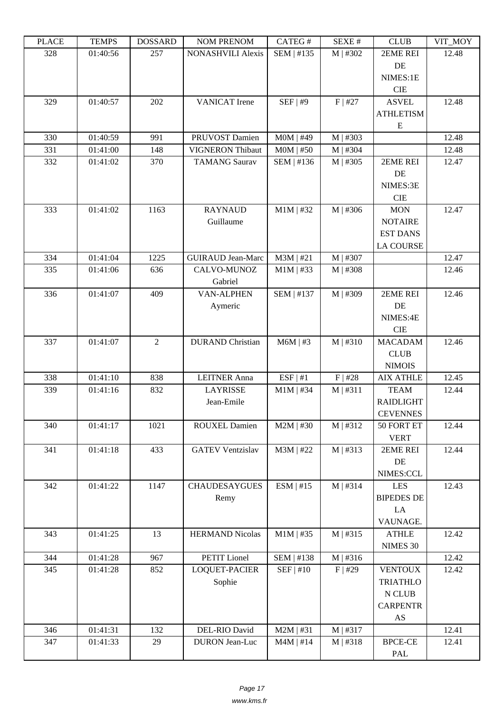| ם המדו | 1 LIVII D | DODDAND        | <b>INUMER IN THE PROPE</b> | $CATEO \pi$ | JLΛL π     | <b>CEOD</b>       | VII IVIUI |
|--------|-----------|----------------|----------------------------|-------------|------------|-------------------|-----------|
| 328    | 01:40:56  | 257            | <b>NONASHVILI Alexis</b>   | SEM   #135  | M   #302   | 2EME REI<br>DE    | 12.48     |
|        |           |                |                            |             |            | NIMES:1E          |           |
|        |           |                |                            |             |            | CIE               |           |
| 329    | 01:40:57  | 202            | <b>VANICAT</b> Irene       | SEF   #9    | $F$   #27  | <b>ASVEL</b>      | 12.48     |
|        |           |                |                            |             |            | <b>ATHLETISM</b>  |           |
|        |           |                |                            |             |            | E                 |           |
| 330    | 01:40:59  | 991            | PRUVOST Damien             | $MOM$   #49 | $M$   #303 |                   | 12.48     |
| 331    | 01:41:00  | 148            | VIGNERON Thibaut           | $MOM$   #50 | $M$   #304 |                   | 12.48     |
| 332    | 01:41:02  | 370            | <b>TAMANG</b> Saurav       | SEM   #136  | $M$   #305 | 2EME REI          | 12.47     |
|        |           |                |                            |             |            | DE                |           |
|        |           |                |                            |             |            | NIMES:3E          |           |
|        |           |                |                            |             |            | $\rm CIE$         |           |
| 333    | 01:41:02  | 1163           | <b>RAYNAUD</b>             | $M1M$   #32 | $M$   #306 | <b>MON</b>        | 12.47     |
|        |           |                | Guillaume                  |             |            | <b>NOTAIRE</b>    |           |
|        |           |                |                            |             |            | <b>EST DANS</b>   |           |
|        |           |                |                            |             |            | <b>LA COURSE</b>  |           |
| 334    | 01:41:04  | 1225           | <b>GUIRAUD Jean-Marc</b>   | $M3M$   #21 | $M$   #307 |                   | 12.47     |
| 335    | 01:41:06  | 636            | CALVO-MUNOZ                | $M1M$   #33 | $M$   #308 |                   | 12.46     |
|        |           |                | Gabriel                    |             |            |                   |           |
| 336    | 01:41:07  | 409            | <b>VAN-ALPHEN</b>          | SEM   #137  | $M$   #309 | 2EME REI          | 12.46     |
|        |           |                | Aymeric                    |             |            | DE                |           |
|        |           |                |                            |             |            | NIMES:4E          |           |
|        |           |                |                            |             |            | $\rm CIE$         |           |
| 337    | 01:41:07  | $\overline{2}$ | <b>DURAND</b> Christian    | $M6M$   #3  | M   #310   | <b>MACADAM</b>    | 12.46     |
|        |           |                |                            |             |            | <b>CLUB</b>       |           |
|        |           |                |                            |             |            | <b>NIMOIS</b>     |           |
| 338    | 01:41:10  | 838            | <b>LEITNER Anna</b>        | ESF   #1    | F   #28    | <b>AIX ATHLE</b>  | 12.45     |
| 339    | 01:41:16  | 832            | <b>LAYRISSE</b>            | $M1M$   #34 | M   #311   | <b>TEAM</b>       | 12.44     |
|        |           |                | Jean-Emile                 |             |            | <b>RAIDLIGHT</b>  |           |
|        |           |                |                            |             |            | <b>CEVENNES</b>   |           |
| 340    | 01:41:17  | 1021           | <b>ROUXEL Damien</b>       | $M2M$   #30 | M   #312   | 50 FORT ET        | 12.44     |
|        |           |                |                            |             |            | <b>VERT</b>       |           |
| 341    | 01:41:18  | 433            | <b>GATEV Ventzislav</b>    | $M3M$   #22 | M   #313   | 2EME REI          | 12.44     |
|        |           |                |                            |             |            | DE                |           |
|        |           |                |                            |             |            | NIMES:CCL         |           |
| 342    | 01:41:22  | 1147           | <b>CHAUDESAYGUES</b>       | $ESM$   #15 | M   #314   | <b>LES</b>        | 12.43     |
|        |           |                | Remy                       |             |            | <b>BIPEDES DE</b> |           |
|        |           |                |                            |             |            | LA                |           |
|        |           |                |                            |             |            | VAUNAGE.          |           |
| 343    | 01:41:25  | 13             | <b>HERMAND Nicolas</b>     | $M1M$   #35 | M   #315   | <b>ATHLE</b>      | 12.42     |
|        |           |                |                            |             |            | NIMES 30          |           |
| 344    | 01:41:28  | 967            | PETIT Lionel               | SEM   #138  | M   #316   |                   | 12.42     |
| 345    | 01:41:28  | 852            | LOQUET-PACIER              | SEF   #10   | $F$   #29  | <b>VENTOUX</b>    | 12.42     |
|        |           |                | Sophie                     |             |            | <b>TRIATHLO</b>   |           |
|        |           |                |                            |             |            | ${\bf N}$ CLUB    |           |
|        |           |                |                            |             |            | <b>CARPENTR</b>   |           |
|        |           |                |                            |             |            | AS                |           |
| 346    | 01:41:31  | 132            | DEL-RIO David              | $M2M$   #31 | M   #317   |                   | 12.41     |
| 347    | 01:41:33  | 29             | <b>DURON</b> Jean-Luc      | $M4M$   #14 | M   #318   | <b>BPCE-CE</b>    | 12.41     |
|        |           |                |                            |             |            | PAL               |           |
|        |           |                |                            |             |            |                   |           |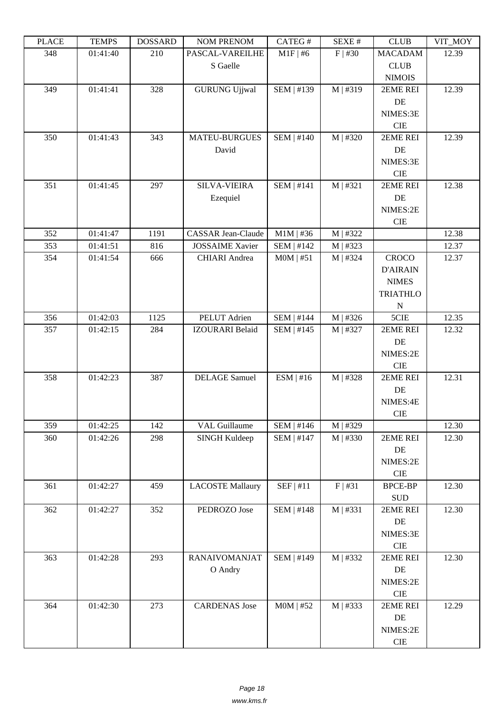| ם המדו | <b>TEIATI</b> 2 | DODDAIND | <b>TAQIMET IVERLAQIME</b> | $CALU \pi$        | л سد       | <b>CEOD</b>            | $V11$ $N1$ |
|--------|-----------------|----------|---------------------------|-------------------|------------|------------------------|------------|
| 348    | 01:41:40        | 210      | PASCAL-VAREILHE           | $M1F$   #6        | $F$   #30  | <b>MACADAM</b>         | 12.39      |
|        |                 |          | S Gaelle                  |                   |            | CLUB                   |            |
|        |                 |          |                           |                   |            | <b>NIMOIS</b>          |            |
| 349    | 01:41:41        | 328      | <b>GURUNG Ujjwal</b>      | SEM   #139        | M   #319   | 2EME REI               | 12.39      |
|        |                 |          |                           |                   |            | $\rm DE$               |            |
|        |                 |          |                           |                   |            | NIMES:3E               |            |
|        |                 |          |                           |                   |            | $\rm CIE$              |            |
| 350    | 01:41:43        | 343      | <b>MATEU-BURGUES</b>      | <b>SEM   #140</b> | M   #320   | 2EME REI               | 12.39      |
|        |                 |          | David                     |                   |            | DE                     |            |
|        |                 |          |                           |                   |            | NIMES:3E               |            |
|        |                 |          |                           |                   |            | $\rm CIE$              |            |
| 351    | 01:41:45        | 297      | <b>SILVA-VIEIRA</b>       | <b>SEM   #141</b> | M   #321   | 2EME REI               | 12.38      |
|        |                 |          | Ezequiel                  |                   |            | DE                     |            |
|        |                 |          |                           |                   |            | NIMES:2E<br><b>CIE</b> |            |
| 352    | 01:41:47        | 1191     | <b>CASSAR Jean-Claude</b> | $M1M$   #36       | M   #322   |                        | 12.38      |
| 353    | 01:41:51        | 816      | <b>JOSSAIME</b> Xavier    | <b>SEM   #142</b> | M   #323   |                        | 12.37      |
| 354    | 01:41:54        | 666      | <b>CHIARI</b> Andrea      | $MOM$   #51       | M   #324   | <b>CROCO</b>           | 12.37      |
|        |                 |          |                           |                   |            | <b>D'AIRAIN</b>        |            |
|        |                 |          |                           |                   |            | <b>NIMES</b>           |            |
|        |                 |          |                           |                   |            | <b>TRIATHLO</b>        |            |
|        |                 |          |                           |                   |            | $\mathbf N$            |            |
| 356    | 01:42:03        | 1125     | PELUT Adrien              | <b>SEM   #144</b> | M   #326   | 5CIE                   | 12.35      |
| 357    | 01:42:15        | 284      | <b>IZOURARI</b> Belaid    | $SEM$   #145      | $M$   #327 | 2EME REI               | 12.32      |
|        |                 |          |                           |                   |            | DE                     |            |
|        |                 |          |                           |                   |            | NIMES:2E               |            |
|        |                 |          |                           |                   |            | $\rm CIE$              |            |
| 358    | 01:42:23        | 387      | <b>DELAGE</b> Samuel      | ESM   #16         | M   #328   | 2EME REI               | 12.31      |
|        |                 |          |                           |                   |            | DE                     |            |
|        |                 |          |                           |                   |            | NIMES:4E               |            |
|        |                 |          |                           |                   |            | CIE                    |            |
| 359    | 01:42:25        | 142      | <b>VAL Guillaume</b>      | $SEM$   #146      | M   #329   |                        | 12.30      |
| 360    | 01:42:26        | 298      | <b>SINGH Kuldeep</b>      | <b>SEM   #147</b> | M   #330   | 2EME REI               | 12.30      |
|        |                 |          |                           |                   |            | DE                     |            |
|        |                 |          |                           |                   |            | NIMES:2E               |            |
|        |                 |          |                           |                   |            | ${\rm CIE}$            |            |
| 361    | 01:42:27        | 459      | <b>LACOSTE Mallaury</b>   | SEF   #11         | F   #31    | <b>BPCE-BP</b>         | 12.30      |
|        |                 |          |                           |                   |            | $\operatorname{SUB}$   |            |
| 362    | 01:42:27        | 352      | PEDROZO Jose              | <b>SEM   #148</b> | M   #331   | 2EME REI               | 12.30      |
|        |                 |          |                           |                   |            | DE                     |            |
|        |                 |          |                           |                   |            | NIMES:3E               |            |
|        |                 |          | <b>RANAIVOMANJAT</b>      |                   |            | ${\rm CIE}$            | 12.30      |
| 363    | 01:42:28        | 293      | O Andry                   | SEM   #149        | M   #332   | 2EME REI<br>DE         |            |
|        |                 |          |                           |                   |            | NIMES:2E               |            |
|        |                 |          |                           |                   |            | ${\rm CIE}$            |            |
| 364    | 01:42:30        | 273      | <b>CARDENAS</b> Jose      | $MOM$   #52       | M   #333   | 2EME REI               | 12.29      |
|        |                 |          |                           |                   |            | DE                     |            |
|        |                 |          |                           |                   |            | NIMES:2E               |            |
|        |                 |          |                           |                   |            | ${\rm CIE}$            |            |
|        |                 |          |                           |                   |            |                        |            |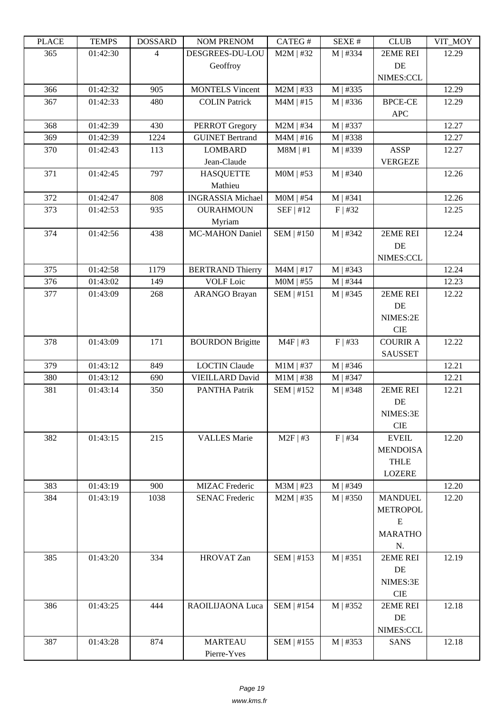| LLAUL      | ר TL'IVII            | <u> שעורוממטען</u> | <b>INUMER NETVUM</b>                            | CATLO T                    | DL/AL π              | CLUD            | YII_MUI        |
|------------|----------------------|--------------------|-------------------------------------------------|----------------------------|----------------------|-----------------|----------------|
| 365        | 01:42:30             | $\overline{4}$     | DESGREES-DU-LOU                                 | $M2M$   #32                | $M$   #334           | 2EME REI        | 12.29          |
|            |                      |                    | Geoffroy                                        |                            |                      | DE              |                |
|            |                      |                    |                                                 |                            |                      | NIMES:CCL       |                |
| 366        | 01:42:32             | 905                | <b>MONTELS Vincent</b>                          | $M2M$   #33                | M   #335             |                 | 12.29          |
| 367        | 01:42:33             | 480                | <b>COLIN Patrick</b>                            | $M4M$   #15                | M   #336             | <b>BPCE-CE</b>  | 12.29          |
|            |                      |                    |                                                 |                            |                      | <b>APC</b>      |                |
| 368<br>369 | 01:42:39<br>01:42:39 | 430<br>1224        | <b>PERROT</b> Gregory<br><b>GUINET Bertrand</b> | $M2M$   #34<br>$M4M$   #16 | M   #337<br>M   #338 |                 | 12.27<br>12.27 |
| 370        | 01:42:43             | 113                | <b>LOMBARD</b>                                  | $M8M$   #1                 | M   #339             | <b>ASSP</b>     | 12.27          |
|            |                      |                    | Jean-Claude                                     |                            |                      | <b>VERGEZE</b>  |                |
| 371        | 01:42:45             | 797                | <b>HASQUETTE</b>                                | $MOM$   #53                | M   #340             |                 | 12.26          |
|            |                      |                    | Mathieu                                         |                            |                      |                 |                |
| 372        | 01:42:47             | 808                | <b>INGRASSIA Michael</b>                        | $MOM$   #54                | $M$   #341           |                 | 12.26          |
| 373        | 01:42:53             | 935                | <b>OURAHMOUN</b>                                | SEF   #12                  | $F$   #32            |                 | 12.25          |
|            |                      |                    | Myriam                                          |                            |                      |                 |                |
| 374        | 01:42:56             | 438                | <b>MC-MAHON Daniel</b>                          | SEM   #150                 | M   #342             | 2EME REI        | 12.24          |
|            |                      |                    |                                                 |                            |                      | DE              |                |
|            |                      |                    |                                                 |                            |                      | NIMES:CCL       |                |
| 375        | 01:42:58             | 1179               | <b>BERTRAND Thierry</b>                         | $\overline{M}$ 4M   #17    | M   #343             |                 | 12.24          |
| 376        | 01:43:02             | 149                | <b>VOLF</b> Loic                                | $MOM$   #55                | M   #344             |                 | 12.23          |
| 377        | 01:43:09             | 268                | <b>ARANGO Brayan</b>                            | SEM   #151                 | $M$   #345           | 2EME REI        | 12.22          |
|            |                      |                    |                                                 |                            |                      | DE              |                |
|            |                      |                    |                                                 |                            |                      | NIMES:2E        |                |
|            |                      |                    |                                                 |                            |                      | <b>CIE</b>      |                |
| 378        | 01:43:09             | 171                | <b>BOURDON Brigitte</b>                         | $M4F$   #3                 | $F$   #33            | <b>COURIR A</b> | 12.22          |
|            |                      |                    |                                                 |                            |                      | <b>SAUSSET</b>  |                |
| 379        | 01:43:12             | 849                | <b>LOCTIN Claude</b>                            | $M1M$   #37                | M   #346             |                 | 12.21          |
| 380        | 01:43:12             | 690                | <b>VIEILLARD David</b>                          | $M1M$   #38                | M   #347             |                 | 12.21          |
| 381        | 01:43:14             | 350                | <b>PANTHA Patrik</b>                            | SEM   #152                 | M   #348             | 2EME REI        | 12.21          |
|            |                      |                    |                                                 |                            |                      | DE              |                |
|            |                      |                    |                                                 |                            |                      | NIMES:3E        |                |
|            |                      |                    |                                                 |                            |                      | <b>CIE</b>      |                |
| 382        | 01:43:15             | 215                | <b>VALLES Marie</b>                             | $M2F$   #3                 | $F$   #34            | <b>EVEIL</b>    | 12.20          |
|            |                      |                    |                                                 |                            |                      | <b>MENDOISA</b> |                |
|            |                      |                    |                                                 |                            |                      | <b>THLE</b>     |                |
| 383        |                      | 900                |                                                 |                            |                      | <b>LOZERE</b>   | 12.20          |
| 384        | 01:43:19<br>01:43:19 | 1038               | MIZAC Frederic<br><b>SENAC Frederic</b>         | $M3M$   #23<br>$M2M$   #35 | M   #349<br>M   #350 | <b>MANDUEL</b>  | 12.20          |
|            |                      |                    |                                                 |                            |                      | <b>METROPOL</b> |                |
|            |                      |                    |                                                 |                            |                      | ${\bf E}$       |                |
|            |                      |                    |                                                 |                            |                      | <b>MARATHO</b>  |                |
|            |                      |                    |                                                 |                            |                      | N.              |                |
| 385        | 01:43:20             | 334                | <b>HROVAT Zan</b>                               | SEM   #153                 | M   #351             | 2EME REI        | 12.19          |
|            |                      |                    |                                                 |                            |                      | DE              |                |
|            |                      |                    |                                                 |                            |                      | NIMES:3E        |                |
|            |                      |                    |                                                 |                            |                      | <b>CIE</b>      |                |
| 386        | 01:43:25             | 444                | RAOILIJAONA Luca                                | SEM   #154                 | M   #352             | 2EME REI        | 12.18          |
|            |                      |                    |                                                 |                            |                      | DE              |                |
|            |                      |                    |                                                 |                            |                      | NIMES:CCL       |                |
| 387        | 01:43:28             | 874                | <b>MARTEAU</b>                                  | SEM   #155                 | M   #353             | <b>SANS</b>     | 12.18          |
|            |                      |                    | Pierre-Yves                                     |                            |                      |                 |                |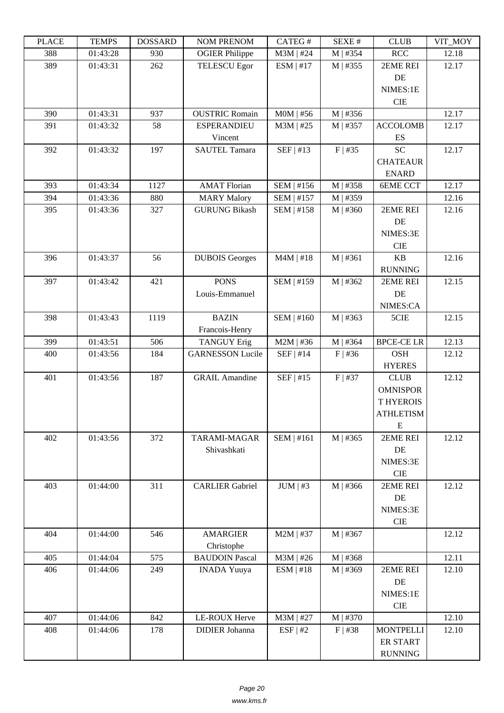| i lati | ט וואדד ד | חשממחת | <b>TAOIM I IVETAOIM</b>                       | $CALU \pi$        | л سد       | <b>CLUD</b>      | $V11$ $N1$ |
|--------|-----------|--------|-----------------------------------------------|-------------------|------------|------------------|------------|
| 388    | 01:43:28  | 930    | <b>OGIER Philippe</b>                         | $M3M$   #24       | $M$   #354 | <b>RCC</b>       | 12.18      |
| 389    | 01:43:31  | 262    | <b>TELESCU Egor</b>                           | $ESM$   #17       | M   #355   | 2EME REI         | 12.17      |
|        |           |        |                                               |                   |            | DE               |            |
|        |           |        |                                               |                   |            | NIMES:1E         |            |
|        |           |        |                                               |                   |            | <b>CIE</b>       |            |
| 390    | 01:43:31  | 937    | <b>OUSTRIC Romain</b>                         | $MOM$   #56       | M   #356   |                  | 12.17      |
| 391    | 01:43:32  | 58     | <b>ESPERANDIEU</b>                            | $M3M$   #25       | $M$   #357 | <b>ACCOLOMB</b>  | 12.17      |
|        |           |        | Vincent                                       |                   |            | ES               |            |
| 392    | 01:43:32  | 197    | <b>SAUTEL Tamara</b>                          | SEF   #13         | $F$   #35  | <b>SC</b>        | 12.17      |
|        |           |        |                                               |                   |            | <b>CHATEAUR</b>  |            |
|        |           |        |                                               |                   |            | <b>ENARD</b>     |            |
| 393    | 01:43:34  | 1127   | <b>AMAT Florian</b>                           | SEM   #156        | M   #358   | <b>6EME CCT</b>  | 12.17      |
| 394    | 01:43:36  | 880    | <b>MARY Malory</b>                            | $SEM$   #157      | M   #359   |                  | 12.16      |
| 395    | 01:43:36  | 327    | <b>GURUNG Bikash</b>                          | SEM   #158        | M   #360   | 2EME REI         | 12.16      |
|        |           |        |                                               |                   |            | DE               |            |
|        |           |        |                                               |                   |            | NIMES:3E         |            |
|        |           |        |                                               |                   |            | <b>CIE</b>       |            |
| 396    | 01:43:37  | 56     | <b>DUBOIS</b> Georges                         | $M4M$   #18       | M   #361   | KB               | 12.16      |
|        |           |        |                                               |                   |            | <b>RUNNING</b>   |            |
| 397    | 01:43:42  | 421    | <b>PONS</b>                                   | <b>SEM   #159</b> | M   #362   | 2EME REI         | 12.15      |
|        |           |        | Louis-Emmanuel                                |                   |            | DE               |            |
|        |           |        |                                               |                   |            | NIMES:CA         |            |
| 398    | 01:43:43  | 1119   | <b>BAZIN</b>                                  | SEM   #160        | $M$   #363 | 5CIE             | 12.15      |
|        |           |        |                                               |                   |            |                  |            |
| 399    | 01:43:51  | 506    | Francois-Henry                                | $M2M$   #36       | M   #364   | <b>BPCE-CELR</b> | 12.13      |
| 400    |           | 184    | <b>TANGUY Erig</b><br><b>GARNESSON Lucile</b> |                   |            | <b>OSH</b>       |            |
|        | 01:43:56  |        |                                               | $SEF$   #14       | $F$ #36    |                  | 12.12      |
| 401    |           | 187    | <b>GRAIL Amandine</b>                         | $SEF$   #15       |            | <b>HYERES</b>    |            |
|        | 01:43:56  |        |                                               |                   | $F$   #37  | CLUB             | 12.12      |
|        |           |        |                                               |                   |            | <b>OMNISPOR</b>  |            |
|        |           |        |                                               |                   |            | <b>T HYEROIS</b> |            |
|        |           |        |                                               |                   |            | <b>ATHLETISM</b> |            |
|        |           |        |                                               |                   |            | E                |            |
| 402    | 01:43:56  | 372    | TARAMI-MAGAR                                  | SEM   #161        | $M$   #365 | 2EME REI         | 12.12      |
|        |           |        | Shivashkati                                   |                   |            | DE               |            |
|        |           |        |                                               |                   |            | NIMES:3E         |            |
|        |           |        |                                               |                   |            | CIE              |            |
| 403    | 01:44:00  | 311    | <b>CARLIER Gabriel</b>                        | $JUM$   #3        | M   #366   | 2EME REI         | 12.12      |
|        |           |        |                                               |                   |            | DE               |            |
|        |           |        |                                               |                   |            | NIMES:3E         |            |
|        |           |        |                                               |                   |            | <b>CIE</b>       |            |
| 404    | 01:44:00  | 546    | <b>AMARGIER</b>                               | $M2M$   #37       | M   #367   |                  | 12.12      |
|        |           |        | Christophe                                    |                   |            |                  |            |
| 405    | 01:44:04  | 575    | <b>BAUDOIN Pascal</b>                         | $M3M$   #26       | M   #368   |                  | 12.11      |
| 406    | 01:44:06  | 249    | <b>INADA Yuuya</b>                            | ESM   #18         | M   #369   | 2EME REI         | 12.10      |
|        |           |        |                                               |                   |            | DE               |            |
|        |           |        |                                               |                   |            | NIMES:1E         |            |
|        |           |        |                                               |                   |            | $\rm CIE$        |            |
| 407    | 01:44:06  | 842    | LE-ROUX Herve                                 | M3M   #27         | M   #370   |                  | 12.10      |
| 408    | 01:44:06  | 178    | <b>DIDIER</b> Johanna                         | ESF   #2          | $F$ #38    | <b>MONTPELLI</b> | 12.10      |
|        |           |        |                                               |                   |            | ER START         |            |
|        |           |        |                                               |                   |            | <b>RUNNING</b>   |            |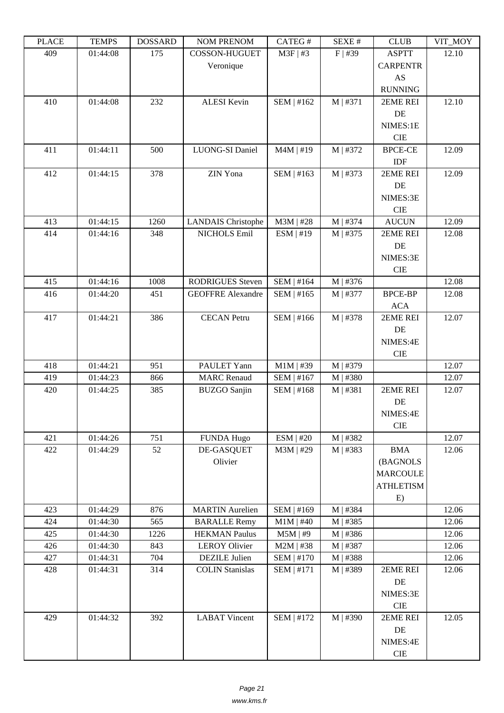| I LAUD | L LIVIL D | <b>DOPPULP</b> | <b>TAQIM T IZETAQIMI</b>  | $CALU \pi$  | NL/NL π    | <b>CLOD</b>      | $V11$ $V1$ |
|--------|-----------|----------------|---------------------------|-------------|------------|------------------|------------|
| 409    | 01:44:08  | 175            | <b>COSSON-HUGUET</b>      | $M3F$   #3  | $F$   #39  | <b>ASPTT</b>     | 12.10      |
|        |           |                | Veronique                 |             |            | <b>CARPENTR</b>  |            |
|        |           |                |                           |             |            | AS               |            |
|        |           |                |                           |             |            | <b>RUNNING</b>   |            |
| 410    | 01:44:08  | 232            | <b>ALESI Kevin</b>        | SEM   #162  | M   #371   | 2EME REI         | 12.10      |
|        |           |                |                           |             |            | DE               |            |
|        |           |                |                           |             |            | NIMES:1E         |            |
|        |           |                |                           |             |            | <b>CIE</b>       |            |
| 411    | 01:44:11  | 500            | LUONG-SI Daniel           | $M4M$   #19 | M   #372   | <b>BPCE-CE</b>   | 12.09      |
|        |           |                |                           |             |            | IDF              |            |
| 412    | 01:44:15  | 378            | ZIN Yona                  | SEM   #163  | M   #373   | 2EME REI         | 12.09      |
|        |           |                |                           |             |            | DE               |            |
|        |           |                |                           |             |            | NIMES:3E         |            |
|        |           |                |                           |             |            | <b>CIE</b>       |            |
| 413    | 01:44:15  | 1260           | <b>LANDAIS</b> Christophe | $M3M$   #28 | $M$   #374 | <b>AUCUN</b>     | 12.09      |
| 414    | 01:44:16  | 348            | NICHOLS Emil              | ESM   #19   | $M$   #375 | 2EME REI         | 12.08      |
|        |           |                |                           |             |            | DE               |            |
|        |           |                |                           |             |            | NIMES:3E         |            |
|        |           |                |                           |             |            | <b>CIE</b>       |            |
| 415    | 01:44:16  |                |                           |             |            |                  |            |
|        |           | 1008           | <b>RODRIGUES</b> Steven   | SEM   #164  | M   #376   |                  | 12.08      |
| 416    | 01:44:20  | 451            | <b>GEOFFRE Alexandre</b>  | SEM   #165  | M   #377   | <b>BPCE-BP</b>   | 12.08      |
|        |           |                |                           |             |            | <b>ACA</b>       |            |
| 417    | 01:44:21  | 386            | <b>CECAN</b> Petru        | SEM   #166  | M   #378   | 2EME REI         | 12.07      |
|        |           |                |                           |             |            | DE               |            |
|        |           |                |                           |             |            | NIMES:4E         |            |
|        |           |                |                           |             |            | <b>CIE</b>       |            |
| 418    | 01:44:21  | 951            | PAULET Yann               | $M1M$   #39 | M   #379   |                  | 12.07      |
| 419    | 01:44:23  | 866            | <b>MARC</b> Renaud        | SEM   #167  | M   #380   |                  | 12.07      |
| 420    | 01:44:25  | 385            | <b>BUZGO</b> Sanjin       | SEM   #168  | M   #381   | 2EME REI         | 12.07      |
|        |           |                |                           |             |            | DE               |            |
|        |           |                |                           |             |            | NIMES:4E         |            |
|        |           |                |                           |             |            | <b>CIE</b>       |            |
| 421    | 01:44:26  | 751            | <b>FUNDA Hugo</b>         | ESM   #20   | M   #382   |                  | 12.07      |
| 422    | 01:44:29  | 52             | DE-GASQUET                | $M3M$   #29 | M   #383   | <b>BMA</b>       | 12.06      |
|        |           |                | Olivier                   |             |            | (BAGNOLS         |            |
|        |           |                |                           |             |            | <b>MARCOULE</b>  |            |
|        |           |                |                           |             |            | <b>ATHLETISM</b> |            |
|        |           |                |                           |             |            | E)               |            |
| 423    | 01:44:29  | 876            | <b>MARTIN</b> Aurelien    | SEM   #169  | M   #384   |                  | 12.06      |
| 424    | 01:44:30  | 565            | <b>BARALLE Remy</b>       | $M1M$   #40 | $M$   #385 |                  | 12.06      |
| 425    | 01:44:30  | 1226           | <b>HEKMAN Paulus</b>      | $M5M$   #9  | M   #386   |                  | 12.06      |
| 426    | 01:44:30  | 843            | <b>LEROY Olivier</b>      | $M2M$   #38 | M   #387   |                  | 12.06      |
| 427    | 01:44:31  | 704            | <b>DEZILE</b> Julien      | SEM   #170  | M   #388   |                  | 12.06      |
| 428    | 01:44:31  | 314            | <b>COLIN Stanislas</b>    | SEM   #171  | M   #389   | 2EME REI         | 12.06      |
|        |           |                |                           |             |            | DE               |            |
|        |           |                |                           |             |            | NIMES:3E         |            |
|        |           |                |                           |             |            | CIE              |            |
| 429    | 01:44:32  | 392            | <b>LABAT Vincent</b>      | SEM   #172  | M   #390   | 2EME REI         | 12.05      |
|        |           |                |                           |             |            | DE               |            |
|        |           |                |                           |             |            | NIMES:4E         |            |
|        |           |                |                           |             |            | $\rm CIE$        |            |
|        |           |                |                           |             |            |                  |            |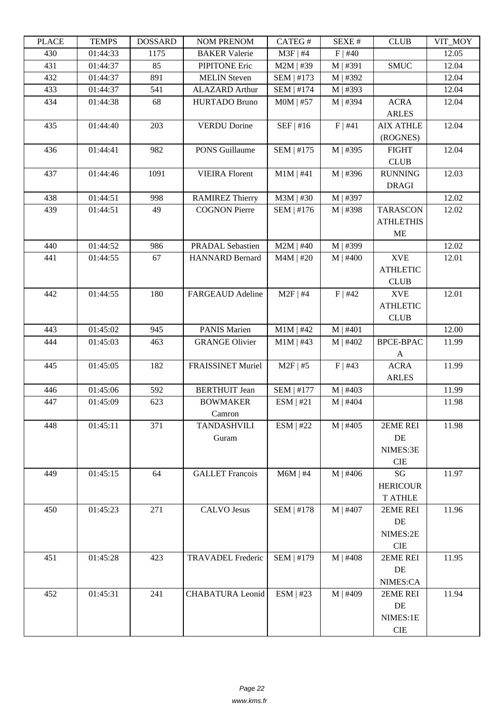| LLAUL | L LIVIII D | <b>UUUUUUU</b> | I'UM I KEIVUM            | CATLOT            | ד בר⁄זבט   | CLUD             | VII_MUI |
|-------|------------|----------------|--------------------------|-------------------|------------|------------------|---------|
| 430   | 01:44:33   | 1175           | <b>BAKER Valerie</b>     | $M3F$   #4        | $F$   #40  |                  | 12.05   |
| 431   | 01:44:37   | 85             | <b>PIPITONE Eric</b>     | $M2M$   #39       | M   #391   | <b>SMUC</b>      | 12.04   |
| 432   | 01:44:37   | 891            | <b>MELIN</b> Steven      | SEM   #173        | M   #392   |                  | 12.04   |
| 433   | 01:44:37   | 541            | <b>ALAZARD</b> Arthur    | SEM   #174        | M   #393   |                  | 12.04   |
| 434   | 01:44:38   | 68             | <b>HURTADO Bruno</b>     | $MOM$   #57       | M   #394   | <b>ACRA</b>      | 12.04   |
|       |            |                |                          |                   |            | <b>ARLES</b>     |         |
| 435   | 01:44:40   | 203            | <b>VERDU Dorine</b>      | SEF   #16         | F   #41    | <b>AIX ATHLE</b> | 12.04   |
|       |            |                |                          |                   |            | (ROGNES)         |         |
| 436   | 01:44:41   | 982            | PONS Guillaume           | SEM   #175        | M   #395   | <b>FIGHT</b>     | 12.04   |
|       |            |                |                          |                   |            | <b>CLUB</b>      |         |
| 437   | 01:44:46   | 1091           | <b>VIEIRA Florent</b>    | $M1M$   #41       | M   #396   | <b>RUNNING</b>   | 12.03   |
|       |            |                |                          |                   |            | <b>DRAGI</b>     |         |
| 438   | 01:44:51   | 998            | <b>RAMIREZ Thierry</b>   | $M3M$   #30       | M   #397   |                  | 12.02   |
| 439   | 01:44:51   | 49             | <b>COGNON Pierre</b>     | SEM   #176        | M   #398   | <b>TARASCON</b>  | 12.02   |
|       |            |                |                          |                   |            | <b>ATHLETHIS</b> |         |
|       |            |                |                          |                   |            |                  |         |
|       |            |                |                          |                   |            | <b>ME</b>        |         |
| 440   | 01:44:52   | 986            | PRADAL Sebastien         | $M2M$   #40       | M   #399   |                  | 12.02   |
| 441   | 01:44:55   | 67             | <b>HANNARD Bernard</b>   | $M4M$   #20       | $M$   #400 | <b>XVE</b>       | 12.01   |
|       |            |                |                          |                   |            | <b>ATHLETIC</b>  |         |
|       |            |                |                          |                   |            | <b>CLUB</b>      |         |
| 442   | 01:44:55   | 180            | <b>FARGEAUD Adeline</b>  | $M2F$   #4        | $F$   #42  | <b>XVE</b>       | 12.01   |
|       |            |                |                          |                   |            | <b>ATHLETIC</b>  |         |
|       |            |                |                          |                   |            | <b>CLUB</b>      |         |
| 443   | 01:45:02   | 945            | <b>PANIS Marien</b>      | $M1M$   #42       | M   #401   |                  | 12.00   |
| 444   | 01:45:03   | 463            | <b>GRANGE Olivier</b>    | $M1M$   #43       | $M$   #402 | <b>BPCE-BPAC</b> | 11.99   |
|       |            |                |                          |                   |            | A                |         |
| 445   | 01:45:05   | 182            | <b>FRAISSINET Muriel</b> | $M2F$   #5        | $F$   #43  | <b>ACRA</b>      | 11.99   |
|       |            |                |                          |                   |            | <b>ARLES</b>     |         |
| 446   | 01:45:06   | 592            | <b>BERTHUIT</b> Jean     | SEM   #177        | $M$   #403 |                  | 11.99   |
| 447   | 01:45:09   | 623            | <b>BOWMAKER</b>          | ESM   #21         | $M$   #404 |                  | 11.98   |
|       |            |                | Camron                   |                   |            |                  |         |
| 448   | 01:45:11   | 371            | <b>TANDASHVILI</b>       | ESM   #22         | $M$   #405 | 2EME REI         | 11.98   |
|       |            |                | Guram                    |                   |            | DE               |         |
|       |            |                |                          |                   |            | NIMES:3E         |         |
|       |            |                |                          |                   |            | CIE              |         |
| 449   | 01:45:15   | 64             | <b>GALLET</b> Francois   | $M6M$   #4        | $M$   #406 | SG               | 11.97   |
|       |            |                |                          |                   |            | <b>HERICOUR</b>  |         |
|       |            |                |                          |                   |            | <b>T ATHLE</b>   |         |
| 450   | 01:45:23   | 271            | <b>CALVO Jesus</b>       | <b>SEM   #178</b> | M   #407   | 2EME REI         | 11.96   |
|       |            |                |                          |                   |            | DE               |         |
|       |            |                |                          |                   |            | NIMES:2E         |         |
|       |            |                |                          |                   |            | <b>CIE</b>       |         |
| 451   | 01:45:28   | 423            | <b>TRAVADEL Frederic</b> | SEM   #179        | $M$   #408 | 2EME REI         | 11.95   |
|       |            |                |                          |                   |            | DE               |         |
|       |            |                |                          |                   |            |                  |         |
|       |            |                |                          |                   |            | NIMES:CA         |         |
| 452   | 01:45:31   | 241            | <b>CHABATURA Leonid</b>  | ESM   #23         | $M$   #409 | 2EME REI         | 11.94   |
|       |            |                |                          |                   |            | DE               |         |
|       |            |                |                          |                   |            | NIMES:1E         |         |
|       |            |                |                          |                   |            | $\rm CIE$        |         |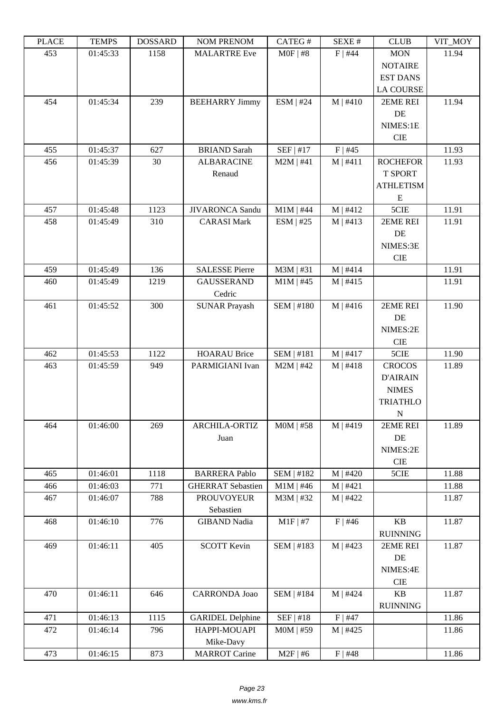| ם בתונד | L LIVIL D | DODDAIND | <b>INOINET IVERFOINE</b>          | CAILO T           | π تىدىد    | <b>CLOD</b>                         | VII IVIUI |
|---------|-----------|----------|-----------------------------------|-------------------|------------|-------------------------------------|-----------|
| 453     | 01:45:33  | 1158     | <b>MALARTRE Eve</b>               | $MOF$   #8        | $F$   #44  | <b>MON</b><br><b>NOTAIRE</b>        | 11.94     |
|         |           |          |                                   |                   |            | <b>EST DANS</b><br><b>LA COURSE</b> |           |
| 454     | 01:45:34  | 239      | <b>BEEHARRY Jimmy</b>             | ESM   #24         | $M$   #410 | 2EME REI                            | 11.94     |
|         |           |          |                                   |                   |            | DE                                  |           |
|         |           |          |                                   |                   |            | NIMES:1E                            |           |
|         |           |          |                                   |                   |            | <b>CIE</b>                          |           |
| 455     | 01:45:37  | 627      | <b>BRIAND</b> Sarah               | SEF   #17         | $F$   #45  |                                     | 11.93     |
| 456     | 01:45:39  | 30       | <b>ALBARACINE</b>                 | $M2M$   #41       | M   #411   | <b>ROCHEFOR</b>                     | 11.93     |
|         |           |          | Renaud                            |                   |            | <b>T SPORT</b>                      |           |
|         |           |          |                                   |                   |            | <b>ATHLETISM</b>                    |           |
|         |           |          |                                   |                   |            | E                                   |           |
| 457     | 01:45:48  | 1123     | <b>JIVARONCA</b> Sandu            | $M1M$   #44       | M   #412   | 5CIE                                | 11.91     |
| 458     | 01:45:49  | 310      | <b>CARASI Mark</b>                | $ESM$   #25       | M   #413   | 2EME REI                            | 11.91     |
|         |           |          |                                   |                   |            | DE<br>NIMES:3E                      |           |
|         |           |          |                                   |                   |            | CIE                                 |           |
| 459     | 01:45:49  | 136      | <b>SALESSE Pierre</b>             | $M3M$   #31       | $M$   #414 |                                     | 11.91     |
| 460     | 01:45:49  | 1219     | <b>GAUSSERAND</b>                 | $M1M$   #45       | M   #415   |                                     | 11.91     |
|         |           |          | Cedric                            |                   |            |                                     |           |
| 461     | 01:45:52  | 300      | <b>SUNAR Prayash</b>              | <b>SEM   #180</b> | M   #416   | 2EME REI                            | 11.90     |
|         |           |          |                                   |                   |            | DE                                  |           |
|         |           |          |                                   |                   |            | NIMES:2E                            |           |
|         |           |          |                                   |                   |            | <b>CIE</b>                          |           |
| 462     | 01:45:53  | 1122     | <b>HOARAU Brice</b>               | <b>SEM   #181</b> | $M$   #417 | 5CIE                                | 11.90     |
| 463     | 01:45:59  | 949      | PARMIGIANI Ivan                   | $M2M$   #42       | M   #418   | <b>CROCOS</b>                       | 11.89     |
|         |           |          |                                   |                   |            | <b>D'AIRAIN</b>                     |           |
|         |           |          |                                   |                   |            | <b>NIMES</b>                        |           |
|         |           |          |                                   |                   |            | <b>TRIATHLO</b>                     |           |
|         |           |          |                                   |                   |            | ${\bf N}$                           |           |
| 464     | 01:46:00  | 269      | <b>ARCHILA-ORTIZ</b>              | $MOM$   #58       | M   #419   | 2EME REI                            | 11.89     |
|         |           |          | Juan                              |                   |            | DE<br>NIMES:2E                      |           |
|         |           |          |                                   |                   |            | CIE                                 |           |
| 465     | 01:46:01  | 1118     | <b>BARRERA Pablo</b>              | SEM   #182        | M   #420   | 5CIE                                | 11.88     |
| 466     | 01:46:03  | 771      | <b>GHERRAT Sebastien</b>          | $M1M$   #46       | M   #421   |                                     | 11.88     |
| 467     | 01:46:07  | 788      | <b>PROUVOYEUR</b>                 | $M3M$   #32       | M   #422   |                                     | 11.87     |
|         |           |          | Sebastien                         |                   |            |                                     |           |
| 468     | 01:46:10  | 776      | <b>GIBAND Nadia</b>               | $M1F$   #7        | $F$   #46  | KB                                  | 11.87     |
|         |           |          |                                   |                   |            | <b>RUINNING</b>                     |           |
| 469     | 01:46:11  | 405      | <b>SCOTT Kevin</b>                | SEM   #183        | M   #423   | 2EME REI                            | 11.87     |
|         |           |          |                                   |                   |            | DE                                  |           |
|         |           |          |                                   |                   |            | NIMES:4E                            |           |
|         |           |          |                                   |                   |            | CIE                                 |           |
| 470     | 01:46:11  | 646      | <b>CARRONDA Joao</b>              | SEM   #184        | $M$   #424 | $\mathbf{KB}$                       | 11.87     |
|         |           |          |                                   |                   |            | <b>RUINNING</b>                     |           |
| 471     | 01:46:13  | 1115     | <b>GARIDEL Delphine</b>           | SEF   #18         | $F$   #47  |                                     | 11.86     |
| 472     | 01:46:14  | 796      | HAPPI-MOUAPI                      | $MOM$   #59       | $M$   #425 |                                     | 11.86     |
| 473     | 01:46:15  | 873      | Mike-Davy<br><b>MARROT</b> Carine | $M2F$   #6        |            |                                     |           |
|         |           |          |                                   |                   | $F$   #48  |                                     | 11.86     |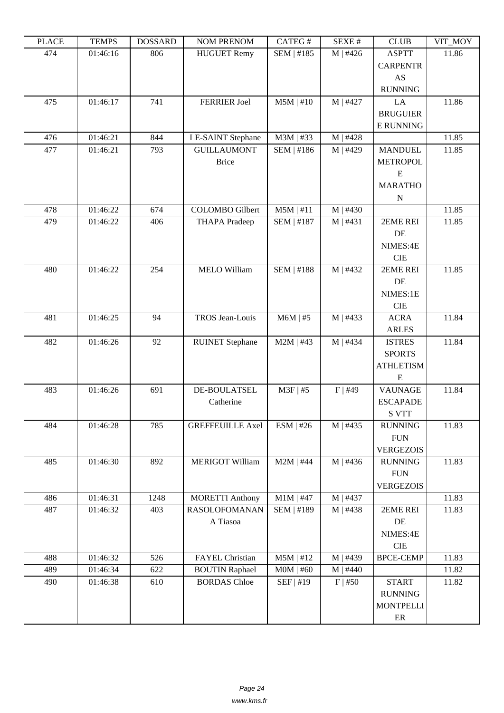| LLAVE | L LIVIII IJ | <u> תעדיממטע</u> | I'UM I KEIVUM            | CATLOT            | DL/AL π    | CLUD             | YII_MUI |
|-------|-------------|------------------|--------------------------|-------------------|------------|------------------|---------|
| 474   | 01:46:16    | 806              | <b>HUGUET Remy</b>       | SEM   #185        | $M$   #426 | <b>ASPTT</b>     | 11.86   |
|       |             |                  |                          |                   |            | <b>CARPENTR</b>  |         |
|       |             |                  |                          |                   |            | AS               |         |
|       |             |                  |                          |                   |            | <b>RUNNING</b>   |         |
| 475   | 01:46:17    | 741              | <b>FERRIER Joel</b>      | $M5M$   #10       | M   #427   | LA               | 11.86   |
|       |             |                  |                          |                   |            | <b>BRUGUIER</b>  |         |
|       |             |                  |                          |                   |            | <b>E RUNNING</b> |         |
| 476   | 01:46:21    | 844              | <b>LE-SAINT Stephane</b> | M3M   #33         | M   #428   |                  | 11.85   |
| 477   | 01:46:21    | 793              | <b>GUILLAUMONT</b>       | SEM   #186        | M   #429   | <b>MANDUEL</b>   | 11.85   |
|       |             |                  | <b>Brice</b>             |                   |            | <b>METROPOL</b>  |         |
|       |             |                  |                          |                   |            | ${\bf E}$        |         |
|       |             |                  |                          |                   |            | <b>MARATHO</b>   |         |
|       |             |                  |                          |                   |            | $\mathbf N$      |         |
| 478   | 01:46:22    | 674              | <b>COLOMBO</b> Gilbert   | $M5M$   #11       | $M$   #430 |                  | 11.85   |
| 479   | 01:46:22    | 406              | <b>THAPA</b> Pradeep     | SEM   #187        | M   #431   | 2EME REI         | 11.85   |
|       |             |                  |                          |                   |            | DE               |         |
|       |             |                  |                          |                   |            | NIMES:4E         |         |
|       |             |                  |                          |                   |            | <b>CIE</b>       |         |
| 480   | 01:46:22    | 254              | <b>MELO William</b>      | <b>SEM   #188</b> | M   #432   | 2EME REI         | 11.85   |
|       |             |                  |                          |                   |            | DE               |         |
|       |             |                  |                          |                   |            | NIMES:1E         |         |
|       |             |                  |                          |                   |            | <b>CIE</b>       |         |
| 481   | 01:46:25    | 94               | TROS Jean-Louis          | $M6M$   #5        | M   #433   | <b>ACRA</b>      | 11.84   |
|       |             |                  |                          |                   |            | <b>ARLES</b>     |         |
| 482   | 01:46:26    | 92               | <b>RUINET</b> Stephane   | $M2M$   #43       | M   #434   | <b>ISTRES</b>    | 11.84   |
|       |             |                  |                          |                   |            | <b>SPORTS</b>    |         |
|       |             |                  |                          |                   |            | <b>ATHLETISM</b> |         |
|       |             |                  |                          |                   |            | E                |         |
| 483   | 01:46:26    | 691              | DE-BOULATSEL             | $M3F$   #5        | $F$   #49  | <b>VAUNAGE</b>   | 11.84   |
|       |             |                  | Catherine                |                   |            | <b>ESCAPADE</b>  |         |
|       |             |                  |                          |                   |            | <b>S VTT</b>     |         |
| 484   | 01:46:28    | 785              | <b>GREFFEUILLE Axel</b>  | ESM   #26         | $M$   #435 | <b>RUNNING</b>   | 11.83   |
|       |             |                  |                          |                   |            | <b>FUN</b>       |         |
|       |             |                  |                          |                   |            | <b>VERGEZOIS</b> |         |
| 485   | 01:46:30    | 892              | <b>MERIGOT William</b>   | $M2M$   #44       | $M$   #436 | <b>RUNNING</b>   | 11.83   |
|       |             |                  |                          |                   |            | <b>FUN</b>       |         |
|       |             |                  |                          |                   |            | <b>VERGEZOIS</b> |         |
| 486   | 01:46:31    | 1248             | <b>MORETTI Anthony</b>   | $M1M$   #47       | M   #437   |                  | 11.83   |
| 487   | 01:46:32    | 403              | <b>RASOLOFOMANAN</b>     | SEM   #189        | M   #438   | 2EME REI         | 11.83   |
|       |             |                  | A Tiasoa                 |                   |            | $\rm DE$         |         |
|       |             |                  |                          |                   |            | NIMES:4E         |         |
|       |             |                  |                          |                   |            | <b>CIE</b>       |         |
| 488   | 01:46:32    | 526              | FAYEL Christian          | $M5M$   #12       | M   #439   | <b>BPCE-CEMP</b> | 11.83   |
| 489   | 01:46:34    | 622              | <b>BOUTIN Raphael</b>    | $MOM$   #60       | M   #440   |                  | 11.82   |
| 490   | 01:46:38    | 610              | <b>BORDAS</b> Chloe      | SEF   #19         | $F$   #50  | <b>START</b>     | 11.82   |
|       |             |                  |                          |                   |            | <b>RUNNING</b>   |         |
|       |             |                  |                          |                   |            | <b>MONTPELLI</b> |         |
|       |             |                  |                          |                   |            | $\rm ER$         |         |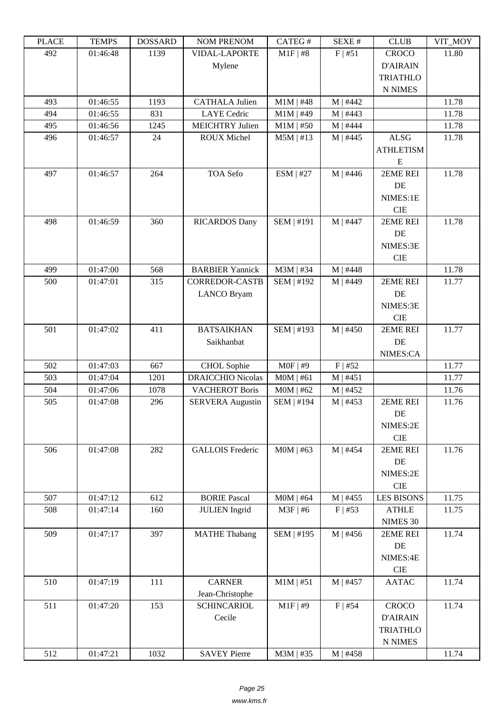| i lati | ט וואדד ו | חשממחת | TAARTEE LATERAART        | CAILO T     | π تىدىد    | <b>CLUD</b>       | VII IVIUI |
|--------|-----------|--------|--------------------------|-------------|------------|-------------------|-----------|
| 492    | 01:46:48  | 1139   | <b>VIDAL-LAPORTE</b>     | $M1F$   #8  | F   #51    | <b>CROCO</b>      | 11.80     |
|        |           |        | Mylene                   |             |            | <b>D'AIRAIN</b>   |           |
|        |           |        |                          |             |            | <b>TRIATHLO</b>   |           |
|        |           |        |                          |             |            | <b>N NIMES</b>    |           |
| 493    | 01:46:55  | 1193   | <b>CATHALA Julien</b>    | $M1M$   #48 | M   #442   |                   | 11.78     |
| 494    | 01:46:55  | 831    | <b>LAYE</b> Cedric       | $M1M$   #49 | $M$   #443 |                   | 11.78     |
| 495    | 01:46:56  | 1245   | <b>MEICHTRY Julien</b>   | $M1M$   #50 | $M$   #444 |                   | 11.78     |
| 496    | 01:46:57  | 24     | <b>ROUX Michel</b>       | $M5M$   #13 | $M$   #445 | <b>ALSG</b>       | 11.78     |
|        |           |        |                          |             |            | <b>ATHLETISM</b>  |           |
|        |           |        |                          |             |            | E                 |           |
| 497    | 01:46:57  | 264    | TOA Sefo                 | $ESM$   #27 | $M$   #446 | 2EME REI          | 11.78     |
|        |           |        |                          |             |            | DE                |           |
|        |           |        |                          |             |            | NIMES:1E          |           |
|        |           |        |                          |             |            | <b>CIE</b>        |           |
| 498    | 01:46:59  | 360    | <b>RICARDOS Dany</b>     | SEM   #191  | M   #447   | 2EME REI          | 11.78     |
|        |           |        |                          |             |            | DE                |           |
|        |           |        |                          |             |            | NIMES:3E          |           |
|        |           |        |                          |             |            | <b>CIE</b>        |           |
| 499    | 01:47:00  | 568    | <b>BARBIER Yannick</b>   | M3M   #34   | $M$   #448 |                   | 11.78     |
| 500    | 01:47:01  | 315    | <b>CORREDOR-CASTB</b>    | SEM   #192  | M   #449   | 2EME REI          | 11.77     |
|        |           |        | <b>LANCO Bryam</b>       |             |            | DE                |           |
|        |           |        |                          |             |            | NIMES:3E          |           |
|        |           |        |                          |             |            | <b>CIE</b>        |           |
| 501    | 01:47:02  | 411    | <b>BATSAIKHAN</b>        | SEM   #193  | $M$   #450 | 2EME REI          | 11.77     |
|        |           |        | Saikhanbat               |             |            | DE                |           |
|        |           |        |                          |             |            | NIMES:CA          |           |
| 502    | 01:47:03  | 667    | CHOL Sophie              | $MOF$   #9  | $F$   #52  |                   | 11.77     |
| 503    | 01:47:04  | 1201   | <b>DRAICCHIO Nicolas</b> | $MOM$   #61 | M   #451   |                   | 11.77     |
| 504    | 01:47:06  | 1078   | <b>VACHEROT Boris</b>    | $MOM$   #62 | $M$   #452 |                   | 11.76     |
| 505    | 01:47:08  | 296    | <b>SERVERA Augustin</b>  | SEM   #194  | $M$   #453 | 2EME REI          | 11.76     |
|        |           |        |                          |             |            | DE                |           |
|        |           |        |                          |             |            | NIMES:2E          |           |
|        |           |        |                          |             |            | <b>CIE</b>        |           |
| 506    | 01:47:08  | 282    | <b>GALLOIS Frederic</b>  | $MOM$   #63 | M   #454   | 2EME REI          | 11.76     |
|        |           |        |                          |             |            | DE                |           |
|        |           |        |                          |             |            | NIMES:2E          |           |
|        |           |        |                          |             |            | $\rm CIE$         |           |
| 507    | 01:47:12  | 612    | <b>BORIE Pascal</b>      | $MOM$   #64 | $M$   #455 | <b>LES BISONS</b> | 11.75     |
| 508    | 01:47:14  | 160    | <b>JULIEN</b> Ingrid     | $M3F$   #6  | $F$   #53  | <b>ATHLE</b>      | 11.75     |
|        |           |        |                          |             |            | NIMES 30          |           |
| 509    | 01:47:17  | 397    | <b>MATHE Thabang</b>     | SEM   #195  | M   #456   | 2EME REI          | 11.74     |
|        |           |        |                          |             |            | DE                |           |
|        |           |        |                          |             |            | NIMES:4E          |           |
|        |           |        |                          |             |            | CIE               |           |
| 510    | 01:47:19  | 111    | <b>CARNER</b>            | $M1M$   #51 | M   #457   | <b>AATAC</b>      | 11.74     |
|        |           |        |                          |             |            |                   |           |
|        |           |        | Jean-Christophe          | $M1F$ #9    |            |                   |           |
| 511    | 01:47:20  | 153    | <b>SCHINCARIOL</b>       |             | $F$   #54  | <b>CROCO</b>      | 11.74     |
|        |           |        | Cecile                   |             |            | <b>D'AIRAIN</b>   |           |
|        |           |        |                          |             |            | <b>TRIATHLO</b>   |           |
|        |           |        |                          |             |            | N NIMES           |           |
| 512    | 01:47:21  | 1032   | <b>SAVEY Pierre</b>      | $M3M$   #35 | $M$   #458 |                   | 11.74     |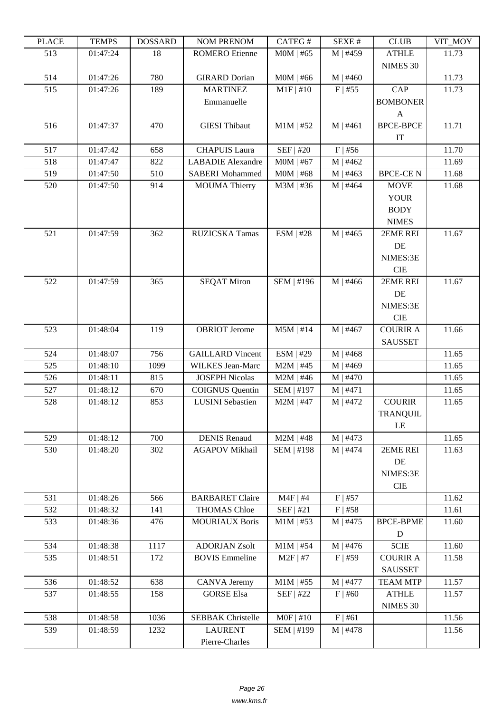| LLAUD | L TIATI D | <b><i>ANURGOA</i></b> | <b>NUMERENUM</b>         | CATLOT      | DL/AL π    | CLUD                       | VII_MUI |
|-------|-----------|-----------------------|--------------------------|-------------|------------|----------------------------|---------|
| 513   | 01:47:24  | 18                    | <b>ROMERO</b> Etienne    | $MOM$   #65 | $M$   #459 | <b>ATHLE</b>               | 11.73   |
|       |           |                       |                          |             |            | NIMES 30                   |         |
| 514   | 01:47:26  | 780                   | <b>GIRARD Dorian</b>     | $MOM$   #66 | $M$   #460 |                            | 11.73   |
| 515   | 01:47:26  | 189                   | <b>MARTINEZ</b>          | $M1F$   #10 | $F$   #55  | CAP                        | 11.73   |
|       |           |                       | Emmanuelle               |             |            | <b>BOMBONER</b>            |         |
|       |           |                       |                          |             |            | $\mathbf{A}$               |         |
| 516   | 01:47:37  | 470                   | <b>GIESI</b> Thibaut     | $M1M$   #52 | $M$   #461 | <b>BPCE-BPCE</b>           | 11.71   |
|       |           |                       |                          |             |            | $\ensuremath{\mathsf{IT}}$ |         |
| 517   | 01:47:42  | 658                   | <b>CHAPUIS Laura</b>     | SEF   #20   | $F$   #56  |                            | 11.70   |
| 518   | 01:47:47  | 822                   | <b>LABADIE</b> Alexandre | $MOM$   #67 | $M$   #462 |                            | 11.69   |
| 519   | 01:47:50  | 510                   | <b>SABERI</b> Mohammed   | $MOM$   #68 | M   #463   | <b>BPCE-CEN</b>            | 11.68   |
| 520   | 01:47:50  | 914                   | <b>MOUMA</b> Thierry     | M3M   #36   | $M$   #464 | <b>MOVE</b>                | 11.68   |
|       |           |                       |                          |             |            | <b>YOUR</b>                |         |
|       |           |                       |                          |             |            |                            |         |
|       |           |                       |                          |             |            | <b>BODY</b>                |         |
|       |           |                       |                          |             |            | <b>NIMES</b>               |         |
| 521   | 01:47:59  | 362                   | RUZICSKA Tamas           | $ESM$   #28 | $M$   #465 | 2EME REI                   | 11.67   |
|       |           |                       |                          |             |            | DE                         |         |
|       |           |                       |                          |             |            | NIMES:3E                   |         |
|       |           |                       |                          |             |            | <b>CIE</b>                 |         |
| 522   | 01:47:59  | 365                   | <b>SEQAT Miron</b>       | SEM   #196  | $M$   #466 | 2EME REI                   | 11.67   |
|       |           |                       |                          |             |            | DE                         |         |
|       |           |                       |                          |             |            | NIMES:3E                   |         |
|       |           |                       |                          |             |            | <b>CIE</b>                 |         |
| 523   | 01:48:04  | 119                   | <b>OBRIOT</b> Jerome     | $M5M$   #14 | M   #467   | <b>COURIR A</b>            | 11.66   |
|       |           |                       |                          |             |            | <b>SAUSSET</b>             |         |
| 524   | 01:48:07  | 756                   | <b>GAILLARD Vincent</b>  | ESM   #29   | M   #468   |                            | 11.65   |
| 525   | 01:48:10  | 1099                  | <b>WILKES</b> Jean-Marc  | $M2M$   #45 | $M$   #469 |                            | 11.65   |
| 526   | 01:48:11  | 815                   | <b>JOSEPH Nicolas</b>    | $M2M$   #46 | M   #470   |                            | 11.65   |
| 527   | 01:48:12  | 670                   | <b>COIGNUS</b> Quentin   | SEM   #197  | M   #471   |                            | 11.65   |
| 528   | 01:48:12  | 853                   | <b>LUSINI</b> Sebastien  | $M2M$   #47 | M   #472   | <b>COURIR</b>              | 11.65   |
|       |           |                       |                          |             |            |                            |         |
|       |           |                       |                          |             |            | <b>TRANQUIL</b>            |         |
|       |           |                       |                          |             |            | LE                         |         |
| 529   | 01:48:12  | 700                   | <b>DENIS Renaud</b>      | $M2M$   #48 | $M$   #473 |                            | 11.65   |
| 530   | 01:48:20  | 302                   | <b>AGAPOV Mikhail</b>    | SEM   #198  | M   #474   | 2EME REI                   | 11.63   |
|       |           |                       |                          |             |            | DE                         |         |
|       |           |                       |                          |             |            | NIMES:3E                   |         |
|       |           |                       |                          |             |            | CIE                        |         |
| 531   | 01:48:26  | 566                   | <b>BARBARET Claire</b>   | $M4F$   #4  | $F$   #57  |                            | 11.62   |
| 532   | 01:48:32  | 141                   | <b>THOMAS Chloe</b>      | SEF   #21   | $F$   #58  |                            | 11.61   |
| 533   | 01:48:36  | 476                   | <b>MOURIAUX Boris</b>    | $M1M$   #53 | $M$   #475 | <b>BPCE-BPME</b>           | 11.60   |
|       |           |                       |                          |             |            | $\mathbf D$                |         |
| 534   | 01:48:38  | 1117                  | <b>ADORJAN Zsolt</b>     | $M1M$   #54 | $M$   #476 | 5CIE                       | 11.60   |
| 535   | 01:48:51  | 172                   | <b>BOVIS Emmeline</b>    | $M2F$   #7  | $F$   #59  | <b>COURIR A</b>            | 11.58   |
|       |           |                       |                          |             |            | <b>SAUSSET</b>             |         |
| 536   | 01:48:52  | 638                   | <b>CANVA Jeremy</b>      | $M1M$   #55 | M   #477   | <b>TEAM MTP</b>            | 11.57   |
| 537   | 01:48:55  | 158                   | <b>GORSE Elsa</b>        | SEF   #22   | $F$   #60  | <b>ATHLE</b>               | 11.57   |
|       |           |                       |                          |             |            | NIMES 30                   |         |
| 538   | 01:48:58  | 1036                  | <b>SEBBAK</b> Christelle | $MOF$   #10 | F   #61    |                            | 11.56   |
| 539   | 01:48:59  | 1232                  | <b>LAURENT</b>           | SEM   #199  | $M$   #478 |                            | 11.56   |
|       |           |                       | Pierre-Charles           |             |            |                            |         |
|       |           |                       |                          |             |            |                            |         |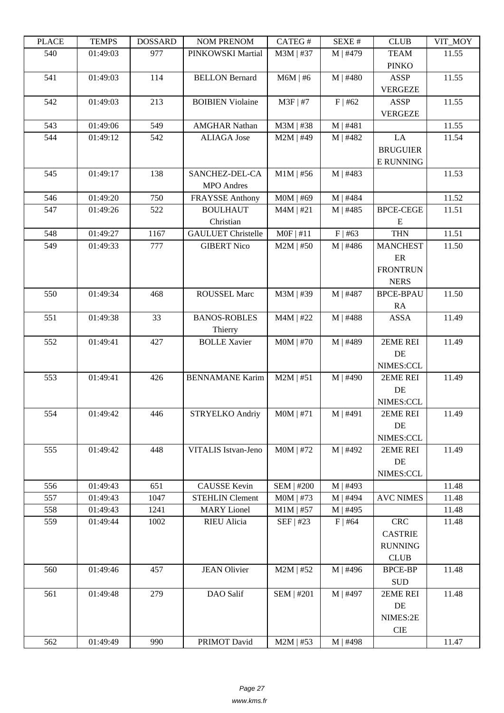| LLAUL | L LIVIII IJ | <u> חשדיממה ח</u> | <b>INUMER IN THE TWO IM</b> | CATLO T           | DL/AL π    | CLUD                        | VII_MUI |
|-------|-------------|-------------------|-----------------------------|-------------------|------------|-----------------------------|---------|
| 540   | 01:49:03    | 977               | PINKOWSKI Martial           | M3M   #37         | M   #479   | <b>TEAM</b><br><b>PINKO</b> | 11.55   |
| 541   | 01:49:03    | 114               | <b>BELLON Bernard</b>       | $M6M$   #6        | $M$   #480 | <b>ASSP</b>                 | 11.55   |
|       |             |                   |                             |                   |            | <b>VERGEZE</b>              |         |
| 542   | 01:49:03    | 213               | <b>BOIBIEN Violaine</b>     | $M3F$   #7        | $F$   #62  | <b>ASSP</b>                 | 11.55   |
| 543   | 01:49:06    | 549               | <b>AMGHAR Nathan</b>        | M3M   #38         | M   #481   | <b>VERGEZE</b>              | 11.55   |
| 544   | 01:49:12    | 542               | <b>ALIAGA</b> Jose          | $M2M$   #49       | M   #482   | LA                          | 11.54   |
|       |             |                   |                             |                   |            | <b>BRUGUIER</b>             |         |
|       |             |                   |                             |                   |            | <b>E RUNNING</b>            |         |
| 545   | 01:49:17    | 138               | SANCHEZ-DEL-CA              | $M1M$   #56       | M   #483   |                             | 11.53   |
|       |             |                   | <b>MPO</b> Andres           |                   |            |                             |         |
| 546   | 01:49:20    | 750               | <b>FRAYSSE Anthony</b>      | $MOM$   #69       | M   #484   |                             | 11.52   |
| 547   | 01:49:26    | 522               | <b>BOULHAUT</b>             | $M4M$   #21       | $M$   #485 | <b>BPCE-CEGE</b>            | 11.51   |
|       |             |                   | Christian                   |                   |            | Ε                           |         |
| 548   | 01:49:27    | 1167              | <b>GAULUET Christelle</b>   | $MOF$   #11       | $F$   #63  | <b>THN</b>                  | 11.51   |
| 549   | 01:49:33    | 777               | <b>GIBERT Nico</b>          | $M2M$   #50       | $M$   #486 | <b>MANCHEST</b>             | 11.50   |
|       |             |                   |                             |                   |            | ER                          |         |
|       |             |                   |                             |                   |            | <b>FRONTRUN</b>             |         |
|       |             |                   |                             |                   |            | <b>NERS</b>                 |         |
| 550   | 01:49:34    | 468               | <b>ROUSSEL Marc</b>         | M3M   #39         | M   #487   | <b>BPCE-BPAU</b>            | 11.50   |
|       |             |                   |                             |                   |            | RA                          |         |
| 551   | 01:49:38    | 33                | <b>BANOS-ROBLES</b>         | $M4M$   #22       | $M$   #488 | <b>ASSA</b>                 | 11.49   |
|       |             |                   | Thierry                     |                   |            |                             |         |
| 552   | 01:49:41    | 427               | <b>BOLLE Xavier</b>         | $MOM$   #70       | M   #489   | 2EME REI                    | 11.49   |
|       |             |                   |                             |                   |            | DE                          |         |
|       |             |                   |                             |                   |            | NIMES:CCL                   |         |
| 553   | 01:49:41    | 426               | <b>BENNAMANE Karim</b>      | $M2M$   #51       | M   #490   | 2EME REI                    | 11.49   |
|       |             |                   |                             |                   |            | DE                          |         |
|       |             |                   |                             |                   |            | NIMES:CCL                   |         |
| 554   | 01:49:42    | 446               | <b>STRYELKO Andriy</b>      | $MOM$   #71       | $M$   #491 | 2EME REI                    | 11.49   |
|       |             |                   |                             |                   |            | DE                          |         |
|       |             |                   |                             |                   |            | NIMES:CCL                   |         |
| 555   | 01:49:42    | 448               | <b>VITALIS Istvan-Jeno</b>  | $MOM$   #72       | M   #492   | 2EME REI                    | 11.49   |
|       |             |                   |                             |                   |            | DE                          |         |
|       |             |                   |                             |                   |            | NIMES:CCL                   |         |
| 556   | 01:49:43    | 651               | <b>CAUSSE</b> Kevin         | <b>SEM   #200</b> | M   #493   |                             | 11.48   |
| 557   | 01:49:43    | 1047              | <b>STEHLIN Clement</b>      | $MOM$   #73       | $M$   #494 | <b>AVC NIMES</b>            | 11.48   |
| 558   | 01:49:43    | 1241              | <b>MARY</b> Lionel          | $M1M$   #57       | $M$   #495 |                             | 11.48   |
| 559   | 01:49:44    | 1002              | RIEU Alicia                 | $SEF$   #23       | $F$   #64  | <b>CRC</b>                  | 11.48   |
|       |             |                   |                             |                   |            | <b>CASTRIE</b>              |         |
|       |             |                   |                             |                   |            | <b>RUNNING</b>              |         |
|       |             |                   |                             |                   |            | <b>CLUB</b>                 |         |
| 560   | 01:49:46    | 457               | <b>JEAN Olivier</b>         | $M2M$   #52       | M   #496   | <b>BPCE-BP</b>              | 11.48   |
|       |             |                   |                             |                   |            | <b>SUD</b>                  |         |
| 561   | 01:49:48    | 279               | DAO Salif                   | SEM   #201        | M   #497   | 2EME REI                    | 11.48   |
|       |             |                   |                             |                   |            | DE                          |         |
|       |             |                   |                             |                   |            | NIMES:2E                    |         |
|       |             |                   |                             |                   |            | CIE                         |         |
| 562   | 01:49:49    | 990               | PRIMOT David                | $M2M$   #53       | $M$   #498 |                             | 11.47   |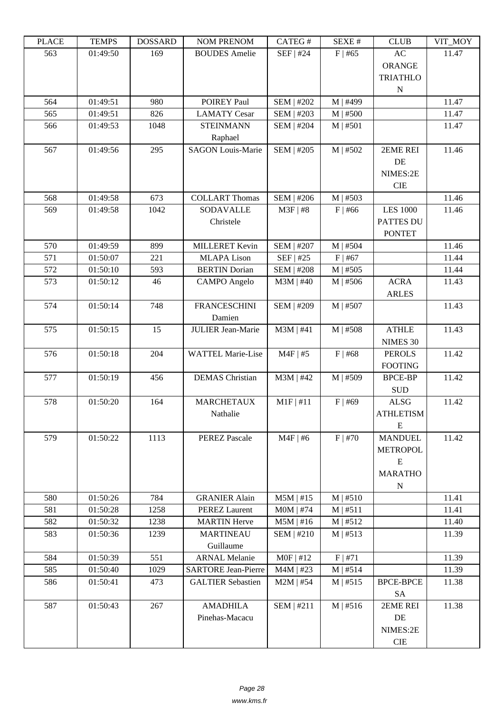|                                                                                                   | $V11$ $N1$ |
|---------------------------------------------------------------------------------------------------|------------|
| 563<br>01:49:50<br>169<br><b>BOUDES</b> Amelie<br>SEF   #24<br>$F$   #65<br>AC                    | 11.47      |
| <b>ORANGE</b>                                                                                     |            |
| <b>TRIATHLO</b>                                                                                   |            |
| N                                                                                                 |            |
| M   #499<br>564<br>01:49:51<br>980<br>POIREY Paul<br><b>SEM   #202</b>                            | 11.47      |
| <b>LAMATY Cesar</b><br>SEM   #203<br>$M$   #500<br>565<br>01:49:51<br>826                         | 11.47      |
| 1048<br>566<br>01:49:53<br><b>STEINMANN</b><br><b>SEM   #204</b><br>M   #501                      | 11.47      |
| Raphael                                                                                           |            |
| <b>SEM   #205</b><br>$M$   #502<br>567<br>01:49:56<br>295<br><b>SAGON Louis-Marie</b><br>2EME REI | 11.46      |
| DE                                                                                                |            |
| NIMES:2E                                                                                          |            |
| <b>CIE</b>                                                                                        |            |
| <b>COLLART Thomas</b><br><b>SEM   #206</b><br>568<br>01:49:58<br>673<br>$M$   #503                | 11.46      |
| 569<br>1042<br><b>SODAVALLE</b><br>$M3F$   #8<br>$F$   #66<br><b>LES 1000</b><br>01:49:58         | 11.46      |
| Christele<br><b>PATTES DU</b>                                                                     |            |
| <b>PONTET</b>                                                                                     |            |
| <b>SEM   #207</b><br>570<br>01:49:59<br>899<br><b>MILLERET</b> Kevin<br>$M$   #504                | 11.46      |
| 571<br>01:50:07<br>221<br><b>MLAPA Lison</b><br>$SEF$   #25<br>$F$   #67                          | 11.44      |
| 572<br>01:50:10<br>593<br><b>BERTIN</b> Dorian<br><b>SEM   #208</b><br>$M$   #505                 | 11.44      |
| 46<br>$M3M$   #40<br>$M$   #506<br><b>ACRA</b><br>573<br>01:50:12<br><b>CAMPO</b> Angelo          | 11.43      |
| <b>ARLES</b>                                                                                      |            |
| <b>FRANCESCHINI</b><br>574<br>01:50:14<br>748<br>SEM   #209<br>M   #507                           | 11.43      |
| Damien                                                                                            |            |
| 575<br>01:50:15<br>15<br><b>JULIER Jean-Marie</b><br>$M3M$   #41<br>M   #508<br><b>ATHLE</b>      | 11.43      |
| NIMES 30                                                                                          |            |
| 576<br>01:50:18<br><b>WATTEL Marie-Lise</b><br>$M4F$   #5<br>$F$   #68<br>204<br><b>PEROLS</b>    | 11.42      |
| <b>FOOTING</b>                                                                                    |            |
| 01:50:19<br><b>DEMAS</b> Christian<br>$M3M$   #42<br>M   #509<br>577<br>456<br><b>BPCE-BP</b>     | 11.42      |
| <b>SUD</b>                                                                                        |            |
| $M1F$   #11<br>578<br>01:50:20<br><b>MARCHETAUX</b><br>$F$   #69<br>ALSG<br>164                   | 11.42      |
| Nathalie<br><b>ATHLETISM</b>                                                                      |            |
| Ε                                                                                                 |            |
| 1113<br>$M4F$   #6<br>$F$   #70<br>579<br>01:50:22<br><b>PEREZ Pascale</b><br><b>MANDUEL</b>      | 11.42      |
| <b>METROPOL</b>                                                                                   |            |
| E                                                                                                 |            |
| <b>MARATHO</b>                                                                                    |            |
| ${\bf N}$                                                                                         |            |
| 784<br>580<br>01:50:26<br><b>GRANIER Alain</b><br>$M5M$   #15<br>M   #510                         | 11.41      |
| <b>PEREZ Laurent</b><br>581<br>01:50:28<br>1258<br>$MOM$   #74<br>M   #511                        | 11.41      |
| 582<br>1238<br><b>MARTIN Herve</b><br>M   #512<br>01:50:32<br>$M5M$   #16                         | 11.40      |
| 1239<br><b>MARTINEAU</b><br>583<br>01:50:36<br>SEM   #210<br>M   #513                             | 11.39      |
| Guillaume                                                                                         |            |
| 551<br>$MOF$   #12<br>01:50:39<br><b>ARNAL Melanie</b><br>F   #71<br>584                          | 11.39      |
| 1029<br><b>SARTORE Jean-Pierre</b><br>585<br>01:50:40<br>$M4M$   #23<br>M   #514                  | 11.39      |
| 473<br>$M2M$   #54<br>M   #515<br>586<br>01:50:41<br><b>GALTIER Sebastien</b><br><b>BPCE-BPCE</b> | 11.38      |
| SA                                                                                                |            |
| 587<br>01:50:43<br><b>AMADHILA</b><br>SEM   #211<br>M   #516<br>2EME REI<br>267                   | 11.38      |
| Pinehas-Macacu<br>DE                                                                              |            |
| NIMES:2E                                                                                          |            |
| ${\rm CIE}$                                                                                       |            |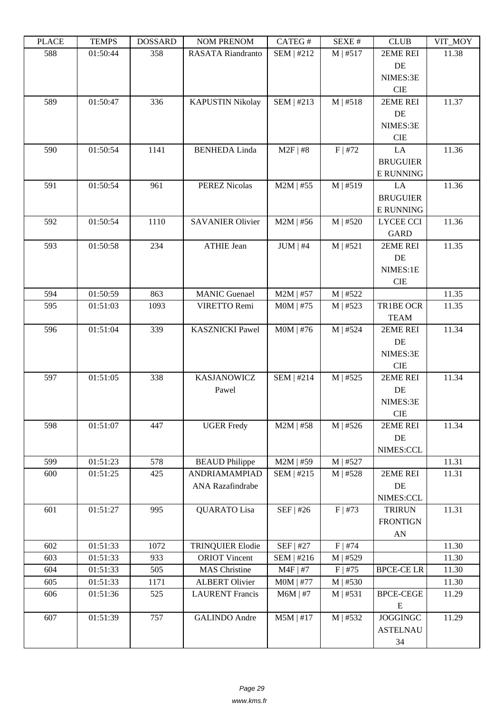| ם המדו | 1 LIVII D | DODDAIND | <b>TAQIME E IZETAQIME</b> | $CATEO \pi$   | JLΛL π    | <b>CEOD</b>             | $V11$ $V1$ |
|--------|-----------|----------|---------------------------|---------------|-----------|-------------------------|------------|
| 588    | 01:50:44  | 358      | RASATA Riandranto         | SEM   #212    | M   #517  | 2EME REI                | 11.38      |
|        |           |          |                           |               |           | DE                      |            |
|        |           |          |                           |               |           | NIMES:3E                |            |
|        |           |          |                           |               |           | CIE                     |            |
| 589    | 01:50:47  | 336      | <b>KAPUSTIN Nikolay</b>   | SEM   #213    | M   #518  | 2EME REI                | 11.37      |
|        |           |          |                           |               |           | DE                      |            |
|        |           |          |                           |               |           | NIMES:3E                |            |
|        |           |          |                           |               |           | $\rm CIE$               |            |
| 590    | 01:50:54  | 1141     | <b>BENHEDA Linda</b>      | $M2F$   #8    | F   #72   | LA                      | 11.36      |
|        |           |          |                           |               |           | <b>BRUGUIER</b>         |            |
|        |           |          |                           |               |           | <b>E RUNNING</b>        |            |
| 591    | 01:50:54  | 961      | <b>PEREZ Nicolas</b>      | $M2M$   #55   | M   #519  | LA                      | 11.36      |
|        |           |          |                           |               |           | <b>BRUGUIER</b>         |            |
|        |           |          |                           |               |           | <b>E RUNNING</b>        |            |
| 592    | 01:50:54  | 1110     | <b>SAVANIER Olivier</b>   | $M2M$   #56   | M   #520  | <b>LYCEE CCI</b>        | 11.36      |
|        |           |          |                           |               |           | <b>GARD</b>             |            |
| 593    | 01:50:58  | 234      | <b>ATHIE Jean</b>         | $JUM \mid #4$ | M   #521  | 2EME REI                | 11.35      |
|        |           |          |                           |               |           | DE                      |            |
|        |           |          |                           |               |           | NIMES:1E                |            |
|        |           |          |                           |               |           | <b>CIE</b>              |            |
| 594    | 01:50:59  | 863      | <b>MANIC Guenael</b>      | $M2M$   #57   | M   #522  |                         | 11.35      |
| 595    | 01:51:03  | 1093     | VIRETTO Remi              | $MOM$   #75   | M   #523  | TR1BE OCR               | 11.35      |
| 596    | 01:51:04  | 339      | <b>KASZNICKI Pawel</b>    | $MOM$   #76   | M   #524  | <b>TEAM</b><br>2EME REI | 11.34      |
|        |           |          |                           |               |           | DE                      |            |
|        |           |          |                           |               |           | NIMES:3E                |            |
|        |           |          |                           |               |           | $\rm CIE$               |            |
| 597    | 01:51:05  | 338      | KASJANOWICZ               | SEM   #214    | M   #525  | 2EME REI                | 11.34      |
|        |           |          | Pawel                     |               |           | DE                      |            |
|        |           |          |                           |               |           | NIMES:3E                |            |
|        |           |          |                           |               |           | CIE                     |            |
| 598    | 01:51:07  | 447      | <b>UGER Fredy</b>         | $M2M$   #58   | M   #526  | 2EME REI                | 11.34      |
|        |           |          |                           |               |           | DE                      |            |
|        |           |          |                           |               |           | NIMES:CCL               |            |
| 599    | 01:51:23  | 578      | <b>BEAUD</b> Philippe     | $M2M$   #59   | M   #527  |                         | 11.31      |
| 600    | 01:51:25  | 425      | ANDRIAMAMPIAD             | SEM   #215    | M   #528  | 2EME REI                | 11.31      |
|        |           |          | ANA Razafindrabe          |               |           | DE                      |            |
|        |           |          |                           |               |           | NIMES:CCL               |            |
| 601    | 01:51:27  | 995      | <b>QUARATO Lisa</b>       | SEF   #26     | $F$   #73 | <b>TRIRUN</b>           | 11.31      |
|        |           |          |                           |               |           | <b>FRONTIGN</b>         |            |
|        |           |          |                           |               |           | AN                      |            |
| 602    | 01:51:33  | 1072     | <b>TRINQUIER Elodie</b>   | SEF   #27     | $F$   #74 |                         | 11.30      |
| 603    | 01:51:33  | 933      | <b>ORIOT</b> Vincent      | SEM   #216    | M   #529  |                         | 11.30      |
| 604    | 01:51:33  | 505      | MAS Christine             | $M4F$   #7    | $F$   #75 | <b>BPCE-CE LR</b>       | 11.30      |
| 605    | 01:51:33  | 1171     | <b>ALBERT Olivier</b>     | $MOM$   #77   | M   #530  |                         | 11.30      |
| 606    | 01:51:36  | 525      | <b>LAURENT Francis</b>    | $M6M$   #7    | M   #531  | <b>BPCE-CEGE</b>        | 11.29      |
|        |           |          |                           |               |           | ${\bf E}$               |            |
| 607    | 01:51:39  | 757      | <b>GALINDO</b> Andre      | $M5M$   #17   | M   #532  | <b>JOGGINGC</b>         | 11.29      |
|        |           |          |                           |               |           | <b>ASTELNAU</b>         |            |
|        |           |          |                           |               |           | 34                      |            |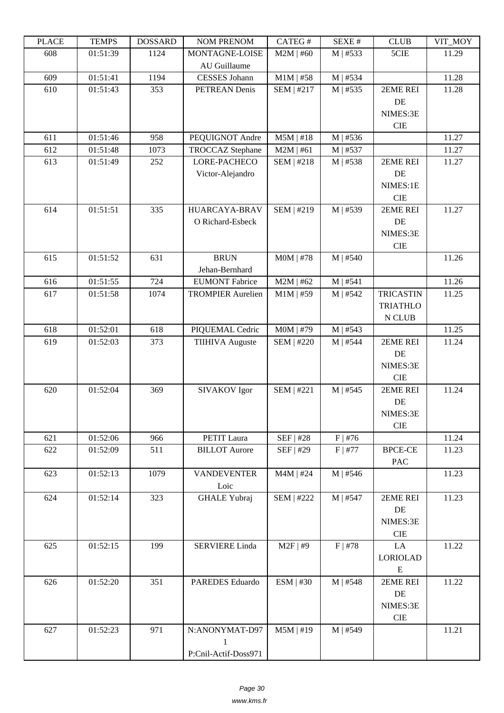| LEUCE | L LIVIII IJ | <b>UUUUUUU</b> | <b>NUMERIAL NUM</b>      | CATLO T           | יד בבלגבוט | CLUD                  | VII_MUI |
|-------|-------------|----------------|--------------------------|-------------------|------------|-----------------------|---------|
| 608   | 01:51:39    | 1124           | MONTAGNE-LOISE           | $M2M$   #60       | $M$   #533 | 5CIE                  | 11.29   |
|       |             |                | AU Guillaume             |                   |            |                       |         |
| 609   | 01:51:41    | 1194           | <b>CESSES</b> Johann     | $M1M$   #58       | M   #534   |                       | 11.28   |
| 610   | 01:51:43    | 353            | PETREAN Denis            | SEM   #217        | $M$   #535 | 2EME REI              | 11.28   |
|       |             |                |                          |                   |            | DE                    |         |
|       |             |                |                          |                   |            | NIMES:3E              |         |
|       |             |                |                          |                   |            | <b>CIE</b>            |         |
| 611   | 01:51:46    | 958            | PEQUIGNOT Andre          | $M5M$   #18       | $M$   #536 |                       | 11.27   |
| 612   | 01:51:48    | 1073           | <b>TROCCAZ</b> Stephane  | $M2M$   #61       | M   #537   |                       | 11.27   |
| 613   | 01:51:49    | 252            | LORE-PACHECO             | SEM   #218        | $M$   #538 | 2EME REI              | 11.27   |
|       |             |                | Victor-Alejandro         |                   |            | DE                    |         |
|       |             |                |                          |                   |            | NIMES:1E              |         |
|       |             |                |                          |                   |            | <b>CIE</b>            |         |
| 614   | 01:51:51    | 335            | <b>HUARCAYA-BRAV</b>     | SEM   #219        | M   #539   | 2EME REI              | 11.27   |
|       |             |                | O Richard-Esbeck         |                   |            | DE                    |         |
|       |             |                |                          |                   |            | NIMES:3E              |         |
|       |             |                |                          |                   |            | CIE                   |         |
| 615   | 01:51:52    | 631            | <b>BRUN</b>              | $MOM$   #78       | $M$   #540 |                       | 11.26   |
|       |             |                | Jehan-Bernhard           |                   |            |                       |         |
| 616   | 01:51:55    | 724            | <b>EUMONT Fabrice</b>    | $M2M$   #62       | M   #541   |                       | 11.26   |
| 617   | 01:51:58    | 1074           | <b>TROMPIER Aurelien</b> | $M1M$   #59       | $M$   #542 | <b>TRICASTIN</b>      | 11.25   |
|       |             |                |                          |                   |            | <b>TRIATHLO</b>       |         |
|       |             |                |                          |                   |            | N CLUB                |         |
| 618   | 01:52:01    | 618            | PIQUEMAL Cedric          | M0M   #79         | $M$   #543 |                       | 11.25   |
| 619   | 01:52:03    | 373            | <b>TIIHIVA Auguste</b>   | SEM   #220        | M   #544   | 2EME REI              | 11.24   |
|       |             |                |                          |                   |            | DE                    |         |
|       |             |                |                          |                   |            | NIMES:3E              |         |
|       |             |                |                          |                   |            | <b>CIE</b>            |         |
| 620   | 01:52:04    | 369            | SIVAKOV Igor             | <b>SEM   #221</b> | $M$   #545 | 2EME REI              | 11.24   |
|       |             |                |                          |                   |            | DE                    |         |
|       |             |                |                          |                   |            | NIMES:3E              |         |
|       |             |                |                          |                   |            | <b>CIE</b>            |         |
| 621   | 01:52:06    | 966            | PETIT Laura              | <b>SEF   #28</b>  | $F$   #76  |                       | 11.24   |
| 622   | 01:52:09    | 511            | <b>BILLOT</b> Aurore     | SEF   #29         | $F$   #77  | <b>BPCE-CE</b>        | 11.23   |
|       |             |                |                          |                   |            | PAC                   |         |
| 623   | 01:52:13    | 1079           | <b>VANDEVENTER</b>       | $M4M$   #24       | $M$   #546 |                       | 11.23   |
|       |             |                | Loic                     |                   |            |                       |         |
| 624   | 01:52:14    | 323            | <b>GHALE Yubraj</b>      | SEM   #222        | M   #547   | 2EME REI              | 11.23   |
|       |             |                |                          |                   |            | DE                    |         |
|       |             |                |                          |                   |            | NIMES:3E              |         |
|       |             |                |                          |                   |            | CIE                   |         |
| 625   | 01:52:15    | 199            | <b>SERVIERE Linda</b>    | $M2F$   #9        | $F$   #78  | LA                    | 11.22   |
|       |             |                |                          |                   |            | <b>LORIOLAD</b>       |         |
|       |             |                |                          |                   |            |                       |         |
| 626   | 01:52:20    | 351            | PAREDES Eduardo          | ESM   #30         | M   #548   | ${\bf E}$<br>2EME REI | 11.22   |
|       |             |                |                          |                   |            |                       |         |
|       |             |                |                          |                   |            | DE                    |         |
|       |             |                |                          |                   |            | NIMES:3E              |         |
|       |             |                |                          |                   |            | $\rm CIE$             |         |
| 627   | 01:52:23    | 971            | N:ANONYMAT-D97           | $M5M$   #19       | M   #549   |                       | 11.21   |
|       |             |                | 1                        |                   |            |                       |         |
|       |             |                | P:Cnil-Actif-Doss971     |                   |            |                       |         |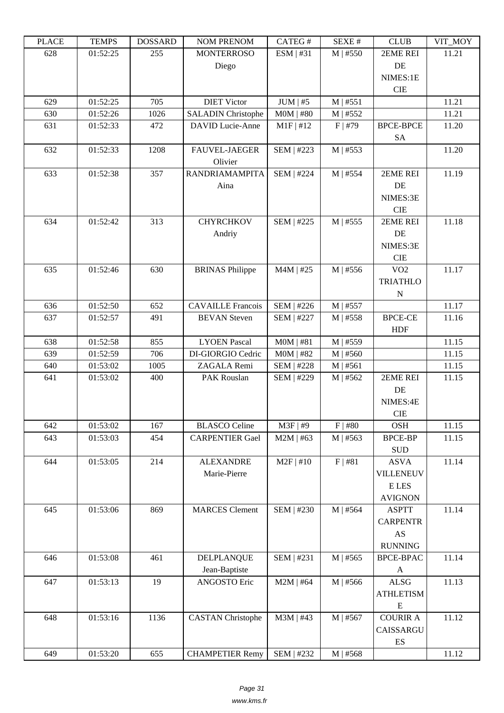| LEUCE      | L LIVIII IJ | <u> חשדיממה ח</u> | I VUNI I I NETVUNI        | CΛ1 LU π                   | υL/VL π                | CLUD                     | VII_MUI        |
|------------|-------------|-------------------|---------------------------|----------------------------|------------------------|--------------------------|----------------|
| 628        | 01:52:25    | 255               | <b>MONTERROSO</b>         | ESM   #31                  | $M$   #550             | 2EME REI                 | 11.21          |
|            |             |                   | Diego                     |                            |                        | DE                       |                |
|            |             |                   |                           |                            |                        | NIMES:1E                 |                |
|            |             |                   |                           |                            |                        | <b>CIE</b>               |                |
| 629<br>630 | 01:52:25    | 705<br>1026       | <b>DIET Victor</b>        | $JUM$   #5                 | M   #551<br>$M$   #552 |                          | 11.21<br>11.21 |
|            | 01:52:26    |                   | <b>SALADIN Christophe</b> | $MOM$   #80<br>$M1F$   #12 |                        |                          | 11.20          |
| 631        | 01:52:33    | 472               | <b>DAVID</b> Lucie-Anne   |                            | $F$   #79              | <b>BPCE-BPCE</b>         |                |
| 632        | 01:52:33    | 1208              | <b>FAUVEL-JAEGER</b>      | SEM   #223                 | $M$   #553             | <b>SA</b>                | 11.20          |
|            |             |                   | Olivier                   |                            |                        |                          |                |
| 633        | 01:52:38    | 357               | <b>RANDRIAMAMPITA</b>     | SEM   #224                 | $M$   #554             | 2EME REI                 | 11.19          |
|            |             |                   | Aina                      |                            |                        | DE                       |                |
|            |             |                   |                           |                            |                        | NIMES:3E                 |                |
|            |             |                   |                           |                            |                        | <b>CIE</b>               |                |
| 634        | 01:52:42    | 313               | <b>CHYRCHKOV</b>          | <b>SEM   #225</b>          | $M$   #555             | 2EME REI                 | 11.18          |
|            |             |                   | Andriy                    |                            |                        | DE                       |                |
|            |             |                   |                           |                            |                        | NIMES:3E                 |                |
|            |             |                   |                           |                            |                        | <b>CIE</b>               |                |
| 635        | 01:52:46    | 630               | <b>BRINAS Philippe</b>    | $M4M$   #25                | $M$   #556             | VO2                      | 11.17          |
|            |             |                   |                           |                            |                        | <b>TRIATHLO</b>          |                |
|            |             |                   |                           |                            |                        | ${\bf N}$                |                |
| 636        | 01:52:50    | 652               | <b>CAVAILLE Francois</b>  | SEM   #226                 | M   #557               |                          | 11.17          |
| 637        | 01:52:57    | 491               | <b>BEVAN</b> Steven       | SEM   #227                 | $M$   #558             | <b>BPCE-CE</b>           | 11.16          |
|            |             |                   |                           |                            |                        | <b>HDF</b>               |                |
| 638        | 01:52:58    | 855               | <b>LYOEN Pascal</b>       | $MOM$   #81                | $M$   #559             |                          | 11.15          |
| 639        | 01:52:59    | 706               | DI-GIORGIO Cedric         | $MOM$   #82                | $M$   #560             |                          | 11.15          |
| 640        | 01:53:02    | 1005              | ZAGALA Remi               | <b>SEM   #228</b>          | M   #561               |                          | 11.15          |
| 641        | 01:53:02    | 400               | PAK Rouslan               | SEM   #229                 | $M$   #562             | 2EME REI                 | 11.15          |
|            |             |                   |                           |                            |                        | DE                       |                |
|            |             |                   |                           |                            |                        | NIMES:4E                 |                |
|            |             |                   |                           |                            |                        | <b>CIE</b>               |                |
| 642        | 01:53:02    | 167               | <b>BLASCO</b> Celine      | M3F   #9                   | $F$   #80              | <b>OSH</b>               | 11.15          |
| 643        | 01:53:03    | 454               | <b>CARPENTIER Gael</b>    | $M2M$   #63                | $M$   #563             | <b>BPCE-BP</b>           | 11.15          |
|            |             |                   |                           |                            |                        | <b>SUD</b>               |                |
| 644        | 01:53:05    | 214               | <b>ALEXANDRE</b>          | $M2F$   #10                | F   #81                | <b>ASVA</b>              | 11.14          |
|            |             |                   | Marie-Pierre              |                            |                        | <b>VILLENEUV</b>         |                |
|            |             |                   |                           |                            |                        | E LES                    |                |
|            |             |                   |                           |                            |                        | <b>AVIGNON</b>           |                |
| 645        | 01:53:06    | 869               | <b>MARCES</b> Clement     | SEM   #230                 | $M$   #564             | <b>ASPTT</b>             | 11.14          |
|            |             |                   |                           |                            |                        | <b>CARPENTR</b>          |                |
|            |             |                   |                           |                            |                        | $\mathbf{A}\mathbf{S}$   |                |
|            |             |                   |                           |                            |                        | <b>RUNNING</b>           |                |
| 646        | 01:53:08    | 461               | DELPLANQUE                | SEM   #231                 | $M$   #565             | <b>BPCE-BPAC</b>         | 11.14          |
|            |             |                   | Jean-Baptiste             |                            |                        | $\mathbf{A}$             |                |
| 647        | 01:53:13    | 19                | ANGOSTO Eric              | $M2M$   #64                | $M$   #566             | <b>ALSG</b>              | 11.13          |
|            |             |                   |                           |                            |                        | <b>ATHLETISM</b>         |                |
|            |             |                   |                           |                            |                        | ${\bf E}$                |                |
| 648        | 01:53:16    | 1136              | <b>CASTAN Christophe</b>  | M3M   #43                  | $M$   #567             | <b>COURIR A</b>          | 11.12          |
|            |             |                   |                           |                            |                        | CAISSARGU                |                |
|            |             |                   |                           |                            |                        | $\mathop{\hbox{\rm ES}}$ |                |
| 649        | 01:53:20    | 655               | <b>CHAMPETIER Remy</b>    | SEM   #232                 | $M$   #568             |                          | 11.12          |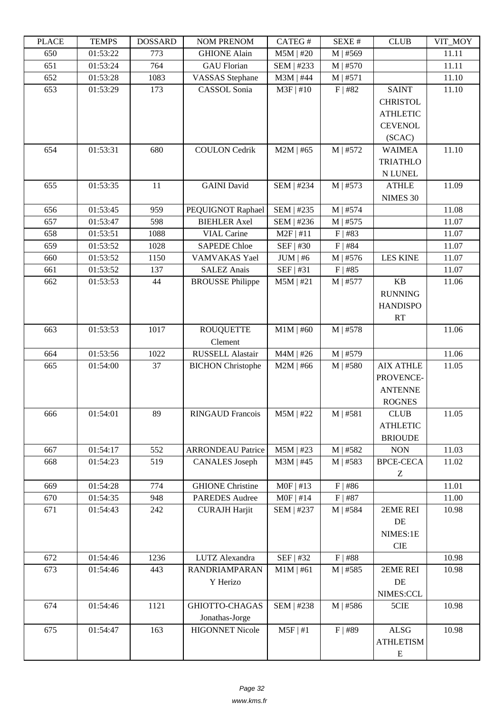| LEUCE | L LIVIII D | <u> שעורוממטעו</u> | I VUNI I I NEI VUNI         | <b>CATLOT</b> | υL/ΛL π    | CLUD             | VII_WIO I |
|-------|------------|--------------------|-----------------------------|---------------|------------|------------------|-----------|
| 650   | 01:53:22   | 773                | <b>GHIONE Alain</b>         | $M5M$   #20   | $M$   #569 |                  | 11.11     |
| 651   | 01:53:24   | 764                | <b>GAU</b> Florian          | SEM   #233    | $M$   #570 |                  | 11.11     |
| 652   | 01:53:28   | 1083               | <b>VASSAS</b> Stephane      | $M3M$   #44   | M   #571   |                  | 11.10     |
| 653   | 01:53:29   | 173                | CASSOL Sonia                | $M3F$   #10   | F   #82    | <b>SAINT</b>     | 11.10     |
|       |            |                    |                             |               |            | <b>CHRISTOL</b>  |           |
|       |            |                    |                             |               |            | <b>ATHLETIC</b>  |           |
|       |            |                    |                             |               |            | <b>CEVENOL</b>   |           |
|       |            |                    |                             |               |            | (SCAC)           |           |
| 654   | 01:53:31   | 680                | <b>COULON</b> Cedrik        | $M2M$   #65   | M   #572   | <b>WAIMEA</b>    | 11.10     |
|       |            |                    |                             |               |            | <b>TRIATHLO</b>  |           |
|       |            |                    |                             |               |            | N LUNEL          |           |
| 655   | 01:53:35   | 11                 | <b>GAINI</b> David          | SEM   #234    | M   #573   | <b>ATHLE</b>     | 11.09     |
|       |            |                    |                             |               |            | NIMES 30         |           |
| 656   | 01:53:45   | 959                | PEQUIGNOT Raphael           | SEM   #235    | M   #574   |                  | 11.08     |
| 657   | 01:53:47   | 598                | <b>BIEHLER Axel</b>         | SEM   #236    | $M$   #575 |                  | 11.07     |
| 658   | 01:53:51   | 1088               | <b>VIAL Carine</b>          | $M2F$   #11   | $F$   #83  |                  | 11.07     |
| 659   | 01:53:52   | 1028               | <b>SAPEDE Chloe</b>         | SEF   #30     | $F$   #84  |                  | 11.07     |
| 660   | 01:53:52   | 1150               | VAMVAKAS Yael               | $JUM \mid #6$ | $M$   #576 | <b>LES KINE</b>  | 11.07     |
| 661   | 01:53:52   | 137                | <b>SALEZ Anais</b>          | SEF   #31     | $F$   #85  |                  | 11.07     |
| 662   | 01:53:53   | 44                 | <b>BROUSSE Philippe</b>     | $M5M$   #21   | $M$   #577 | KB               | 11.06     |
|       |            |                    |                             |               |            | <b>RUNNING</b>   |           |
|       |            |                    |                             |               |            | <b>HANDISPO</b>  |           |
|       |            |                    |                             |               |            |                  |           |
|       |            |                    |                             |               |            | RT               |           |
| 663   | 01:53:53   | 1017               | <b>ROUQUETTE</b><br>Clement | $M1M$   #60   | $M$   #578 |                  | 11.06     |
|       |            |                    |                             |               |            |                  |           |
| 664   | 01:53:56   | 1022               | RUSSELL Alastair            | $M4M$   #26   | M   #579   |                  | 11.06     |
| 665   | 01:54:00   | 37                 | <b>BICHON Christophe</b>    | $M2M$   #66   | M   #580   | <b>AIX ATHLE</b> | 11.05     |
|       |            |                    |                             |               |            | PROVENCE-        |           |
|       |            |                    |                             |               |            | <b>ANTENNE</b>   |           |
|       |            |                    |                             |               |            | <b>ROGNES</b>    |           |
| 666   | 01:54:01   | 89                 | <b>RINGAUD Francois</b>     | $M5M$   #22   | $M$   #581 | <b>CLUB</b>      | 11.05     |
|       |            |                    |                             |               |            | <b>ATHLETIC</b>  |           |
|       |            |                    |                             |               |            | <b>BRIOUDE</b>   |           |
| 667   | 01:54:17   | 552                | <b>ARRONDEAU Patrice</b>    | $M5M$   #23   | M   #582   | <b>NON</b>       | 11.03     |
| 668   | 01:54:23   | 519                | <b>CANALES</b> Joseph       | $M3M$   #45   | $M$   #583 | <b>BPCE-CECA</b> | 11.02     |
|       |            |                    |                             |               |            | Ζ                |           |
| 669   | 01:54:28   | 774                | <b>GHIONE</b> Christine     | $MOF$   #13   | $F$   #86  |                  | 11.01     |
| 670   | 01:54:35   | 948                | <b>PAREDES</b> Audree       | $MOF$   #14   | $F$   #87  |                  | 11.00     |
| 671   | 01:54:43   | 242                | <b>CURAJH Harjit</b>        | SEM   #237    | $M$   #584 | 2EME REI         | 10.98     |
|       |            |                    |                             |               |            | DE               |           |
|       |            |                    |                             |               |            | NIMES:1E         |           |
|       |            |                    |                             |               |            | CIE              |           |
| 672   | 01:54:46   | 1236               | LUTZ Alexandra              | SEF   #32     | $F$   #88  |                  | 10.98     |
| 673   | 01:54:46   | 443                | <b>RANDRIAMPARAN</b>        | $M1M$   #61   | M   #585   | 2EME REI         | 10.98     |
|       |            |                    | Y Herizo                    |               |            | DE               |           |
|       |            |                    |                             |               |            | NIMES:CCL        |           |
| 674   | 01:54:46   | 1121               | GHIOTTO-CHAGAS              | SEM   #238    | $M$   #586 | 5CIE             | 10.98     |
|       |            |                    | Jonathas-Jorge              |               |            |                  |           |
| 675   | 01:54:47   | 163                | <b>HIGONNET Nicole</b>      | $M5F$   #1    | $F$   #89  | <b>ALSG</b>      | 10.98     |
|       |            |                    |                             |               |            | <b>ATHLETISM</b> |           |
|       |            |                    |                             |               |            | E                |           |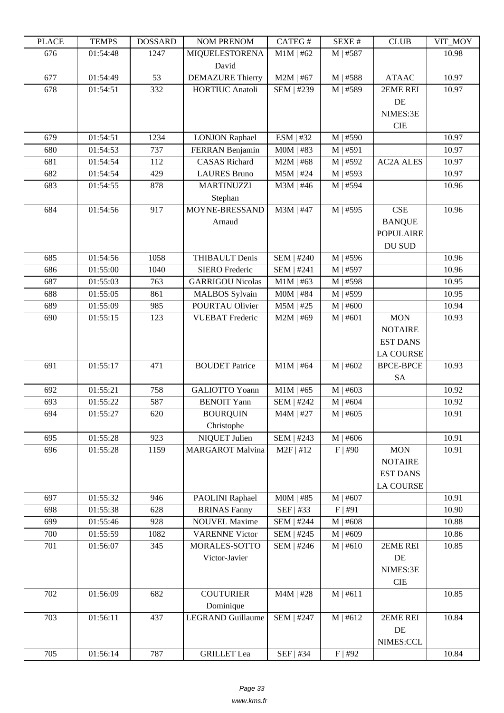| LLAUL | <u>ר דוגודו</u> | <b>UUUNAMU</b> | <b>INVIVET INDIVIDUAL</b> | <b>CAILUT</b>     | υL/VL π               | CLUD             | VII_MUI |
|-------|-----------------|----------------|---------------------------|-------------------|-----------------------|------------------|---------|
| 676   | 01:54:48        | 1247           | <b>MIQUELESTORENA</b>     | $M1M$   #62       | M   #587              |                  | 10.98   |
|       |                 |                | David                     |                   |                       |                  |         |
| 677   | 01:54:49        | 53             | <b>DEMAZURE Thierry</b>   | $M2M$   #67       | M   #588              | <b>ATAAC</b>     | 10.97   |
| 678   | 01:54:51        | 332            | <b>HORTIUC Anatoli</b>    | SEM   #239        | M   #589              | 2EME REI         | 10.97   |
|       |                 |                |                           |                   |                       | DE               |         |
|       |                 |                |                           |                   |                       | NIMES:3E         |         |
|       |                 |                |                           |                   |                       | <b>CIE</b>       |         |
| 679   | 01:54:51        | 1234           | <b>LONJON Raphael</b>     | ESM   #32         | M   #590              |                  | 10.97   |
| 680   | 01:54:53        | 737            | FERRAN Benjamin           | $MOM$   #83       | M   #591              |                  | 10.97   |
| 681   | 01:54:54        | 112            | <b>CASAS</b> Richard      | $M2M$   #68       | M   #592              | <b>AC2A ALES</b> | 10.97   |
| 682   | 01:54:54        | 429            | <b>LAURES Bruno</b>       | $M5M$   #24       | M   #593              |                  | 10.97   |
| 683   | 01:54:55        | 878            | <b>MARTINUZZI</b>         | $M3M$   #46       | M   #594              |                  | 10.96   |
|       |                 |                | Stephan                   |                   |                       |                  |         |
| 684   | 01:54:56        | 917            | MOYNE-BRESSAND            | M3M   #47         | $\overline{M}$   #595 | <b>CSE</b>       | 10.96   |
|       |                 |                |                           |                   |                       |                  |         |
|       |                 |                | Arnaud                    |                   |                       | <b>BANQUE</b>    |         |
|       |                 |                |                           |                   |                       | <b>POPULAIRE</b> |         |
|       |                 |                |                           |                   |                       | DU SUD           |         |
| 685   | 01:54:56        | 1058           | <b>THIBAULT Denis</b>     | SEM   #240        | M   #596              |                  | 10.96   |
| 686   | 01:55:00        | 1040           | <b>SIERO</b> Frederic     | SEM   #241        | M   #597              |                  | 10.96   |
| 687   | 01:55:03        | 763            | <b>GARRIGOU Nicolas</b>   | $M1M$   #63       | M   #598              |                  | 10.95   |
| 688   | 01:55:05        | 861            | <b>MALBOS</b> Sylvain     | $MOM$   #84       | M   #599              |                  | 10.95   |
| 689   | 01:55:09        | 985            | POURTAU Olivier           | $M5M$   #25       | $M$   #600            |                  | 10.94   |
| 690   | 01:55:15        | 123            | <b>VUEBAT</b> Frederic    | $M2M$   #69       | $M$   #601            | <b>MON</b>       | 10.93   |
|       |                 |                |                           |                   |                       | <b>NOTAIRE</b>   |         |
|       |                 |                |                           |                   |                       | <b>EST DANS</b>  |         |
|       |                 |                |                           |                   |                       | <b>LA COURSE</b> |         |
| 691   | 01:55:17        | 471            | <b>BOUDET Patrice</b>     | $M1M$   #64       | M   #602              | <b>BPCE-BPCE</b> | 10.93   |
|       |                 |                |                           |                   |                       | <b>SA</b>        |         |
| 692   | 01:55:21        | 758            | <b>GALIOTTO Yoann</b>     | $M1M$   #65       | $M$   #603            |                  | 10.92   |
| 693   | 01:55:22        | 587            | <b>BENOIT Yann</b>        | SEM   #242        | M   #604              |                  | 10.92   |
| 694   | 01:55:27        | 620            | <b>BOURQUIN</b>           | $M4M$   #27       | $M$   #605            |                  | 10.91   |
|       |                 |                | Christophe                |                   |                       |                  |         |
| 695   | 01:55:28        | 923            | NIQUET Julien             | SEM   #243        | $M$   #606            |                  | 10.91   |
| 696   | 01:55:28        | 1159           | <b>MARGAROT Malvina</b>   | $M2F$   #12       | $F$   #90             | <b>MON</b>       | 10.91   |
|       |                 |                |                           |                   |                       | <b>NOTAIRE</b>   |         |
|       |                 |                |                           |                   |                       | <b>EST DANS</b>  |         |
|       |                 |                |                           |                   |                       | <b>LA COURSE</b> |         |
| 697   | 01:55:32        | 946            | PAOLINI Raphael           | $MOM$   #85       | $M$   #607            |                  | 10.91   |
| 698   | 01:55:38        | 628            | <b>BRINAS Fanny</b>       | SEF   #33         | F   #91               |                  | 10.90   |
| 699   | 01:55:46        | 928            | <b>NOUVEL Maxime</b>      | SEM   #244        | M   #608              |                  | 10.88   |
| 700   | 01:55:59        | 1082           | <b>VARENNE Victor</b>     | SEM   #245        | M   #609              |                  | 10.86   |
| 701   | 01:56:07        | 345            | MORALES-SOTTO             | SEM   #246        | M   #610              | 2EME REI         | 10.85   |
|       |                 |                | Victor-Javier             |                   |                       | DE               |         |
|       |                 |                |                           |                   |                       | NIMES:3E         |         |
|       |                 |                |                           |                   |                       | <b>CIE</b>       |         |
|       |                 |                |                           |                   |                       |                  |         |
| 702   | 01:56:09        | 682            | <b>COUTURIER</b>          | $M4M$   #28       | M   #611              |                  | 10.85   |
|       |                 |                | Dominique                 |                   |                       |                  |         |
| 703   | 01:56:11        | 437            | <b>LEGRAND Guillaume</b>  | <b>SEM   #247</b> | M   #612              | 2EME REI         | 10.84   |
|       |                 |                |                           |                   |                       | DE               |         |
|       |                 |                |                           |                   |                       | NIMES:CCL        |         |
| 705   | 01:56:14        | 787            | <b>GRILLET</b> Lea        | SEF   #34         | $F$   #92             |                  | 10.84   |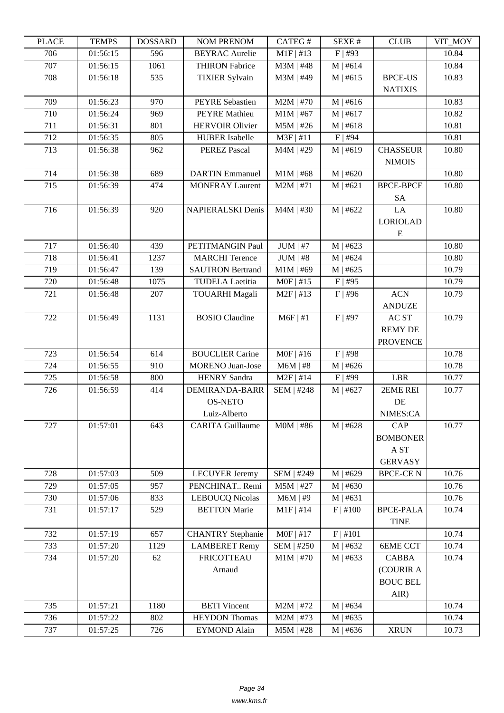| LLAUL | <u>ר דוגודו</u> | <b>UUUUUUU</b> | <b>INVIVE ENERVOIM</b>   | <b>CAILUT</b> | DL/AL π    | CLUD             | VII_MUI |
|-------|-----------------|----------------|--------------------------|---------------|------------|------------------|---------|
| 706   | 01:56:15        | 596            | <b>BEYRAC</b> Aurelie    | $M1F$ #13     | $F$   #93  |                  | 10.84   |
| 707   | 01:56:15        | 1061           | <b>THIRON Fabrice</b>    | $M3M$   #48   | M   #614   |                  | 10.84   |
| 708   | 01:56:18        | 535            | <b>TIXIER Sylvain</b>    | M3M   #49     | M   #615   | <b>BPCE-US</b>   | 10.83   |
|       |                 |                |                          |               |            | <b>NATIXIS</b>   |         |
| 709   | 01:56:23        | 970            | <b>PEYRE Sebastien</b>   | $M2M$   #70   | M   #616   |                  | 10.83   |
| 710   | 01:56:24        | 969            | <b>PEYRE</b> Mathieu     | $M1M$   #67   | M   #617   |                  | 10.82   |
| 711   | 01:56:31        | 801            | <b>HERVOIR Olivier</b>   | $M5M$   #26   | M   #618   |                  | 10.81   |
| 712   | 01:56:35        | 805            | <b>HUBER Isabelle</b>    | $M3F$   #11   | $F$   #94  |                  | 10.81   |
| 713   | 01:56:38        | 962            | <b>PEREZ Pascal</b>      | M4M   #29     | M   #619   | <b>CHASSEUR</b>  | 10.80   |
|       |                 |                |                          |               |            | <b>NIMOIS</b>    |         |
| 714   | 01:56:38        | 689            | <b>DARTIN</b> Emmanuel   | $M1M$   #68   | M   #620   |                  | 10.80   |
| 715   | 01:56:39        | 474            | <b>MONFRAY Laurent</b>   | $M2M$   #71   | M   #621   | <b>BPCE-BPCE</b> | 10.80   |
|       |                 |                |                          |               |            | <b>SA</b>        |         |
| 716   | 01:56:39        | 920            | <b>NAPIERALSKI Denis</b> | $M4M$   #30   | M   #622   | LA               | 10.80   |
|       |                 |                |                          |               |            | <b>LORIOLAD</b>  |         |
|       |                 |                |                          |               |            | E                |         |
| 717   | 01:56:40        | 439            | PETITMANGIN Paul         | $JUM$   #7    | M   #623   |                  | 10.80   |
| 718   | 01:56:41        | 1237           | <b>MARCHI</b> Terence    | $JUM$   #8    | M   #624   |                  | 10.80   |
| 719   | 01:56:47        | 139            | <b>SAUTRON Bertrand</b>  | $M1M$   #69   | M   #625   |                  | 10.79   |
| 720   | 01:56:48        | 1075           | <b>TUDELA Laetitia</b>   | $MOF$   #15   | $F$   #95  |                  | 10.79   |
| 721   |                 |                |                          |               |            | <b>ACN</b>       | 10.79   |
|       | 01:56:48        | 207            | <b>TOUARHI Magali</b>    | $M2F$   #13   | $F$ #96    |                  |         |
|       |                 |                |                          |               |            | <b>ANDUZE</b>    |         |
| 722   | 01:56:49        | 1131           | <b>BOSIO</b> Claudine    | $M6F$   #1    | $F$   #97  | AC ST            | 10.79   |
|       |                 |                |                          |               |            | <b>REMY DE</b>   |         |
|       |                 |                |                          |               |            | <b>PROVENCE</b>  |         |
| 723   | 01:56:54        | 614            | <b>BOUCLIER Carine</b>   | $MOF$   #16   | $F$   #98  |                  | 10.78   |
| 724   | 01:56:55        | 910            | <b>MORENO</b> Juan-Jose  | $M6M$   #8    | M   #626   |                  | 10.78   |
| 725   | 01:56:58        | 800            | <b>HENRY Sandra</b>      | $M2F$   #14   | $F$   #99  | <b>LBR</b>       | 10.77   |
| 726   | 01:56:59        | 414            | <b>DEMIRANDA-BARR</b>    | SEM   #248    | M   #627   | 2EME REI         | 10.77   |
|       |                 |                | <b>OS-NETO</b>           |               |            | DE               |         |
|       |                 |                | Luiz-Alberto             |               |            | NIMES:CA         |         |
| 727   | 01:57:01        | 643            | <b>CARITA Guillaume</b>  | $MOM$   #86   | M   #628   | CAP              | 10.77   |
|       |                 |                |                          |               |            | <b>BOMBONER</b>  |         |
|       |                 |                |                          |               |            | A ST             |         |
|       |                 |                |                          |               |            | <b>GERVASY</b>   |         |
| 728   | 01:57:03        | 509            | <b>LECUYER Jeremy</b>    | SEM   #249    | M   #629   | <b>BPCE-CEN</b>  | 10.76   |
| 729   | 01:57:05        | 957            | PENCHINAT Remi           | $M5M$   #27   | M   #630   |                  | 10.76   |
| 730   | 01:57:06        | 833            | <b>LEBOUCQ Nicolas</b>   | $M6M$   #9    | M   #631   |                  | 10.76   |
| 731   | 01:57:17        | 529            | <b>BETTON Marie</b>      | $M1F$   #14   | $F$   #100 | <b>BPCE-PALA</b> | 10.74   |
|       |                 |                |                          |               |            | <b>TINE</b>      |         |
| 732   | 01:57:19        | 657            | <b>CHANTRY Stephanie</b> | $MOF$   #17   | F   #101   |                  | 10.74   |
| 733   | 01:57:20        | 1129           | <b>LAMBERET Remy</b>     | SEM   #250    | M   #632   | <b>6EME CCT</b>  | 10.74   |
| 734   | 01:57:20        | 62             | <b>FRICOTTEAU</b>        | $M1M$   #70   | M   #633   | <b>CABBA</b>     | 10.74   |
|       |                 |                | Arnaud                   |               |            | (COURIR A        |         |
|       |                 |                |                          |               |            | <b>BOUC BEL</b>  |         |
|       |                 |                |                          |               |            | AIR)             |         |
| 735   | 01:57:21        | 1180           | <b>BETI</b> Vincent      | $M2M$   #72   | M   #634   |                  | 10.74   |
| 736   | 01:57:22        | 802            | <b>HEYDON Thomas</b>     | $M2M$   #73   | M   #635   |                  | 10.74   |
| 737   | 01:57:25        | 726            | <b>EYMOND Alain</b>      | $M5M$   #28   | M   #636   | <b>XRUN</b>      | 10.73   |
|       |                 |                |                          |               |            |                  |         |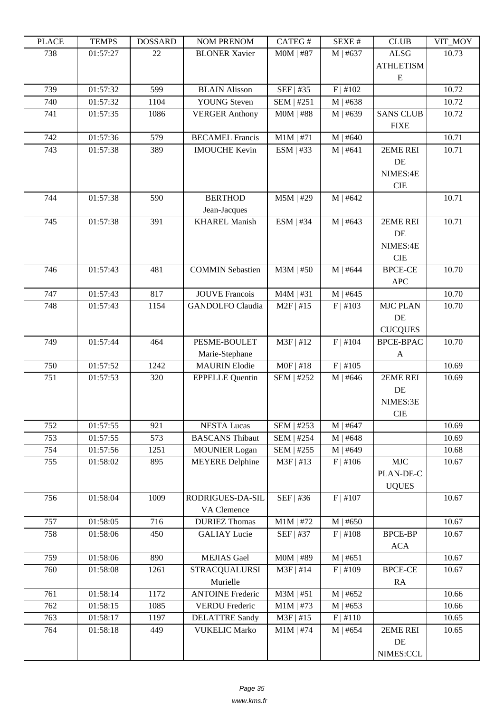| LLAUL      | L LIVIII D           | <b>UUUUUUU</b> | <b>NUMERICA</b>         | CΛ1 LU π                  | יד בבלגבוט | CLUD             | VII_MUI |
|------------|----------------------|----------------|-------------------------|---------------------------|------------|------------------|---------|
| 738        | 01:57:27             | 22             | <b>BLONER Xavier</b>    | $MOM$   #87               | $M$   #637 | <b>ALSG</b>      | 10.73   |
|            |                      |                |                         |                           |            | <b>ATHLETISM</b> |         |
| 739        | 01:57:32             | 599            | <b>BLAIN Alisson</b>    | SEF   #35                 | F   #102   | ${\bf E}$        | 10.72   |
| 740        | 01:57:32             | 1104           | <b>YOUNG</b> Steven     | SEM   #251                | M   #638   |                  | 10.72   |
| 741        | 01:57:35             | 1086           | <b>VERGER Anthony</b>   | $MOM$   #88               | M   #639   | <b>SANS CLUB</b> | 10.72   |
|            |                      |                |                         |                           |            | <b>FIXE</b>      |         |
| 742        | 01:57:36             | 579            | <b>BECAMEL Francis</b>  | $M1M$   #71               | M   #640   |                  | 10.71   |
| 743        | 01:57:38             | 389            | <b>IMOUCHE Kevin</b>    | ESM   #33                 | M   #641   | 2EME REI         | 10.71   |
|            |                      |                |                         |                           |            | DE               |         |
|            |                      |                |                         |                           |            | NIMES:4E         |         |
|            |                      |                |                         |                           |            | <b>CIE</b>       |         |
| 744        | 01:57:38             | 590            | <b>BERTHOD</b>          | $M5M$   #29               | M   #642   |                  | 10.71   |
|            |                      |                | Jean-Jacques            |                           |            |                  |         |
| 745        | 01:57:38             | 391            | <b>KHAREL Manish</b>    | ESM   #34                 | M   #643   | 2EME REI         | 10.71   |
|            |                      |                |                         |                           |            | DE               |         |
|            |                      |                |                         |                           |            | NIMES:4E         |         |
|            |                      |                |                         |                           |            | <b>CIE</b>       |         |
| 746        | 01:57:43             | 481            | <b>COMMIN Sebastien</b> | $M3M$   #50               | $M$   #644 | <b>BPCE-CE</b>   | 10.70   |
|            |                      |                |                         |                           |            | <b>APC</b>       |         |
| 747        | 01:57:43             | 817            | <b>JOUVE Francois</b>   | $M4M$   #31               | M   #645   |                  | 10.70   |
| 748        | 01:57:43             | 1154           | <b>GANDOLFO</b> Claudia | $M2F$   #15               | F   #103   | <b>MJC PLAN</b>  | 10.70   |
|            |                      |                |                         |                           |            | DE               |         |
|            |                      |                |                         |                           |            | <b>CUCQUES</b>   |         |
| 749        | 01:57:44             | 464            | PESME-BOULET            | M3F   #12                 | F   #104   | <b>BPCE-BPAC</b> | 10.70   |
|            |                      |                | Marie-Stephane          |                           |            | A                |         |
| 750        | 01:57:52             | 1242           | <b>MAURIN</b> Elodie    | $MOF$   #18               | F   #105   |                  | 10.69   |
| 751        | 01:57:53             | 320            | <b>EPPELLE Quentin</b>  | SEM   #252                | M   #646   | 2EME REI         | 10.69   |
|            |                      |                |                         |                           |            | DE               |         |
|            |                      |                |                         |                           |            | NIMES:3E         |         |
|            |                      |                |                         |                           |            | <b>CIE</b>       |         |
| 752        | 01:57:55             | 921            | <b>NESTA Lucas</b>      | SEM   #253                | $M$   #647 |                  | 10.69   |
| 753        | 01:57:55             | 573            | <b>BASCANS</b> Thibaut  | SEM   #254                | M   #648   |                  | 10.69   |
| 754<br>755 | 01:57:56<br>01:58:02 | 1251           | <b>MOUNIER Logan</b>    | SEM   #255<br>$M3F$   #13 | M   #649   | MIC              | 10.68   |
|            |                      | 895            | <b>MEYERE</b> Delphine  |                           | F   #106   | PLAN-DE-C        | 10.67   |
|            |                      |                |                         |                           |            |                  |         |
| 756        | 01:58:04             | 1009           | RODRIGUES-DA-SIL        | SEF   #36                 | F   #107   | <b>UQUES</b>     | 10.67   |
|            |                      |                | VA Clemence             |                           |            |                  |         |
| 757        | 01:58:05             | 716            | <b>DURIEZ Thomas</b>    | $M1M$   #72               | M   #650   |                  | 10.67   |
| 758        | 01:58:06             | 450            | <b>GALIAY Lucie</b>     | SEF   #37                 | F   #108   | <b>BPCE-BP</b>   | 10.67   |
|            |                      |                |                         |                           |            | <b>ACA</b>       |         |
| 759        | 01:58:06             | 890            | <b>MEJIAS</b> Gael      | $\overline{M}$ OM   #89   | M   #651   |                  | 10.67   |
| 760        | 01:58:08             | 1261           | <b>STRACQUALURSI</b>    | $M3F$   #14               | F   #109   | <b>BPCE-CE</b>   | 10.67   |
|            |                      |                | Murielle                |                           |            | RA               |         |
| 761        | 01:58:14             | 1172           | <b>ANTOINE Frederic</b> | $M3M$   #51               | M   #652   |                  | 10.66   |
| 762        | 01:58:15             | 1085           | <b>VERDU Frederic</b>   | $M1M$   #73               | M   #653   |                  | 10.66   |
| 763        | 01:58:17             | 1197           | <b>DELATTRE Sandy</b>   | $M3F$   #15               | F   #110   |                  | 10.65   |
| 764        | 01:58:18             | 449            | <b>VUKELIC Marko</b>    | $M1M$   #74               | $M$   #654 | 2EME REI         | 10.65   |
|            |                      |                |                         |                           |            | DE               |         |
|            |                      |                |                         |                           |            | NIMES:CCL        |         |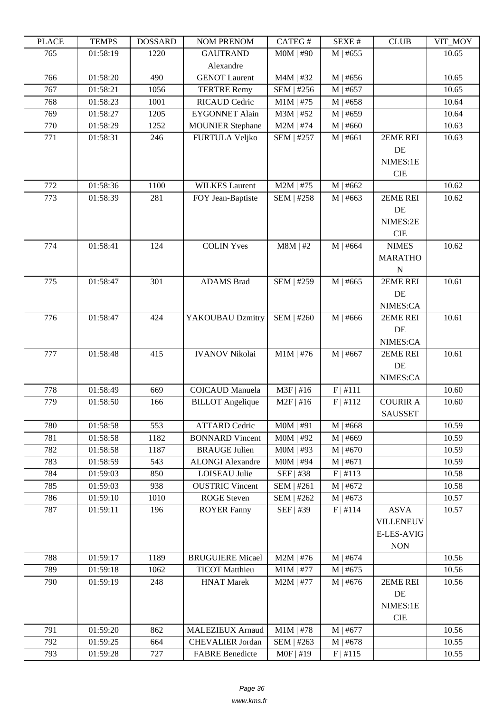| LEUCE | <b>TENTI D</b> | <b>UUDDAINU</b> | <b>AUWERVEROW</b>       | <b>CATLOT</b> | ד בר⁄זבט         | CLUD              | VII_MUI |
|-------|----------------|-----------------|-------------------------|---------------|------------------|-------------------|---------|
| 765   | 01:58:19       | 1220            | <b>GAUTRAND</b>         | $MOM$   #90   | $M$   #655       |                   | 10.65   |
|       |                |                 | Alexandre               |               |                  |                   |         |
| 766   | 01:58:20       | 490             | <b>GENOT Laurent</b>    | M4M   #32     | $M$   #656       |                   | 10.65   |
| 767   | 01:58:21       | 1056            | <b>TERTRE Remy</b>      | SEM   #256    | M   #657         |                   | 10.65   |
| 768   | 01:58:23       | 1001            | <b>RICAUD Cedric</b>    | $M1M$   #75   | $M$   #658       |                   | 10.64   |
| 769   | 01:58:27       | 1205            | <b>EYGONNET Alain</b>   | M3M   #52     | M   #659         |                   | 10.64   |
| 770   | 01:58:29       | 1252            | <b>MOUNIER Stephane</b> | $M2M$   #74   | $M$   #660       |                   | 10.63   |
| 771   | 01:58:31       | 246             | <b>FURTULA Veljko</b>   | SEM   #257    | M   #661         | 2EME REI          | 10.63   |
|       |                |                 |                         |               |                  | DE                |         |
|       |                |                 |                         |               |                  | NIMES:1E          |         |
|       |                |                 |                         |               |                  | <b>CIE</b>        |         |
| 772   | 01:58:36       | 1100            | <b>WILKES Laurent</b>   | $M2M$   #75   | M   #662         |                   | 10.62   |
| 773   | 01:58:39       | 281             | FOY Jean-Baptiste       | SEM   #258    | M   #663         | 2EME REI          | 10.62   |
|       |                |                 |                         |               |                  | DE                |         |
|       |                |                 |                         |               |                  | NIMES:2E          |         |
|       |                |                 |                         |               |                  | <b>CIE</b>        |         |
| 774   | 01:58:41       | 124             | <b>COLIN Yves</b>       | $M8M$   #2    | M   #664         | <b>NIMES</b>      | 10.62   |
|       |                |                 |                         |               |                  | <b>MARATHO</b>    |         |
|       |                |                 |                         |               |                  | $\mathbf N$       |         |
| 775   | 01:58:47       | 301             | <b>ADAMS</b> Brad       | SEM   #259    | $M$   #665       | 2EME REI          | 10.61   |
|       |                |                 |                         |               |                  | DE                |         |
|       |                |                 |                         |               |                  | NIMES:CA          |         |
| 776   | 01:58:47       | 424             | YAKOUBAU Dzmitry        | SEM   #260    | $M$   #666       | 2EME REI          | 10.61   |
|       |                |                 |                         |               |                  | DE                |         |
|       |                |                 |                         |               |                  | NIMES:CA          |         |
| 777   | 01:58:48       | 415             | <b>IVANOV Nikolai</b>   | $M1M$   #76   | $M$   #667       | 2EME REI          | 10.61   |
|       |                |                 |                         |               |                  | DE                |         |
|       |                |                 |                         |               |                  | NIMES:CA          |         |
| 778   | 01:58:49       | 669             | <b>COICAUD Manuela</b>  | $M3F$   #16   | F   #111         |                   | 10.60   |
| 779   | 01:58:50       | 166             | <b>BILLOT</b> Angelique | $M2F$   #16   | F   #112         | <b>COURIR A</b>   | 10.60   |
|       |                |                 |                         |               |                  | <b>SAUSSET</b>    |         |
| 780   | 01:58:58       | 553             | <b>ATTARD Cedric</b>    | $MOM$   #91   | M   #668         |                   | 10.59   |
| 781   | 01:58:58       | 1182            | <b>BONNARD</b> Vincent  | $MOM$   #92   | M   #669         |                   | 10.59   |
| 782   | 01:58:58       | 1187            | <b>BRAUGE Julien</b>    | $MOM$   #93   | M   #670         |                   | 10.59   |
| 783   | 01:58:59       | 543             | <b>ALONGI</b> Alexandre | $MOM$   #94   | M   #671         |                   | 10.59   |
| 784   | 01:59:03       | 850             | <b>LOISEAU Julie</b>    | SEF   #38     | F   #113         |                   | 10.58   |
| 785   | 01:59:03       | 938             | <b>OUSTRIC Vincent</b>  | SEM   #261    | M   #672         |                   | 10.58   |
| 786   | 01:59:10       | 1010            | <b>ROGE</b> Steven      | SEM   #262    | $M$   #673       |                   | 10.57   |
| 787   | 01:59:11       | 196             | <b>ROYER Fanny</b>      | SEF   #39     | F   #114         | <b>ASVA</b>       | 10.57   |
|       |                |                 |                         |               |                  | <b>VILLENEUV</b>  |         |
|       |                |                 |                         |               |                  | <b>E-LES-AVIG</b> |         |
|       |                |                 |                         |               |                  | <b>NON</b>        |         |
| 788   | 01:59:17       | 1189            | <b>BRUGUIERE Micael</b> | $M2M$   #76   | $M$   #674       |                   | 10.56   |
| 789   | 01:59:18       | 1062            | <b>TICOT</b> Matthieu   | $M1M$   #77   | $M$   #675       |                   | 10.56   |
| 790   | 01:59:19       | 248             | <b>HNAT Marek</b>       | $M2M$   #77   | $M \,   \, #676$ | 2EME REI          | 10.56   |
|       |                |                 |                         |               |                  | DE                |         |
|       |                |                 |                         |               |                  | NIMES:1E          |         |
|       |                |                 |                         |               |                  | <b>CIE</b>        |         |
| 791   | 01:59:20       | 862             | <b>MALEZIEUX Arnaud</b> | $M1M$   #78   | $M$   #677       |                   | 10.56   |
| 792   | 01:59:25       | 664             | CHEVALIER Jordan        | SEM   #263    | $M$   #678       |                   | 10.55   |
| 793   | 01:59:28       | 727             | <b>FABRE Benedicte</b>  | $MOF$   #19   | F   #115         |                   | 10.55   |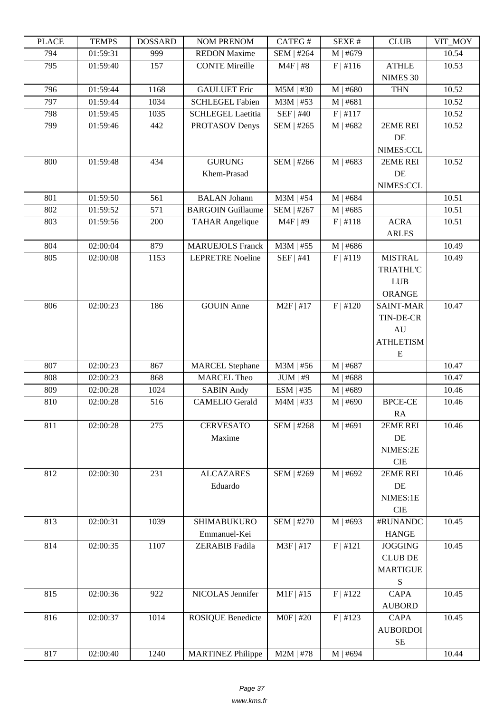| LLAUD | L LIVII D | <b>UUUUUUU</b> | <b>NUMERICAN</b>         | <b>CATLOT</b> | ד בר⁄זבט   | CLUD             | VII_WIO I |
|-------|-----------|----------------|--------------------------|---------------|------------|------------------|-----------|
| 794   | 01:59:31  | 999            | <b>REDON Maxime</b>      | SEM   #264    | M   #679   |                  | 10.54     |
| 795   | 01:59:40  | 157            | <b>CONTE Mireille</b>    | $M4F$   #8    | $F$ #116   | <b>ATHLE</b>     | 10.53     |
|       |           |                |                          |               |            | NIMES 30         |           |
| 796   | 01:59:44  | 1168           | <b>GAULUET Eric</b>      | $M5M$   #30   | $M$   #680 | <b>THN</b>       | 10.52     |
| 797   | 01:59:44  | 1034           | <b>SCHLEGEL Fabien</b>   | $M3M$   #53   | M   #681   |                  | 10.52     |
| 798   | 01:59:45  | 1035           | <b>SCHLEGEL Laetitia</b> | SEF   #40     | F   #117   |                  | 10.52     |
| 799   | 01:59:46  | 442            | PROTASOV Denys           | SEM   #265    | M   #682   | 2EME REI         | 10.52     |
|       |           |                |                          |               |            | DE               |           |
|       |           |                |                          |               |            | NIMES:CCL        |           |
| 800   | 01:59:48  | 434            | <b>GURUNG</b>            | SEM   #266    | M   #683   | 2EME REI         | 10.52     |
|       |           |                | Khem-Prasad              |               |            | DE               |           |
|       |           |                |                          |               |            | NIMES:CCL        |           |
| 801   | 01:59:50  | 561            | <b>BALAN</b> Johann      | $M3M$   #54   | $M$   #684 |                  | 10.51     |
| 802   | 01:59:52  | 571            | <b>BARGOIN Guillaume</b> | SEM   #267    | M   #685   |                  | 10.51     |
| 803   | 01:59:56  | 200            | <b>TAHAR Angelique</b>   | $M4F$   #9    | $F$   #118 | <b>ACRA</b>      | 10.51     |
|       |           |                |                          |               |            | <b>ARLES</b>     |           |
| 804   | 02:00:04  | 879            | <b>MARUEJOLS Franck</b>  | M3M   #55     | $M$   #686 |                  | 10.49     |
| 805   | 02:00:08  | 1153           | <b>LEPRETRE Noeline</b>  | SEF   #41     | $F$   #119 | <b>MISTRAL</b>   | 10.49     |
|       |           |                |                          |               |            |                  |           |
|       |           |                |                          |               |            | <b>TRIATHL'C</b> |           |
|       |           |                |                          |               |            | <b>LUB</b>       |           |
|       |           |                |                          |               |            | <b>ORANGE</b>    |           |
| 806   | 02:00:23  | 186            | <b>GOUIN</b> Anne        | $M2F$   #17   | F   #120   | <b>SAINT-MAR</b> | 10.47     |
|       |           |                |                          |               |            | TIN-DE-CR        |           |
|       |           |                |                          |               |            | AU               |           |
|       |           |                |                          |               |            | <b>ATHLETISM</b> |           |
|       |           |                |                          |               |            | Ε                |           |
| 807   | 02:00:23  | 867            | <b>MARCEL Stephane</b>   | $M3M$   #56   | $M$   #687 |                  | 10.47     |
| 808   | 02:00:23  | 868            | <b>MARCEL Theo</b>       | $JUM$   #9    | M   #688   |                  | 10.47     |
| 809   | 02:00:28  | 1024           | <b>SABIN Andy</b>        | $ESM$   #35   | M   #689   |                  | 10.46     |
| 810   | 02:00:28  | 516            | <b>CAMELIO</b> Gerald    | $M4M$   #33   | M   #690   | <b>BPCE-CE</b>   | 10.46     |
|       |           |                |                          |               |            | RA               |           |
| 811   | 02:00:28  | 275            | <b>CERVESATO</b>         | SEM   #268    | M   #691   | 2EME REI         | 10.46     |
|       |           |                | Maxime                   |               |            | DE               |           |
|       |           |                |                          |               |            | NIMES:2E         |           |
|       |           |                |                          |               |            | $\rm CIE$        |           |
| 812   | 02:00:30  | 231            | <b>ALCAZARES</b>         | SEM   #269    | M   #692   | 2EME REI         | 10.46     |
|       |           |                | Eduardo                  |               |            | DE               |           |
|       |           |                |                          |               |            | NIMES:1E         |           |
|       |           |                |                          |               |            | CIE              |           |
| 813   | 02:00:31  | 1039           | <b>SHIMABUKURO</b>       | SEM   #270    | M   #693   | #RUNANDC         | 10.45     |
|       |           |                | Emmanuel-Kei             |               |            | <b>HANGE</b>     |           |
| 814   | 02:00:35  | 1107           | <b>ZERABIB</b> Fadila    | M3F   #17     | F   #121   | <b>JOGGING</b>   | 10.45     |
|       |           |                |                          |               |            | <b>CLUB DE</b>   |           |
|       |           |                |                          |               |            | <b>MARTIGUE</b>  |           |
|       |           |                |                          |               |            | ${\bf S}$        |           |
| 815   | 02:00:36  | 922            | NICOLAS Jennifer         | $M1F$   #15   | F   #122   | <b>CAPA</b>      | 10.45     |
|       |           |                |                          |               |            | <b>AUBORD</b>    |           |
| 816   | 02:00:37  | 1014           | <b>ROSIQUE Benedicte</b> | $MOF$   #20   | F   #123   | <b>CAPA</b>      | 10.45     |
|       |           |                |                          |               |            | <b>AUBORDOI</b>  |           |
|       |           |                |                          |               |            | $\rm SE$         |           |
| 817   | 02:00:40  | 1240           | <b>MARTINEZ Philippe</b> | $M2M$   #78   | $M$   #694 |                  | 10.44     |
|       |           |                |                          |               |            |                  |           |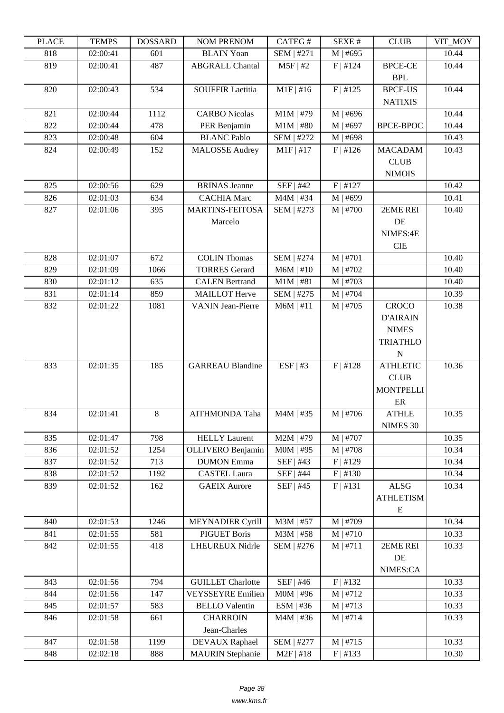| LLAUD      | <b>TENTI D</b>       | <b>UUUUUUU</b> | <b>NUMERION</b>                              | <b>CATLOT</b>             | DL/AL π                | CLUD             | VII_NIVI       |
|------------|----------------------|----------------|----------------------------------------------|---------------------------|------------------------|------------------|----------------|
| 818        | 02:00:41             | 601            | <b>BLAIN</b> Yoan                            | SEM   #271                | M   #695               |                  | 10.44          |
| 819        | 02:00:41             | 487            | <b>ABGRALL Chantal</b>                       | $M5F$   #2                | F   #124               | <b>BPCE-CE</b>   | 10.44          |
|            |                      |                |                                              |                           |                        | <b>BPL</b>       |                |
| 820        | 02:00:43             | 534            | <b>SOUFFIR Laetitia</b>                      | $M1F$   #16               | F   #125               | <b>BPCE-US</b>   | 10.44          |
|            |                      |                |                                              |                           |                        | <b>NATIXIS</b>   |                |
| 821        | 02:00:44             | 1112           | <b>CARBO</b> Nicolas                         | $M1M$   #79               | M   #696               |                  | 10.44          |
| 822        | 02:00:44             | 478            | PER Benjamin                                 | $M1M$   #80               | M   #697               | <b>BPCE-BPOC</b> | 10.44          |
| 823        | 02:00:48             | 604            | <b>BLANC Pablo</b>                           | SEM   #272                | M   #698               |                  | 10.43          |
| 824        | 02:00:49             | 152            | <b>MALOSSE</b> Audrey                        | $M1F$   #17               | F   #126               | <b>MACADAM</b>   | 10.43          |
|            |                      |                |                                              |                           |                        | CLUB             |                |
|            |                      |                |                                              |                           |                        | <b>NIMOIS</b>    |                |
| 825        | 02:00:56             | 629            | <b>BRINAS</b> Jeanne                         | SEF   #42                 | F   #127               |                  | 10.42          |
| 826<br>827 | 02:01:03<br>02:01:06 | 634<br>395     | <b>CACHIA Marc</b><br><b>MARTINS-FEITOSA</b> | $M4M$   #34<br>SEM   #273 | M   #699<br>$M$   #700 | 2EME REI         | 10.41<br>10.40 |
|            |                      |                | Marcelo                                      |                           |                        | DE               |                |
|            |                      |                |                                              |                           |                        | NIMES:4E         |                |
|            |                      |                |                                              |                           |                        | <b>CIE</b>       |                |
| 828        | 02:01:07             | 672            | <b>COLIN Thomas</b>                          | SEM   #274                | $M$   #701             |                  | 10.40          |
| 829        | 02:01:09             | 1066           | <b>TORRES Gerard</b>                         | $M6M$   #10               | $M$   #702             |                  | 10.40          |
| 830        | 02:01:12             | 635            | <b>CALEN Bertrand</b>                        | $M1M$   #81               | $M$   #703             |                  | 10.40          |
| 831        | 02:01:14             | 859            | <b>MAILLOT</b> Herve                         | SEM   #275                | $M$   #704             |                  | 10.39          |
| 832        | 02:01:22             | 1081           | <b>VANIN Jean-Pierre</b>                     | $M6M$   #11               | $M$   #705             | <b>CROCO</b>     | 10.38          |
|            |                      |                |                                              |                           |                        | <b>D'AIRAIN</b>  |                |
|            |                      |                |                                              |                           |                        | <b>NIMES</b>     |                |
|            |                      |                |                                              |                           |                        | <b>TRIATHLO</b>  |                |
|            |                      |                |                                              |                           |                        | N                |                |
| 833        | 02:01:35             | 185            | <b>GARREAU Blandine</b>                      | ESF   #3                  | F   #128               | <b>ATHLETIC</b>  | 10.36          |
|            |                      |                |                                              |                           |                        | <b>CLUB</b>      |                |
|            |                      |                |                                              |                           |                        | <b>MONTPELLI</b> |                |
|            |                      |                |                                              |                           |                        | $\rm ER$         |                |
| 834        | 02:01:41             | 8              | <b>AITHMONDA Taha</b>                        | $M4M$   #35               | $M$   #706             | <b>ATHLE</b>     | 10.35          |
|            |                      |                |                                              |                           |                        | NIMES 30         |                |
| 835        | 02:01:47             | 798            | <b>HELLY Laurent</b>                         | M2M   #79                 | $M$   #707             |                  | 10.35          |
| 836        | 02:01:52             | 1254           | OLLIVERO Benjamin                            | $MOM$   #95               | $M$   #708             |                  | 10.34          |
| 837        | 02:01:52             | 713            | <b>DUMON</b> Emma                            | SEF   #43                 | F   #129               |                  | 10.34          |
| 838        | 02:01:52             | 1192           | <b>CASTEL Laura</b>                          | SEF   #44                 | $F$   #130             |                  | 10.34          |
| 839        | 02:01:52             | 162            | <b>GAEIX Aurore</b>                          | $SEF$   #45               | F   #131               | ALSG             | 10.34          |
|            |                      |                |                                              |                           |                        | <b>ATHLETISM</b> |                |
|            |                      |                |                                              |                           |                        | ${\bf E}$        |                |
| 840        | 02:01:53             | 1246           | <b>MEYNADIER Cyrill</b>                      | M3M   #57                 | $M$   #709             |                  | 10.34          |
| 841        | 02:01:55             | 581            | <b>PIGUET Boris</b>                          | $M3M$   #58               | M   #710               |                  | 10.33          |
| 842        | 02:01:55             | 418            | LHEUREUX Nidrle                              | SEM   #276                | M   #711               | 2EME REI         | 10.33          |
|            |                      |                |                                              |                           |                        | DE               |                |
|            |                      |                |                                              |                           |                        | NIMES:CA         |                |
| 843        | 02:01:56             | 794            | <b>GUILLET</b> Charlotte                     | SEF   #46                 | F   #132               |                  | 10.33          |
| 844        | 02:01:56             | 147            | <b>VEYSSEYRE Emilien</b>                     | $MOM$   #96               | M   #712               |                  | 10.33          |
| 845        | 02:01:57             | 583            | <b>BELLO Valentin</b>                        | ESM   #36                 | M   #713               |                  | 10.33          |
| 846        | 02:01:58             | 661            | <b>CHARROIN</b>                              | $M4M$   #36               | $M$   #714             |                  | 10.33          |
|            |                      |                | Jean-Charles                                 |                           |                        |                  |                |
| 847        | 02:01:58             | 1199           | DEVAUX Raphael                               | SEM   #277                | M   #715               |                  | 10.33          |
| 848        | 02:02:18             | 888            | <b>MAURIN</b> Stephanie                      | $M2F$   #18               | F   #133               |                  | 10.30          |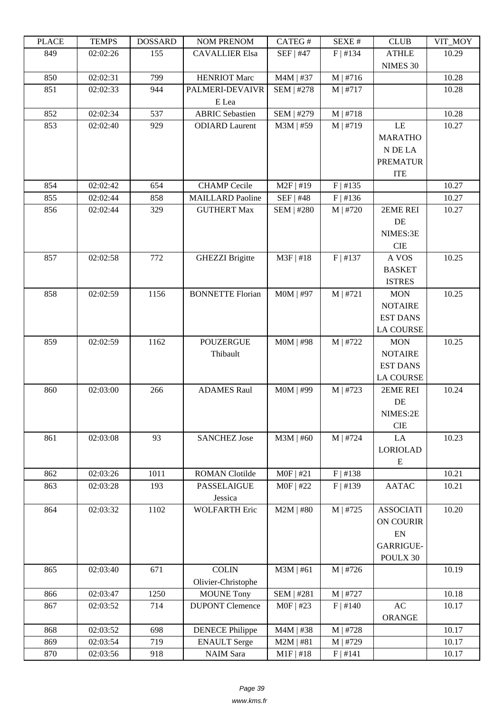| I LAUD | <b>TEIATI</b> 2 | <b>DOPPULP</b> | <b>TAQIMET IZETAQIME</b> | $CALU \pi$        | л سد       | <b>CEOD</b>                | VII IVIUI |
|--------|-----------------|----------------|--------------------------|-------------------|------------|----------------------------|-----------|
| 849    | 02:02:26        | 155            | <b>CAVALLIER Elsa</b>    | $SEF$   #47       | F   #134   | <b>ATHLE</b><br>NIMES 30   | 10.29     |
| 850    | 02:02:31        | 799            | <b>HENRIOT Marc</b>      | $M4M$   #37       | M   #716   |                            | 10.28     |
| 851    | 02:02:33        | 944            | PALMERI-DEVAIVR          | SEM   #278        | $M$   #717 |                            | 10.28     |
|        |                 |                | E Lea                    |                   |            |                            |           |
| 852    | 02:02:34        | 537            | <b>ABRIC Sebastien</b>   | SEM   #279        | M   #718   |                            | 10.28     |
| 853    | 02:02:40        | 929            | <b>ODIARD</b> Laurent    | $M3M$   #59       | M   #719   | LE                         | 10.27     |
|        |                 |                |                          |                   |            | <b>MARATHO</b>             |           |
|        |                 |                |                          |                   |            | N DE LA                    |           |
|        |                 |                |                          |                   |            | <b>PREMATUR</b>            |           |
|        |                 |                |                          |                   |            | <b>ITE</b>                 |           |
| 854    | 02:02:42        | 654            | <b>CHAMP</b> Cecile      | $M2F$   #19       | F   #135   |                            | 10.27     |
| 855    | 02:02:44        | 858            | <b>MAILLARD Paoline</b>  | SEF   #48         | F   #136   |                            | 10.27     |
| 856    | 02:02:44        | 329            | <b>GUTHERT Max</b>       | <b>SEM   #280</b> | M   #720   | 2EME REI                   | 10.27     |
|        |                 |                |                          |                   |            | DE                         |           |
|        |                 |                |                          |                   |            | NIMES:3E                   |           |
|        |                 |                |                          |                   |            | <b>CIE</b>                 |           |
| 857    | 02:02:58        | 772            | <b>GHEZZI Brigitte</b>   | $M3F$   #18       | F   #137   | A VOS                      | 10.25     |
|        |                 |                |                          |                   |            | <b>BASKET</b>              |           |
|        |                 |                |                          |                   |            | <b>ISTRES</b>              |           |
| 858    | 02:02:59        | 1156           | <b>BONNETTE Florian</b>  | M0M   #97         | M   #721   | <b>MON</b>                 | 10.25     |
|        |                 |                |                          |                   |            | <b>NOTAIRE</b>             |           |
|        |                 |                |                          |                   |            | <b>EST DANS</b>            |           |
|        |                 |                |                          |                   |            | <b>LA COURSE</b>           |           |
| 859    | 02:02:59        | 1162           | <b>POUZERGUE</b>         | M0M   #98         | M   #722   | <b>MON</b>                 | 10.25     |
|        |                 |                | Thibault                 |                   |            | <b>NOTAIRE</b>             |           |
|        |                 |                |                          |                   |            | <b>EST DANS</b>            |           |
|        |                 |                |                          |                   |            | <b>LA COURSE</b>           |           |
| 860    | 02:03:00        | 266            | <b>ADAMES Raul</b>       | M0M   #99         | $M$   #723 | 2EME REI                   | 10.24     |
|        |                 |                |                          |                   |            | DE<br>NIMES:2E             |           |
|        |                 |                |                          |                   |            | <b>CIE</b>                 |           |
| 861    | 02:03:08        | 93             | <b>SANCHEZ Jose</b>      | $M3M$   #60       | M   #724   | LA                         | 10.23     |
|        |                 |                |                          |                   |            | <b>LORIOLAD</b>            |           |
|        |                 |                |                          |                   |            | E                          |           |
| 862    | 02:03:26        | 1011           | <b>ROMAN</b> Clotilde    | $MOF$   #21       | F   #138   |                            | 10.21     |
| 863    | 02:03:28        | 193            | <b>PASSELAIGUE</b>       | M0F   #22         | F   #139   | <b>AATAC</b>               | 10.21     |
|        |                 |                | Jessica                  |                   |            |                            |           |
| 864    | 02:03:32        | 1102           | <b>WOLFARTH Eric</b>     | $M2M$   #80       | $M$   #725 | <b>ASSOCIATI</b>           | 10.20     |
|        |                 |                |                          |                   |            | ON COURIR                  |           |
|        |                 |                |                          |                   |            | $\mathop{\rm EN}\nolimits$ |           |
|        |                 |                |                          |                   |            | GARRIGUE-                  |           |
|        |                 |                |                          |                   |            | POULX 30                   |           |
| 865    | 02:03:40        | 671            | <b>COLIN</b>             | $M3M$   #61       | $M$   #726 |                            | 10.19     |
|        |                 |                | Olivier-Christophe       |                   |            |                            |           |
| 866    | 02:03:47        | 1250           | <b>MOUNE Tony</b>        | <b>SEM   #281</b> | M   #727   |                            | 10.18     |
| 867    | 02:03:52        | 714            | <b>DUPONT Clemence</b>   | $MOF$   #23       | F   #140   | AC                         | 10.17     |
|        |                 |                |                          |                   |            | <b>ORANGE</b>              |           |
| 868    | 02:03:52        | 698            | <b>DENECE Philippe</b>   | $M4M$   #38       | M   #728   |                            | 10.17     |
| 869    | 02:03:54        | 719            | <b>ENAULT</b> Serge      | $M2M$   #81       | M   #729   |                            | 10.17     |
| 870    | 02:03:56        | 918            | <b>NAIM</b> Sara         | $M1F$   #18       | F   #141   |                            | 10.17     |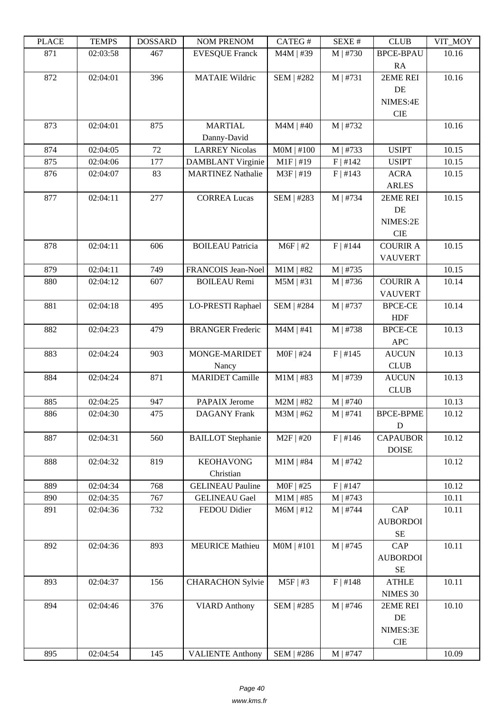| LLAUL | <u>ר דוגודו</u> | <b>UUDDAIND</b> | NUM TNENUM               | <b>CATLOT</b>     | ד בר⁄זכו   | CLUD             | VII_MUI |
|-------|-----------------|-----------------|--------------------------|-------------------|------------|------------------|---------|
| 871   | 02:03:58        | 467             | <b>EVESQUE Franck</b>    | M4M   #39         | $M$   #730 | <b>BPCE-BPAU</b> | 10.16   |
|       |                 |                 |                          |                   |            | RA               |         |
| 872   | 02:04:01        | 396             | <b>MATAIE Wildric</b>    | <b>SEM   #282</b> | M   #731   | 2EME REI         | 10.16   |
|       |                 |                 |                          |                   |            | DE               |         |
|       |                 |                 |                          |                   |            | NIMES:4E         |         |
|       |                 |                 |                          |                   |            | CIE              |         |
| 873   | 02:04:01        | 875             | <b>MARTIAL</b>           | $M4M$   #40       | M   #732   |                  | 10.16   |
|       |                 |                 | Danny-David              |                   |            |                  |         |
| 874   | 02:04:05        | 72              | <b>LARREY Nicolas</b>    | MOM   #100        | M   #733   | <b>USIPT</b>     | 10.15   |
|       | 02:04:06        |                 |                          |                   |            |                  |         |
| 875   |                 | 177             | <b>DAMBLANT Virginie</b> | $M1F$ #19         | F   #142   | <b>USIPT</b>     | 10.15   |
| 876   | 02:04:07        | 83              | <b>MARTINEZ Nathalie</b> | M3F   #19         | F   #143   | <b>ACRA</b>      | 10.15   |
|       |                 |                 |                          |                   |            | <b>ARLES</b>     |         |
| 877   | 02:04:11        | 277             | <b>CORREA Lucas</b>      | SEM   #283        | M   #734   | 2EME REI         | 10.15   |
|       |                 |                 |                          |                   |            | DE               |         |
|       |                 |                 |                          |                   |            | NIMES:2E         |         |
|       |                 |                 |                          |                   |            | <b>CIE</b>       |         |
| 878   | 02:04:11        | 606             | <b>BOILEAU Patricia</b>  | $M6F$   #2        | F   #144   | <b>COURIR A</b>  | 10.15   |
|       |                 |                 |                          |                   |            | <b>VAUVERT</b>   |         |
| 879   | 02:04:11        | 749             | FRANCOIS Jean-Noel       | $M1M$   #82       | M   #735   |                  | 10.15   |
| 880   | 02:04:12        | 607             | <b>BOILEAU Remi</b>      | $M5M$   #31       | $M$   #736 | <b>COURIR A</b>  | 10.14   |
|       |                 |                 |                          |                   |            | <b>VAUVERT</b>   |         |
| 881   | 02:04:18        | 495             | <b>LO-PRESTI Raphael</b> | SEM   #284        | M   #737   | <b>BPCE-CE</b>   | 10.14   |
|       |                 |                 |                          |                   |            | <b>HDF</b>       |         |
| 882   | 02:04:23        |                 |                          |                   |            |                  |         |
|       |                 | 479             | <b>BRANGER Frederic</b>  | $M4M$   #41       | M   #738   | <b>BPCE-CE</b>   | 10.13   |
|       |                 |                 |                          |                   |            | <b>APC</b>       |         |
| 883   | 02:04:24        | 903             | MONGE-MARIDET            | $MOF$   #24       | F   #145   | <b>AUCUN</b>     | 10.13   |
|       |                 |                 | Nancy                    |                   |            | <b>CLUB</b>      |         |
| 884   | 02:04:24        | 871             | <b>MARIDET Camille</b>   | $M1M$   #83       | M   #739   | <b>AUCUN</b>     | 10.13   |
|       |                 |                 |                          |                   |            | <b>CLUB</b>      |         |
| 885   | 02:04:25        | 947             | <b>PAPAIX Jerome</b>     | $M2M$   #82       | M   #740   |                  | 10.13   |
| 886   | 02:04:30        | 475             | <b>DAGANY</b> Frank      | M3M   #62         | $M$   #741 | <b>BPCE-BPME</b> | 10.12   |
|       |                 |                 |                          |                   |            | ${\bf D}$        |         |
| 887   | 02:04:31        | 560             | <b>BAILLOT</b> Stephanie | $M2F$   #20       | F   #146   | <b>CAPAUBOR</b>  | 10.12   |
|       |                 |                 |                          |                   |            | <b>DOISE</b>     |         |
| 888   | 02:04:32        | 819             | <b>KEOHAVONG</b>         | $M1M$   #84       | $M$   #742 |                  | 10.12   |
|       |                 |                 | Christian                |                   |            |                  |         |
| 889   | 02:04:34        | 768             | <b>GELINEAU Pauline</b>  | $MOF$   #25       | $F$   #147 |                  | 10.12   |
| 890   | 02:04:35        | 767             | <b>GELINEAU Gael</b>     | $M1M$   #85       | M   #743   |                  | 10.11   |
|       |                 |                 | FEDOU Didier             |                   |            | CAP              |         |
| 891   | 02:04:36        | 732             |                          | $M6M$   #12       | $M$   #744 |                  | 10.11   |
|       |                 |                 |                          |                   |            | <b>AUBORDOI</b>  |         |
|       |                 |                 |                          |                   |            | $\rm SE$         |         |
| 892   | 02:04:36        | 893             | <b>MEURICE Mathieu</b>   | $MOM$   #101      | M   #745   | CAP              | 10.11   |
|       |                 |                 |                          |                   |            | <b>AUBORDOI</b>  |         |
|       |                 |                 |                          |                   |            | $\rm SE$         |         |
| 893   | 02:04:37        | 156             | <b>CHARACHON Sylvie</b>  | $M5F$   #3        | F   #148   | <b>ATHLE</b>     | 10.11   |
|       |                 |                 |                          |                   |            | NIMES 30         |         |
| 894   | 02:04:46        | 376             | <b>VIARD Anthony</b>     | SEM   #285        | $M$   #746 | 2EME REI         | 10.10   |
|       |                 |                 |                          |                   |            | $\rm DE$         |         |
|       |                 |                 |                          |                   |            | NIMES:3E         |         |
|       |                 |                 |                          |                   |            | $\rm CIE$        |         |
| 895   | 02:04:54        | 145             | <b>VALIENTE Anthony</b>  | SEM   #286        | $M$   #747 |                  | 10.09   |
|       |                 |                 |                          |                   |            |                  |         |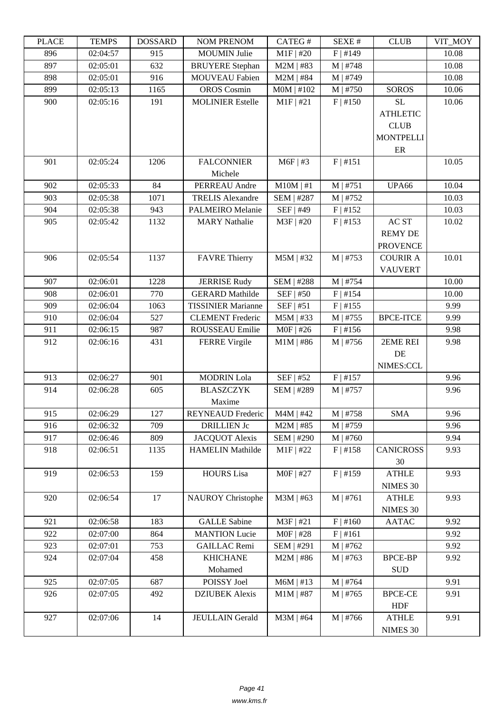| LLAUL | L LIVILI J | <b><i>ANURGOA</i></b> | I'VUNI I INLIVUNI         | $CALU\pi$         | DL/AL π    | CLUD             | VII_WIO I |
|-------|------------|-----------------------|---------------------------|-------------------|------------|------------------|-----------|
| 896   | 02:04:57   | 915                   | <b>MOUMIN Julie</b>       | $M1F$ #20         | $F$   #149 |                  | 10.08     |
| 897   | 02:05:01   | 632                   | <b>BRUYERE</b> Stephan    | $M2M$   #83       | $M$   #748 |                  | 10.08     |
| 898   | 02:05:01   | 916                   | <b>MOUVEAU Fabien</b>     | $M2M$   #84       | M   #749   |                  | 10.08     |
| 899   | 02:05:13   | 1165                  | <b>OROS</b> Cosmin        | $MOM$   #102      | M   #750   | <b>SOROS</b>     | 10.06     |
| 900   | 02:05:16   | 191                   | <b>MOLINIER Estelle</b>   | $M1F$ #21         | F   #150   | <b>SL</b>        | 10.06     |
|       |            |                       |                           |                   |            | <b>ATHLETIC</b>  |           |
|       |            |                       |                           |                   |            | <b>CLUB</b>      |           |
|       |            |                       |                           |                   |            | <b>MONTPELLI</b> |           |
|       |            |                       |                           |                   |            | $\rm ER$         |           |
| 901   | 02:05:24   | 1206                  | <b>FALCONNIER</b>         | $M6F$   #3        | F   #151   |                  | 10.05     |
|       |            |                       | Michele                   |                   |            |                  |           |
| 902   | 02:05:33   | 84                    | PERREAU Andre             | $M10M$   #1       | M   #751   | UPA66            | 10.04     |
| 903   | 02:05:38   | 1071                  | <b>TRELIS Alexandre</b>   | SEM   #287        | $M$   #752 |                  | 10.03     |
| 904   | 02:05:38   | 943                   | <b>PALMEIRO</b> Melanie   | SEF   #49         | F   #152   |                  | 10.03     |
| 905   |            |                       | <b>MARY Nathalie</b>      |                   |            | AC ST            |           |
|       | 02:05:42   | 1132                  |                           | M3F   #20         | F   #153   |                  | 10.02     |
|       |            |                       |                           |                   |            | <b>REMY DE</b>   |           |
|       |            |                       |                           |                   |            | <b>PROVENCE</b>  |           |
| 906   | 02:05:54   | 1137                  | <b>FAVRE</b> Thierry      | $M5M$   #32       | $M$   #753 | <b>COURIR A</b>  | 10.01     |
|       |            |                       |                           |                   |            | <b>VAUVERT</b>   |           |
| 907   | 02:06:01   | 1228                  | <b>JERRISE Rudy</b>       | <b>SEM   #288</b> | M   #754   |                  | 10.00     |
| 908   | 02:06:01   | 770                   | <b>GERARD</b> Mathilde    | SEF   #50         | F   #154   |                  | 10.00     |
| 909   | 02:06:04   | 1063                  | <b>TISSINIER Marianne</b> | SEF   #51         | F   #155   |                  | 9.99      |
| 910   | 02:06:04   | 527                   | <b>CLEMENT</b> Frederic   | $M5M$   #33       | $M$   #755 | <b>BPCE-ITCE</b> | 9.99      |
| 911   | 02:06:15   | 987                   | ROUSSEAU Emilie           | $MOF$   #26       | F   #156   |                  | 9.98      |
| 912   | 02:06:16   | 431                   | <b>FERRE Virgile</b>      | $M1M$   #86       | $M$   #756 | 2EME REI         | 9.98      |
|       |            |                       |                           |                   |            | DE               |           |
|       |            |                       |                           |                   |            | NIMES:CCL        |           |
| 913   | 02:06:27   | 901                   | <b>MODRIN</b> Lola        | SEF   #52         | F   #157   |                  | 9.96      |
| 914   | 02:06:28   | 605                   | <b>BLASZCZYK</b>          | <b>SEM   #289</b> | M   #757   |                  | 9.96      |
|       |            |                       | Maxime                    |                   |            |                  |           |
| 915   | 02:06:29   | 127                   | <b>REYNEAUD Frederic</b>  | $M4M$   #42       | $M$   #758 | <b>SMA</b>       | 9.96      |
| 916   | 02:06:32   | 709                   | <b>DRILLIEN Jc</b>        | $M2M$   #85       | M   #759   |                  | 9.96      |
| 917   | 02:06:46   | 809                   | <b>JACQUOT Alexis</b>     | SEM   #290        | $M$   #760 |                  | 9.94      |
| 918   | 02:06:51   | 1135                  | <b>HAMELIN Mathilde</b>   | $M1F$ #22         | F   #158   | <b>CANICROSS</b> | 9.93      |
|       |            |                       |                           |                   |            | 30               |           |
| 919   | 02:06:53   | 159                   | <b>HOURS</b> Lisa         | M0F   #27         | F   #159   | <b>ATHLE</b>     | 9.93      |
|       |            |                       |                           |                   |            | NIMES 30         |           |
| 920   | 02:06:54   | 17                    | <b>NAUROY</b> Christophe  | $M3M$   #63       | M   #761   | <b>ATHLE</b>     | 9.93      |
|       |            |                       |                           |                   |            | NIMES 30         |           |
| 921   | 02:06:58   | 183                   | <b>GALLE</b> Sabine       | $M3F$   #21       | F   #160   | <b>AATAC</b>     | 9.92      |
| 922   | 02:07:00   | 864                   | <b>MANTION</b> Lucie      | $MOF$   #28       | F   #161   |                  | 9.92      |
| 923   | 02:07:01   | 753                   | <b>GAILLAC Remi</b>       | SEM   #291        | M   #762   |                  | 9.92      |
| 924   | 02:07:04   | 458                   | <b>KHICHANE</b>           | $M2M$   #86       | $M$   #763 | <b>BPCE-BP</b>   | 9.92      |
|       |            |                       | Mohamed                   |                   |            | <b>SUD</b>       |           |
| 925   | 02:07:05   | 687                   | POISSY Joel               | $M6M$   #13       | M   #764   |                  | 9.91      |
|       |            |                       |                           |                   |            |                  |           |
| 926   | 02:07:05   | 492                   | <b>DZIUBEK</b> Alexis     | $M1M$   #87       | $M$   #765 | <b>BPCE-CE</b>   | 9.91      |
|       |            |                       |                           |                   |            | <b>HDF</b>       |           |
| 927   | 02:07:06   | 14                    | <b>JEULLAIN</b> Gerald    | $M3M$   #64       | $M$   #766 | <b>ATHLE</b>     | 9.91      |
|       |            |                       |                           |                   |            | NIMES 30         |           |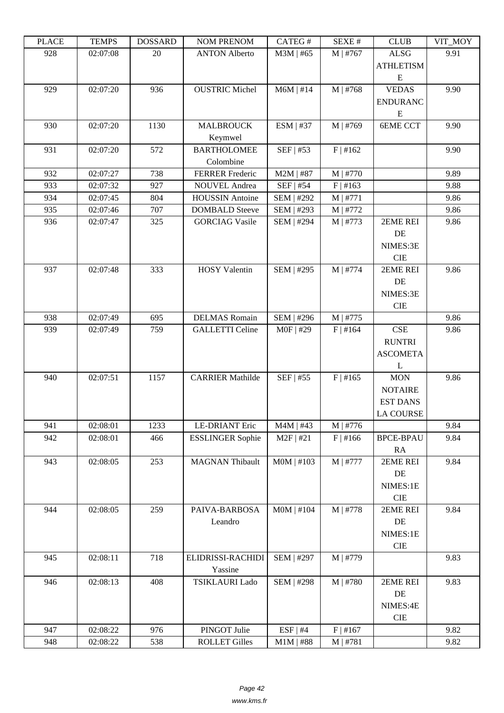| LLAUL | L TIATI D | <b>UUUUUUU</b> | <b>NUMERICAY</b>        | CATEU T           | <b>DLAL π</b> | CLUD             | VII_MUI |
|-------|-----------|----------------|-------------------------|-------------------|---------------|------------------|---------|
| 928   | 02:07:08  | 20             | <b>ANTON Alberto</b>    | M3M   #65         | $M$   #767    | <b>ALSG</b>      | 9.91    |
|       |           |                |                         |                   |               | <b>ATHLETISM</b> |         |
|       |           |                |                         |                   |               | ${\bf E}$        |         |
| 929   | 02:07:20  | 936            | <b>OUSTRIC Michel</b>   | $M6M$   #14       | M   #768      | <b>VEDAS</b>     | 9.90    |
|       |           |                |                         |                   |               | <b>ENDURANC</b>  |         |
|       |           |                |                         |                   |               | E                |         |
|       |           |                |                         |                   |               |                  |         |
| 930   | 02:07:20  | 1130           | <b>MALBROUCK</b>        | ESM   #37         | M   #769      | <b>6EME CCT</b>  | 9.90    |
|       |           |                | Keymwel                 |                   |               |                  |         |
| 931   | 02:07:20  | 572            | <b>BARTHOLOMEE</b>      | SEF   #53         | F   #162      |                  | 9.90    |
|       |           |                | Colombine               |                   |               |                  |         |
| 932   | 02:07:27  | 738            | <b>FERRER</b> Frederic  | $M2M$   #87       | $M$   #770    |                  | 9.89    |
| 933   | 02:07:32  | 927            | <b>NOUVEL Andrea</b>    | SEF   #54         | F   #163      |                  | 9.88    |
| 934   | 02:07:45  | 804            | <b>HOUSSIN</b> Antoine  | SEM   #292        | M   #771      |                  | 9.86    |
| 935   | 02:07:46  | 707            | <b>DOMBALD</b> Steeve   | SEM   #293        | M   #772      |                  | 9.86    |
| 936   | 02:07:47  | 325            | <b>GORCIAG Vasile</b>   | SEM   #294        | M   #773      | 2EME REI         | 9.86    |
|       |           |                |                         |                   |               | DE               |         |
|       |           |                |                         |                   |               | NIMES:3E         |         |
|       |           |                |                         |                   |               | <b>CIE</b>       |         |
| 937   | 02:07:48  | 333            | <b>HOSY</b> Valentin    | SEM   #295        | M   #774      | 2EME REI         | 9.86    |
|       |           |                |                         |                   |               | DE               |         |
|       |           |                |                         |                   |               | NIMES:3E         |         |
|       |           |                |                         |                   |               | <b>CIE</b>       |         |
| 938   | 02:07:49  | 695            | <b>DELMAS</b> Romain    | SEM   #296        | $M$   #775    |                  | 9.86    |
| 939   | 02:07:49  | 759            | <b>GALLETTI Celine</b>  | M0F   #29         | F   #164      | <b>CSE</b>       | 9.86    |
|       |           |                |                         |                   |               | <b>RUNTRI</b>    |         |
|       |           |                |                         |                   |               | <b>ASCOMETA</b>  |         |
|       |           |                |                         |                   |               | L                |         |
| 940   | 02:07:51  | 1157           | <b>CARRIER Mathilde</b> | SEF   #55         | F   #165      | <b>MON</b>       | 9.86    |
|       |           |                |                         |                   |               | <b>NOTAIRE</b>   |         |
|       |           |                |                         |                   |               |                  |         |
|       |           |                |                         |                   |               | <b>EST DANS</b>  |         |
|       |           |                |                         |                   |               | <b>LA COURSE</b> |         |
| 941   | 02:08:01  | 1233           | <b>LE-DRIANT Eric</b>   | $M4M$   #43       | $M$   #776    |                  | 9.84    |
| 942   | 02:08:01  | 466            | <b>ESSLINGER Sophie</b> | $M2F$   #21       | F   #166      | <b>BPCE-BPAU</b> | 9.84    |
|       |           |                |                         |                   |               | RA               |         |
| 943   | 02:08:05  | 253            | <b>MAGNAN Thibault</b>  | $MOM$   #103      | M   #777      | 2EME REI         | 9.84    |
|       |           |                |                         |                   |               | DE               |         |
|       |           |                |                         |                   |               | NIMES:1E         |         |
|       |           |                |                         |                   |               | CIE              |         |
| 944   | 02:08:05  | 259            | PAIVA-BARBOSA           | $MOM$   #104      | M   #778      | 2EME REI         | 9.84    |
|       |           |                | Leandro                 |                   |               | $\rm DE$         |         |
|       |           |                |                         |                   |               | NIMES:1E         |         |
|       |           |                |                         |                   |               | CIE              |         |
| 945   | 02:08:11  | 718            | ELIDRISSI-RACHIDI       | SEM   #297        | M   #779      |                  | 9.83    |
|       |           |                | Yassine                 |                   |               |                  |         |
| 946   | 02:08:13  | 408            | <b>TSIKLAURI Lado</b>   | <b>SEM   #298</b> | M   #780      | 2EME REI         | 9.83    |
|       |           |                |                         |                   |               | $\rm DE$         |         |
|       |           |                |                         |                   |               | NIMES:4E         |         |
|       |           |                |                         |                   |               | CIE              |         |
| 947   | 02:08:22  | 976            | PINGOT Julie            | $ESF$   #4        | F   #167      |                  | 9.82    |
| 948   | 02:08:22  | 538            | <b>ROLLET Gilles</b>    | $M1M$   #88       | $M$   #781    |                  | 9.82    |
|       |           |                |                         |                   |               |                  |         |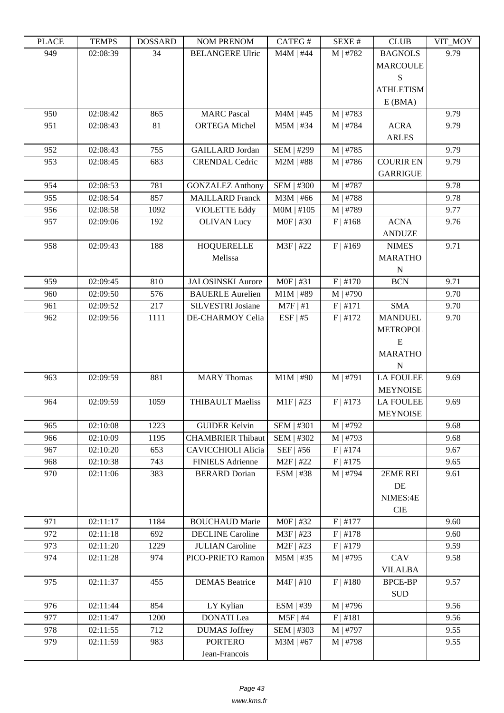| i LAUD | <b>TEIATI</b> 2 | <b>DOPPULP</b> | <b>INUMER IN THE PROPERTY</b> | $CALU \pi$   | JLΛL π     | <b>CLUD</b>                       | $V11$ $N1$ |
|--------|-----------------|----------------|-------------------------------|--------------|------------|-----------------------------------|------------|
| 949    | 02:08:39        | 34             | <b>BELANGERE Ulric</b>        | $M4M$   #44  | M   #782   | <b>BAGNOLS</b><br><b>MARCOULE</b> | 9.79       |
|        |                 |                |                               |              |            | S                                 |            |
|        |                 |                |                               |              |            | <b>ATHLETISM</b>                  |            |
|        |                 |                |                               |              |            | E(BMA)                            |            |
| 950    | 02:08:42        | 865            | <b>MARC</b> Pascal            | $M4M$   #45  | M   #783   |                                   | 9.79       |
| 951    | 02:08:43        | 81             | <b>ORTEGA Michel</b>          | $M5M$   #34  | M   #784   | <b>ACRA</b>                       | 9.79       |
|        |                 |                |                               |              |            | <b>ARLES</b>                      |            |
| 952    | 02:08:43        | 755            | <b>GAILLARD</b> Jordan        | SEM   #299   | M   #785   |                                   | 9.79       |
| 953    | 02:08:45        | 683            | <b>CRENDAL Cedric</b>         | $M2M$   #88  | M   #786   | <b>COURIR EN</b>                  | 9.79       |
|        |                 |                |                               |              |            | <b>GARRIGUE</b>                   |            |
| 954    | 02:08:53        | 781            | <b>GONZALEZ Anthony</b>       | SEM   #300   | M   #787   |                                   | 9.78       |
| 955    | 02:08:54        | 857            | <b>MAILLARD Franck</b>        | $M3M$   #66  | M   #788   |                                   | 9.78       |
| 956    | 02:08:58        | 1092           | <b>VIOLETTE Eddy</b>          | $MOM$   #105 | M   #789   |                                   | 9.77       |
| 957    | 02:09:06        | 192            | <b>OLIVAN Lucy</b>            | $MOF$   #30  | F   #168   | <b>ACNA</b>                       | 9.76       |
|        |                 |                |                               |              |            | <b>ANDUZE</b>                     |            |
| 958    | 02:09:43        | 188            | <b>HOQUERELLE</b>             | M3F   #22    | $F$   #169 | <b>NIMES</b>                      | 9.71       |
|        |                 |                | Melissa                       |              |            | <b>MARATHO</b>                    |            |
|        |                 |                |                               |              |            | ${\bf N}$                         |            |
| 959    | 02:09:45        | 810            | <b>JALOSINSKI</b> Aurore      | $MOF$   #31  | $F$   #170 | <b>BCN</b>                        | 9.71       |
| 960    | 02:09:50        | 576            | <b>BAUERLE Aurelien</b>       | $M1M$   #89  | M   #790   |                                   | 9.70       |
| 961    | 02:09:52        | 217            | SILVESTRI Josiane             | $M7F$   #1   | F   #171   | <b>SMA</b>                        | 9.70       |
| 962    | 02:09:56        | 1111           | DE-CHARMOY Celia              | $ESF$   #5   | F   #172   | <b>MANDUEL</b>                    | 9.70       |
|        |                 |                |                               |              |            | <b>METROPOL</b>                   |            |
|        |                 |                |                               |              |            | E                                 |            |
|        |                 |                |                               |              |            | <b>MARATHO</b>                    |            |
|        |                 |                |                               |              |            | ${\bf N}$                         |            |
| 963    | 02:09:59        | 881            | <b>MARY Thomas</b>            | $M1M$   #90  | M   #791   | <b>LA FOULEE</b>                  | 9.69       |
|        |                 |                |                               |              |            | <b>MEYNOISE</b>                   |            |
| 964    | 02:09:59        | 1059           | <b>THIBAULT Maeliss</b>       | $M1F$ #23    | F   #173   | <b>LA FOULEE</b>                  | 9.69       |
|        |                 |                |                               |              |            | <b>MEYNOISE</b>                   |            |
| 965    | 02:10:08        | 1223           | <b>GUIDER Kelvin</b>          | SEM   #301   | $M$   #792 |                                   | 9.68       |
| 966    | 02:10:09        | 1195           | <b>CHAMBRIER Thibaut</b>      | SEM   #302   | M   #793   |                                   | 9.68       |
| 967    | 02:10:20        | 653            | <b>CAVICCHIOLI Alicia</b>     | $SEF$   #56  | F   #174   |                                   | 9.67       |
| 968    | 02:10:38        | 743            | <b>FINIELS Adrienne</b>       | $M2F$   #22  | F   #175   |                                   | 9.65       |
| 970    | 02:11:06        | 383            | <b>BERARD</b> Dorian          | ESM   #38    | M   #794   | 2EME REI                          | 9.61       |
|        |                 |                |                               |              |            | DE                                |            |
|        |                 |                |                               |              |            | NIMES:4E                          |            |
|        |                 |                |                               |              |            | <b>CIE</b>                        |            |
|        |                 |                |                               |              |            |                                   |            |
| 971    | 02:11:17        | 1184           | <b>BOUCHAUD Marie</b>         | M0F   #32    | F   #177   |                                   | 9.60       |
| 972    | 02:11:18        | 692            | <b>DECLINE</b> Caroline       | M3F   #23    | F   #178   |                                   | 9.60       |
| 973    | 02:11:20        | 1229           | <b>JULIAN</b> Caroline        | $M2F$   #23  | F   #179   |                                   | 9.59       |
| 974    | 02:11:28        | 974            | PICO-PRIETO Ramon             | $M5M$   #35  | $M$   #795 | CAV                               | 9.58       |
|        |                 |                |                               |              |            | <b>VILALBA</b>                    |            |
| 975    | 02:11:37        | 455            | <b>DEMAS</b> Beatrice         | $M4F$   #10  | $F$   #180 | <b>BPCE-BP</b>                    | 9.57       |
|        |                 |                |                               |              |            | <b>SUD</b>                        |            |
| 976    | 02:11:44        | 854            | LY Kylian                     | ESM   #39    | M   #796   |                                   | 9.56       |
| 977    | 02:11:47        | 1200           | <b>DONATI</b> Lea             | $M5F$   #4   | F   #181   |                                   | 9.56       |
| 978    | 02:11:55        | 712            | <b>DUMAS</b> Joffrey          | $SEM$   #303 | $M$   #797 |                                   | 9.55       |
| 979    | 02:11:59        | 983            | <b>PORTERO</b>                | $M3M$   #67  | M   #798   |                                   | 9.55       |
|        |                 |                | Jean-Francois                 |              |            |                                   |            |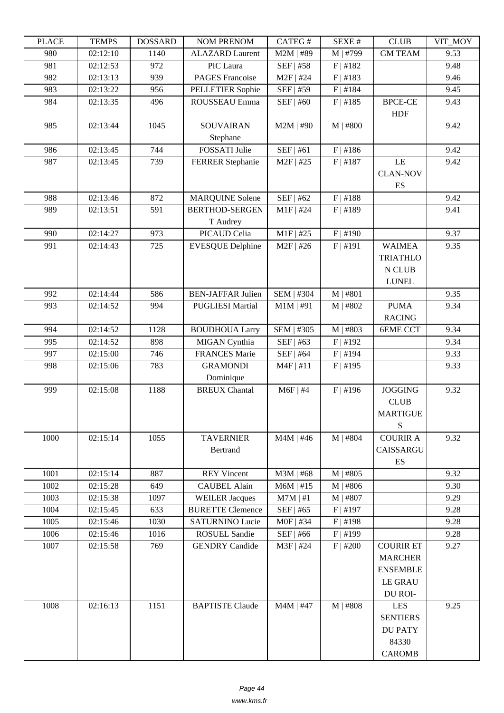| LLAUL      | L LIVIII IJ          | <u> שעורוממטען</u> | <b>INVIVI TINETNUM</b>                          | <b>CATLOT</b>              | יד בבלגבוט           | CLUD             | VII_MUI      |
|------------|----------------------|--------------------|-------------------------------------------------|----------------------------|----------------------|------------------|--------------|
| 980        | 02:12:10             | 1140               | <b>ALAZARD Laurent</b>                          | M2M   #89                  | M   #799             | <b>GM TEAM</b>   | 9.53         |
| 981        | 02:12:53             | 972                | PIC Laura<br><b>PAGES</b> Francoise             | SEF   #58<br>$M2F$   #24   | F   #182             |                  | 9.48         |
| 982<br>983 | 02:13:13             | 939                | PELLETIER Sophie                                | SEF   #59                  | F   #183             |                  | 9.46<br>9.45 |
|            | 02:13:22             | 956                |                                                 |                            | F   #184             |                  |              |
| 984        | 02:13:35             | 496                | ROUSSEAU Emma                                   | SEF   #60                  | F   #185             | <b>BPCE-CE</b>   | 9.43         |
|            |                      |                    |                                                 |                            |                      | <b>HDF</b>       |              |
| 985        | 02:13:44             | 1045               | <b>SOUVAIRAN</b>                                | $M2M$   #90                | $M$   #800           |                  | 9.42         |
|            | 02:13:45             |                    | Stephane                                        |                            |                      |                  |              |
| 986        |                      | 744                | FOSSATI Julie                                   | SEF   #61                  | F   #186             |                  | 9.42         |
| 987        | 02:13:45             | 739                | <b>FERRER Stephanie</b>                         | $M2F$   #25                | F   #187             | LE               | 9.42         |
|            |                      |                    |                                                 |                            |                      | <b>CLAN-NOV</b>  |              |
|            |                      |                    |                                                 |                            |                      | ES               |              |
| 988<br>989 | 02:13:46<br>02:13:51 | 872<br>591         | <b>MARQUINE Solene</b><br><b>BERTHOD-SERGEN</b> | SEF   #62<br>$M1F$   #24   | F   #188<br>F   #189 |                  | 9.42<br>9.41 |
|            |                      |                    |                                                 |                            |                      |                  |              |
| 990        | 02:14:27             | 973                | T Audrey<br>PICAUD Celia                        |                            | $F$   #190           |                  | 9.37         |
| 991        | 02:14:43             | 725                | <b>EVESQUE Delphine</b>                         | $M1F$   #25<br>$M2F$   #26 | F   #191             | <b>WAIMEA</b>    |              |
|            |                      |                    |                                                 |                            |                      |                  | 9.35         |
|            |                      |                    |                                                 |                            |                      | <b>TRIATHLO</b>  |              |
|            |                      |                    |                                                 |                            |                      | N CLUB           |              |
|            |                      |                    |                                                 |                            |                      | <b>LUNEL</b>     | 9.35         |
| 992<br>993 | 02:14:44             | 586<br>994         | <b>BEN-JAFFAR Julien</b>                        | SEM   #304                 | $M$   #801           | <b>PUMA</b>      | 9.34         |
|            | 02:14:52             |                    | <b>PUGLIESI Martial</b>                         | $M1M$   #91                | $M$   #802           |                  |              |
|            |                      |                    |                                                 |                            |                      | <b>RACING</b>    |              |
| 994        | 02:14:52             | 1128               | <b>BOUDHOUA Larry</b>                           | SEM   #305                 | $M$   #803           | <b>6EME CCT</b>  | 9.34         |
| 995        | 02:14:52             | 898                | MIGAN Cynthia                                   | SEF   #63                  | F   #192             |                  | 9.34         |
| 997        | 02:15:00             | 746                | <b>FRANCES Marie</b>                            | SEF   #64                  | $F$   #194           |                  | 9.33         |
| 998        | 02:15:06             | 783                | <b>GRAMONDI</b>                                 | $M4F$   #11                | $F$   #195           |                  | 9.33         |
| 999        | 02:15:08             | 1188               | Dominique<br><b>BREUX Chantal</b>               | $M6F$   #4                 | $F$   #196           | <b>JOGGING</b>   | 9.32         |
|            |                      |                    |                                                 |                            |                      | CLUB             |              |
|            |                      |                    |                                                 |                            |                      | <b>MARTIGUE</b>  |              |
|            |                      |                    |                                                 |                            |                      | S                |              |
| 1000       | 02:15:14             | 1055               | <b>TAVERNIER</b>                                | $M4M$   #46                | M   #804             | <b>COURIR A</b>  | 9.32         |
|            |                      |                    | Bertrand                                        |                            |                      | CAISSARGU        |              |
|            |                      |                    |                                                 |                            |                      | ES               |              |
| 1001       | 02:15:14             | 887                | <b>REY Vincent</b>                              | $M3M$   #68                | $M$   #805           |                  | 9.32         |
| 1002       | 02:15:28             | 649                | <b>CAUBEL Alain</b>                             | $M6M$   #15                | $M$   #806           |                  | 9.30         |
| 1003       | 02:15:38             | 1097               | <b>WEILER Jacques</b>                           | $M7M \mid #1$              | $M$   #807           |                  | 9.29         |
| 1004       | 02:15:45             | 633                | <b>BURETTE Clemence</b>                         | SEF   #65                  | $F$   #197           |                  | 9.28         |
| 1005       | 02:15:46             | 1030               | <b>SATURNINO Lucie</b>                          | $MOF$   #34                | $F$   #198           |                  | 9.28         |
| 1006       | 02:15:46             | 1016               | <b>ROSUEL Sandie</b>                            | SEF   #66                  | $F$  #199            |                  | 9.28         |
| 1007       | 02:15:58             | 769                | <b>GENDRY</b> Candide                           | M3F   #24                  | $F$   #200           | <b>COURIR ET</b> | 9.27         |
|            |                      |                    |                                                 |                            |                      | <b>MARCHER</b>   |              |
|            |                      |                    |                                                 |                            |                      | <b>ENSEMBLE</b>  |              |
|            |                      |                    |                                                 |                            |                      | <b>LE GRAU</b>   |              |
|            |                      |                    |                                                 |                            |                      | DU ROI-          |              |
| 1008       | 02:16:13             | 1151               | <b>BAPTISTE Claude</b>                          | $M4M$   #47                | M   #808             | <b>LES</b>       | 9.25         |
|            |                      |                    |                                                 |                            |                      | <b>SENTIERS</b>  |              |
|            |                      |                    |                                                 |                            |                      | <b>DU PATY</b>   |              |
|            |                      |                    |                                                 |                            |                      | 84330            |              |
|            |                      |                    |                                                 |                            |                      | <b>CAROMB</b>    |              |
|            |                      |                    |                                                 |                            |                      |                  |              |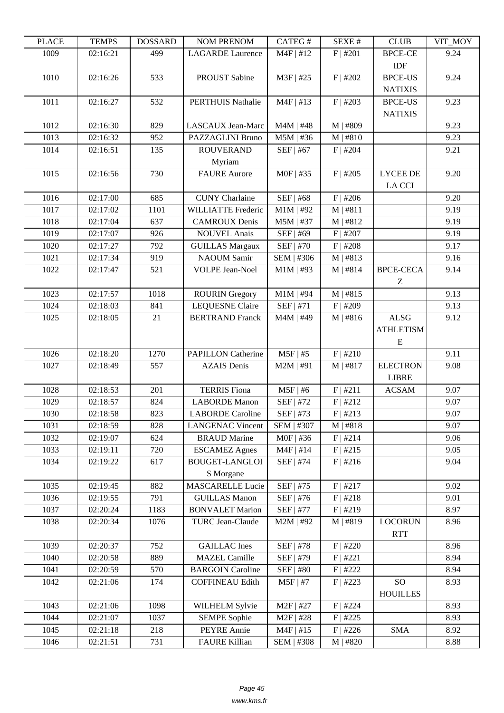| 1009<br>02:16:21<br>499<br>$M4F$   #12<br>F   #201<br><b>BPCE-CE</b><br>9.24<br><b>LAGARDE</b> Laurence<br>IDF<br>PROUST Sabine<br>M3F   #25<br><b>BPCE-US</b><br>1010<br>02:16:26<br>533<br>$F$   #202<br>9.24<br><b>NATIXIS</b><br>1011<br>532<br><b>PERTHUIS Nathalie</b><br>$M4F$   #13<br>$F$   #203<br><b>BPCE-US</b><br>9.23<br>02:16:27<br><b>NATIXIS</b><br>02:16:30<br>1012<br>829<br><b>LASCAUX</b> Jean-Marc<br>$M4M$   #48<br>M   #809<br>9.23<br>PAZZAGLINI Bruno<br>9.23<br>1013<br>02:16:32<br>952<br>$M5M$   #36<br>M   #810<br>1014<br>SEF   #67<br>$F$   #204<br>9.21<br>02:16:51<br>135<br><b>ROUVERAND</b><br>Myriam<br>1015<br>730<br>02:16:56<br><b>FAURE</b> Aurore<br>M0F   #35<br>$F$   #205<br><b>LYCEE DE</b><br>9.20<br>LA CCI<br>1016<br>02:17:00<br>685<br><b>CUNY</b> Charlaine<br>SEF   #68<br>$F$   #206<br>9.20<br>1017<br>02:17:02<br>1101<br><b>WILLIATTE Frederic</b><br>$M1M$   #92<br>M   #811<br>9.19<br>1018<br>$M5M$   #37<br>M   #812<br>9.19<br>02:17:04<br>637<br><b>CAMROUX Denis</b><br>02:17:07<br><b>NOUVEL Anais</b><br>SEF   #69<br>$F$   #207<br>1019<br>926<br>9.19<br>SEF   #70<br>$F$   #208<br>1020<br>792<br>9.17<br>02:17:27<br><b>GUILLAS Margaux</b><br>02:17:34<br><b>NAOUM Samir</b><br>SEM   #306<br>1021<br>919<br>M   #813<br>9.16<br>1022<br>02:17:47<br>521<br><b>VOLPE Jean-Noel</b><br>$M1M$   #93<br>M   #814<br><b>BPCE-CECA</b><br>9.14<br>Z<br>1023<br>02:17:57<br>1018<br>$M1M$   #94<br>M   #815<br>9.13<br><b>ROURIN</b> Gregory<br>1024<br>02:18:03<br>841<br><b>LEQUESNE Claire</b><br>SEF   #71<br>$F$   #209<br>9.13<br>ALSG<br>1025<br>02:18:05<br><b>BERTRAND Franck</b><br>M4M   #49<br>M   #816<br>9.12<br>21<br><b>ATHLETISM</b><br>${\bf E}$<br>02:18:20<br>1270<br>$M5F$   #5<br>F   #210<br>1026<br><b>PAPILLON Catherine</b><br>9.11<br><b>ELECTRON</b><br>1027<br>02:18:49<br>557<br><b>AZAIS</b> Denis<br>$M2M$   #91<br>M   #817<br>9.08<br><b>LIBRE</b><br><b>TERRIS Fiona</b><br>1028<br>02:18:53<br>201<br>$M5F$   #6<br>F   #211<br>9.07<br><b>ACSAM</b><br>1029<br>02:18:57<br><b>LABORDE</b> Manon<br>824<br>SEF   #72<br>F   #212<br>9.07<br>1030<br>SEF   #73<br>F   #213<br>9.07<br>02:18:58<br>823<br><b>LABORDE</b> Caroline<br>02:18:59<br><b>LANGENAC Vincent</b><br>SEM   #307<br>M   #818<br>9.07<br>1031<br>828<br>1032<br>624<br><b>BRAUD</b> Marine<br>M0F   #36<br>F   #214<br>9.06<br>02:19:07<br>$M4F$   #14<br>1033<br>720<br><b>ESCAMEZ Agnes</b><br>F   #215<br>9.05<br>02:19:11<br>1034<br>02:19:22<br>617<br><b>BOUGET-LANGLOI</b><br>SEF   #74<br>F   #216<br>9.04<br>S Morgane<br><b>MASCARELLE Lucie</b><br>SEF   #75<br>1035<br>02:19:45<br>882<br>F   #217<br>9.02<br>SEF   #76<br>1036<br>02:19:55<br>791<br><b>GUILLAS Manon</b><br>F   #218<br>9.01<br>1183<br>1037<br><b>BONVALET Marion</b><br>SEF   #77<br>F   #219<br>8.97<br>02:20:24<br>1038<br>02:20:34<br>1076<br><b>TURC Jean-Claude</b><br>$M2M$   #92<br>M   #819<br><b>LOCORUN</b><br>8.96<br><b>RTT</b><br>752<br><b>GAILLAC</b> Ines<br>SEF   #78<br>$F$   #220<br>1039<br>02:20:37<br>8.96<br><b>MAZEL Camille</b><br>1040<br>02:20:58<br>889<br>SEF   #79<br>F   #221<br>8.94<br>570<br><b>BARGOIN Caroline</b><br>SEF   #80<br>8.94<br>1041<br>02:20:59<br>F   #222<br>SO <sub>1</sub><br>1042<br>174<br><b>COFFINEAU Edith</b><br>$M5F$   #7<br>F   #223<br>8.93<br>02:21:06<br><b>HOUILLES</b><br>1043<br>02:21:06<br>1098<br>WILHELM Sylvie<br>$M2F$   #27<br>8.93<br>$F$   #224<br>1044<br><b>SEMPE Sophie</b><br>F   #225<br>02:21:07<br>1037<br>$M2F$   #28<br>8.93<br>1045<br>PEYRE Annie<br>$M4F$   #15<br>$F$   #226<br><b>SMA</b><br>8.92<br>02:21:18<br>218<br><b>FAURE Killian</b><br>8.88<br>1046<br>02:21:51<br>731<br>SEM   #308<br>M   #820 | LEUCE | ר TL\MI | <u> טעדעמטרע</u> | <b>NUMERIAL INDIA</b> | CATLO T | DL/AL π | CLUD | VII_IVIO I |
|-------------------------------------------------------------------------------------------------------------------------------------------------------------------------------------------------------------------------------------------------------------------------------------------------------------------------------------------------------------------------------------------------------------------------------------------------------------------------------------------------------------------------------------------------------------------------------------------------------------------------------------------------------------------------------------------------------------------------------------------------------------------------------------------------------------------------------------------------------------------------------------------------------------------------------------------------------------------------------------------------------------------------------------------------------------------------------------------------------------------------------------------------------------------------------------------------------------------------------------------------------------------------------------------------------------------------------------------------------------------------------------------------------------------------------------------------------------------------------------------------------------------------------------------------------------------------------------------------------------------------------------------------------------------------------------------------------------------------------------------------------------------------------------------------------------------------------------------------------------------------------------------------------------------------------------------------------------------------------------------------------------------------------------------------------------------------------------------------------------------------------------------------------------------------------------------------------------------------------------------------------------------------------------------------------------------------------------------------------------------------------------------------------------------------------------------------------------------------------------------------------------------------------------------------------------------------------------------------------------------------------------------------------------------------------------------------------------------------------------------------------------------------------------------------------------------------------------------------------------------------------------------------------------------------------------------------------------------------------------------------------------------------------------------------------------------------------------------------------------------------------------------------------------------------------------------------------------------------------------------------------------------------------------------------------------------------------------------------------------------------------------------------------------------------------------------------------------------------------------------------------------------------------------------------------------------------------------------------------------------------------------------------------------------------------------------------------------------------------------------------------------|-------|---------|------------------|-----------------------|---------|---------|------|------------|
|                                                                                                                                                                                                                                                                                                                                                                                                                                                                                                                                                                                                                                                                                                                                                                                                                                                                                                                                                                                                                                                                                                                                                                                                                                                                                                                                                                                                                                                                                                                                                                                                                                                                                                                                                                                                                                                                                                                                                                                                                                                                                                                                                                                                                                                                                                                                                                                                                                                                                                                                                                                                                                                                                                                                                                                                                                                                                                                                                                                                                                                                                                                                                                                                                                                                                                                                                                                                                                                                                                                                                                                                                                                                                                                                                             |       |         |                  |                       |         |         |      |            |
|                                                                                                                                                                                                                                                                                                                                                                                                                                                                                                                                                                                                                                                                                                                                                                                                                                                                                                                                                                                                                                                                                                                                                                                                                                                                                                                                                                                                                                                                                                                                                                                                                                                                                                                                                                                                                                                                                                                                                                                                                                                                                                                                                                                                                                                                                                                                                                                                                                                                                                                                                                                                                                                                                                                                                                                                                                                                                                                                                                                                                                                                                                                                                                                                                                                                                                                                                                                                                                                                                                                                                                                                                                                                                                                                                             |       |         |                  |                       |         |         |      |            |
|                                                                                                                                                                                                                                                                                                                                                                                                                                                                                                                                                                                                                                                                                                                                                                                                                                                                                                                                                                                                                                                                                                                                                                                                                                                                                                                                                                                                                                                                                                                                                                                                                                                                                                                                                                                                                                                                                                                                                                                                                                                                                                                                                                                                                                                                                                                                                                                                                                                                                                                                                                                                                                                                                                                                                                                                                                                                                                                                                                                                                                                                                                                                                                                                                                                                                                                                                                                                                                                                                                                                                                                                                                                                                                                                                             |       |         |                  |                       |         |         |      |            |
|                                                                                                                                                                                                                                                                                                                                                                                                                                                                                                                                                                                                                                                                                                                                                                                                                                                                                                                                                                                                                                                                                                                                                                                                                                                                                                                                                                                                                                                                                                                                                                                                                                                                                                                                                                                                                                                                                                                                                                                                                                                                                                                                                                                                                                                                                                                                                                                                                                                                                                                                                                                                                                                                                                                                                                                                                                                                                                                                                                                                                                                                                                                                                                                                                                                                                                                                                                                                                                                                                                                                                                                                                                                                                                                                                             |       |         |                  |                       |         |         |      |            |
|                                                                                                                                                                                                                                                                                                                                                                                                                                                                                                                                                                                                                                                                                                                                                                                                                                                                                                                                                                                                                                                                                                                                                                                                                                                                                                                                                                                                                                                                                                                                                                                                                                                                                                                                                                                                                                                                                                                                                                                                                                                                                                                                                                                                                                                                                                                                                                                                                                                                                                                                                                                                                                                                                                                                                                                                                                                                                                                                                                                                                                                                                                                                                                                                                                                                                                                                                                                                                                                                                                                                                                                                                                                                                                                                                             |       |         |                  |                       |         |         |      |            |
|                                                                                                                                                                                                                                                                                                                                                                                                                                                                                                                                                                                                                                                                                                                                                                                                                                                                                                                                                                                                                                                                                                                                                                                                                                                                                                                                                                                                                                                                                                                                                                                                                                                                                                                                                                                                                                                                                                                                                                                                                                                                                                                                                                                                                                                                                                                                                                                                                                                                                                                                                                                                                                                                                                                                                                                                                                                                                                                                                                                                                                                                                                                                                                                                                                                                                                                                                                                                                                                                                                                                                                                                                                                                                                                                                             |       |         |                  |                       |         |         |      |            |
|                                                                                                                                                                                                                                                                                                                                                                                                                                                                                                                                                                                                                                                                                                                                                                                                                                                                                                                                                                                                                                                                                                                                                                                                                                                                                                                                                                                                                                                                                                                                                                                                                                                                                                                                                                                                                                                                                                                                                                                                                                                                                                                                                                                                                                                                                                                                                                                                                                                                                                                                                                                                                                                                                                                                                                                                                                                                                                                                                                                                                                                                                                                                                                                                                                                                                                                                                                                                                                                                                                                                                                                                                                                                                                                                                             |       |         |                  |                       |         |         |      |            |
|                                                                                                                                                                                                                                                                                                                                                                                                                                                                                                                                                                                                                                                                                                                                                                                                                                                                                                                                                                                                                                                                                                                                                                                                                                                                                                                                                                                                                                                                                                                                                                                                                                                                                                                                                                                                                                                                                                                                                                                                                                                                                                                                                                                                                                                                                                                                                                                                                                                                                                                                                                                                                                                                                                                                                                                                                                                                                                                                                                                                                                                                                                                                                                                                                                                                                                                                                                                                                                                                                                                                                                                                                                                                                                                                                             |       |         |                  |                       |         |         |      |            |
|                                                                                                                                                                                                                                                                                                                                                                                                                                                                                                                                                                                                                                                                                                                                                                                                                                                                                                                                                                                                                                                                                                                                                                                                                                                                                                                                                                                                                                                                                                                                                                                                                                                                                                                                                                                                                                                                                                                                                                                                                                                                                                                                                                                                                                                                                                                                                                                                                                                                                                                                                                                                                                                                                                                                                                                                                                                                                                                                                                                                                                                                                                                                                                                                                                                                                                                                                                                                                                                                                                                                                                                                                                                                                                                                                             |       |         |                  |                       |         |         |      |            |
|                                                                                                                                                                                                                                                                                                                                                                                                                                                                                                                                                                                                                                                                                                                                                                                                                                                                                                                                                                                                                                                                                                                                                                                                                                                                                                                                                                                                                                                                                                                                                                                                                                                                                                                                                                                                                                                                                                                                                                                                                                                                                                                                                                                                                                                                                                                                                                                                                                                                                                                                                                                                                                                                                                                                                                                                                                                                                                                                                                                                                                                                                                                                                                                                                                                                                                                                                                                                                                                                                                                                                                                                                                                                                                                                                             |       |         |                  |                       |         |         |      |            |
|                                                                                                                                                                                                                                                                                                                                                                                                                                                                                                                                                                                                                                                                                                                                                                                                                                                                                                                                                                                                                                                                                                                                                                                                                                                                                                                                                                                                                                                                                                                                                                                                                                                                                                                                                                                                                                                                                                                                                                                                                                                                                                                                                                                                                                                                                                                                                                                                                                                                                                                                                                                                                                                                                                                                                                                                                                                                                                                                                                                                                                                                                                                                                                                                                                                                                                                                                                                                                                                                                                                                                                                                                                                                                                                                                             |       |         |                  |                       |         |         |      |            |
|                                                                                                                                                                                                                                                                                                                                                                                                                                                                                                                                                                                                                                                                                                                                                                                                                                                                                                                                                                                                                                                                                                                                                                                                                                                                                                                                                                                                                                                                                                                                                                                                                                                                                                                                                                                                                                                                                                                                                                                                                                                                                                                                                                                                                                                                                                                                                                                                                                                                                                                                                                                                                                                                                                                                                                                                                                                                                                                                                                                                                                                                                                                                                                                                                                                                                                                                                                                                                                                                                                                                                                                                                                                                                                                                                             |       |         |                  |                       |         |         |      |            |
|                                                                                                                                                                                                                                                                                                                                                                                                                                                                                                                                                                                                                                                                                                                                                                                                                                                                                                                                                                                                                                                                                                                                                                                                                                                                                                                                                                                                                                                                                                                                                                                                                                                                                                                                                                                                                                                                                                                                                                                                                                                                                                                                                                                                                                                                                                                                                                                                                                                                                                                                                                                                                                                                                                                                                                                                                                                                                                                                                                                                                                                                                                                                                                                                                                                                                                                                                                                                                                                                                                                                                                                                                                                                                                                                                             |       |         |                  |                       |         |         |      |            |
|                                                                                                                                                                                                                                                                                                                                                                                                                                                                                                                                                                                                                                                                                                                                                                                                                                                                                                                                                                                                                                                                                                                                                                                                                                                                                                                                                                                                                                                                                                                                                                                                                                                                                                                                                                                                                                                                                                                                                                                                                                                                                                                                                                                                                                                                                                                                                                                                                                                                                                                                                                                                                                                                                                                                                                                                                                                                                                                                                                                                                                                                                                                                                                                                                                                                                                                                                                                                                                                                                                                                                                                                                                                                                                                                                             |       |         |                  |                       |         |         |      |            |
|                                                                                                                                                                                                                                                                                                                                                                                                                                                                                                                                                                                                                                                                                                                                                                                                                                                                                                                                                                                                                                                                                                                                                                                                                                                                                                                                                                                                                                                                                                                                                                                                                                                                                                                                                                                                                                                                                                                                                                                                                                                                                                                                                                                                                                                                                                                                                                                                                                                                                                                                                                                                                                                                                                                                                                                                                                                                                                                                                                                                                                                                                                                                                                                                                                                                                                                                                                                                                                                                                                                                                                                                                                                                                                                                                             |       |         |                  |                       |         |         |      |            |
|                                                                                                                                                                                                                                                                                                                                                                                                                                                                                                                                                                                                                                                                                                                                                                                                                                                                                                                                                                                                                                                                                                                                                                                                                                                                                                                                                                                                                                                                                                                                                                                                                                                                                                                                                                                                                                                                                                                                                                                                                                                                                                                                                                                                                                                                                                                                                                                                                                                                                                                                                                                                                                                                                                                                                                                                                                                                                                                                                                                                                                                                                                                                                                                                                                                                                                                                                                                                                                                                                                                                                                                                                                                                                                                                                             |       |         |                  |                       |         |         |      |            |
|                                                                                                                                                                                                                                                                                                                                                                                                                                                                                                                                                                                                                                                                                                                                                                                                                                                                                                                                                                                                                                                                                                                                                                                                                                                                                                                                                                                                                                                                                                                                                                                                                                                                                                                                                                                                                                                                                                                                                                                                                                                                                                                                                                                                                                                                                                                                                                                                                                                                                                                                                                                                                                                                                                                                                                                                                                                                                                                                                                                                                                                                                                                                                                                                                                                                                                                                                                                                                                                                                                                                                                                                                                                                                                                                                             |       |         |                  |                       |         |         |      |            |
|                                                                                                                                                                                                                                                                                                                                                                                                                                                                                                                                                                                                                                                                                                                                                                                                                                                                                                                                                                                                                                                                                                                                                                                                                                                                                                                                                                                                                                                                                                                                                                                                                                                                                                                                                                                                                                                                                                                                                                                                                                                                                                                                                                                                                                                                                                                                                                                                                                                                                                                                                                                                                                                                                                                                                                                                                                                                                                                                                                                                                                                                                                                                                                                                                                                                                                                                                                                                                                                                                                                                                                                                                                                                                                                                                             |       |         |                  |                       |         |         |      |            |
|                                                                                                                                                                                                                                                                                                                                                                                                                                                                                                                                                                                                                                                                                                                                                                                                                                                                                                                                                                                                                                                                                                                                                                                                                                                                                                                                                                                                                                                                                                                                                                                                                                                                                                                                                                                                                                                                                                                                                                                                                                                                                                                                                                                                                                                                                                                                                                                                                                                                                                                                                                                                                                                                                                                                                                                                                                                                                                                                                                                                                                                                                                                                                                                                                                                                                                                                                                                                                                                                                                                                                                                                                                                                                                                                                             |       |         |                  |                       |         |         |      |            |
|                                                                                                                                                                                                                                                                                                                                                                                                                                                                                                                                                                                                                                                                                                                                                                                                                                                                                                                                                                                                                                                                                                                                                                                                                                                                                                                                                                                                                                                                                                                                                                                                                                                                                                                                                                                                                                                                                                                                                                                                                                                                                                                                                                                                                                                                                                                                                                                                                                                                                                                                                                                                                                                                                                                                                                                                                                                                                                                                                                                                                                                                                                                                                                                                                                                                                                                                                                                                                                                                                                                                                                                                                                                                                                                                                             |       |         |                  |                       |         |         |      |            |
|                                                                                                                                                                                                                                                                                                                                                                                                                                                                                                                                                                                                                                                                                                                                                                                                                                                                                                                                                                                                                                                                                                                                                                                                                                                                                                                                                                                                                                                                                                                                                                                                                                                                                                                                                                                                                                                                                                                                                                                                                                                                                                                                                                                                                                                                                                                                                                                                                                                                                                                                                                                                                                                                                                                                                                                                                                                                                                                                                                                                                                                                                                                                                                                                                                                                                                                                                                                                                                                                                                                                                                                                                                                                                                                                                             |       |         |                  |                       |         |         |      |            |
|                                                                                                                                                                                                                                                                                                                                                                                                                                                                                                                                                                                                                                                                                                                                                                                                                                                                                                                                                                                                                                                                                                                                                                                                                                                                                                                                                                                                                                                                                                                                                                                                                                                                                                                                                                                                                                                                                                                                                                                                                                                                                                                                                                                                                                                                                                                                                                                                                                                                                                                                                                                                                                                                                                                                                                                                                                                                                                                                                                                                                                                                                                                                                                                                                                                                                                                                                                                                                                                                                                                                                                                                                                                                                                                                                             |       |         |                  |                       |         |         |      |            |
|                                                                                                                                                                                                                                                                                                                                                                                                                                                                                                                                                                                                                                                                                                                                                                                                                                                                                                                                                                                                                                                                                                                                                                                                                                                                                                                                                                                                                                                                                                                                                                                                                                                                                                                                                                                                                                                                                                                                                                                                                                                                                                                                                                                                                                                                                                                                                                                                                                                                                                                                                                                                                                                                                                                                                                                                                                                                                                                                                                                                                                                                                                                                                                                                                                                                                                                                                                                                                                                                                                                                                                                                                                                                                                                                                             |       |         |                  |                       |         |         |      |            |
|                                                                                                                                                                                                                                                                                                                                                                                                                                                                                                                                                                                                                                                                                                                                                                                                                                                                                                                                                                                                                                                                                                                                                                                                                                                                                                                                                                                                                                                                                                                                                                                                                                                                                                                                                                                                                                                                                                                                                                                                                                                                                                                                                                                                                                                                                                                                                                                                                                                                                                                                                                                                                                                                                                                                                                                                                                                                                                                                                                                                                                                                                                                                                                                                                                                                                                                                                                                                                                                                                                                                                                                                                                                                                                                                                             |       |         |                  |                       |         |         |      |            |
|                                                                                                                                                                                                                                                                                                                                                                                                                                                                                                                                                                                                                                                                                                                                                                                                                                                                                                                                                                                                                                                                                                                                                                                                                                                                                                                                                                                                                                                                                                                                                                                                                                                                                                                                                                                                                                                                                                                                                                                                                                                                                                                                                                                                                                                                                                                                                                                                                                                                                                                                                                                                                                                                                                                                                                                                                                                                                                                                                                                                                                                                                                                                                                                                                                                                                                                                                                                                                                                                                                                                                                                                                                                                                                                                                             |       |         |                  |                       |         |         |      |            |
|                                                                                                                                                                                                                                                                                                                                                                                                                                                                                                                                                                                                                                                                                                                                                                                                                                                                                                                                                                                                                                                                                                                                                                                                                                                                                                                                                                                                                                                                                                                                                                                                                                                                                                                                                                                                                                                                                                                                                                                                                                                                                                                                                                                                                                                                                                                                                                                                                                                                                                                                                                                                                                                                                                                                                                                                                                                                                                                                                                                                                                                                                                                                                                                                                                                                                                                                                                                                                                                                                                                                                                                                                                                                                                                                                             |       |         |                  |                       |         |         |      |            |
|                                                                                                                                                                                                                                                                                                                                                                                                                                                                                                                                                                                                                                                                                                                                                                                                                                                                                                                                                                                                                                                                                                                                                                                                                                                                                                                                                                                                                                                                                                                                                                                                                                                                                                                                                                                                                                                                                                                                                                                                                                                                                                                                                                                                                                                                                                                                                                                                                                                                                                                                                                                                                                                                                                                                                                                                                                                                                                                                                                                                                                                                                                                                                                                                                                                                                                                                                                                                                                                                                                                                                                                                                                                                                                                                                             |       |         |                  |                       |         |         |      |            |
|                                                                                                                                                                                                                                                                                                                                                                                                                                                                                                                                                                                                                                                                                                                                                                                                                                                                                                                                                                                                                                                                                                                                                                                                                                                                                                                                                                                                                                                                                                                                                                                                                                                                                                                                                                                                                                                                                                                                                                                                                                                                                                                                                                                                                                                                                                                                                                                                                                                                                                                                                                                                                                                                                                                                                                                                                                                                                                                                                                                                                                                                                                                                                                                                                                                                                                                                                                                                                                                                                                                                                                                                                                                                                                                                                             |       |         |                  |                       |         |         |      |            |
|                                                                                                                                                                                                                                                                                                                                                                                                                                                                                                                                                                                                                                                                                                                                                                                                                                                                                                                                                                                                                                                                                                                                                                                                                                                                                                                                                                                                                                                                                                                                                                                                                                                                                                                                                                                                                                                                                                                                                                                                                                                                                                                                                                                                                                                                                                                                                                                                                                                                                                                                                                                                                                                                                                                                                                                                                                                                                                                                                                                                                                                                                                                                                                                                                                                                                                                                                                                                                                                                                                                                                                                                                                                                                                                                                             |       |         |                  |                       |         |         |      |            |
|                                                                                                                                                                                                                                                                                                                                                                                                                                                                                                                                                                                                                                                                                                                                                                                                                                                                                                                                                                                                                                                                                                                                                                                                                                                                                                                                                                                                                                                                                                                                                                                                                                                                                                                                                                                                                                                                                                                                                                                                                                                                                                                                                                                                                                                                                                                                                                                                                                                                                                                                                                                                                                                                                                                                                                                                                                                                                                                                                                                                                                                                                                                                                                                                                                                                                                                                                                                                                                                                                                                                                                                                                                                                                                                                                             |       |         |                  |                       |         |         |      |            |
|                                                                                                                                                                                                                                                                                                                                                                                                                                                                                                                                                                                                                                                                                                                                                                                                                                                                                                                                                                                                                                                                                                                                                                                                                                                                                                                                                                                                                                                                                                                                                                                                                                                                                                                                                                                                                                                                                                                                                                                                                                                                                                                                                                                                                                                                                                                                                                                                                                                                                                                                                                                                                                                                                                                                                                                                                                                                                                                                                                                                                                                                                                                                                                                                                                                                                                                                                                                                                                                                                                                                                                                                                                                                                                                                                             |       |         |                  |                       |         |         |      |            |
|                                                                                                                                                                                                                                                                                                                                                                                                                                                                                                                                                                                                                                                                                                                                                                                                                                                                                                                                                                                                                                                                                                                                                                                                                                                                                                                                                                                                                                                                                                                                                                                                                                                                                                                                                                                                                                                                                                                                                                                                                                                                                                                                                                                                                                                                                                                                                                                                                                                                                                                                                                                                                                                                                                                                                                                                                                                                                                                                                                                                                                                                                                                                                                                                                                                                                                                                                                                                                                                                                                                                                                                                                                                                                                                                                             |       |         |                  |                       |         |         |      |            |
|                                                                                                                                                                                                                                                                                                                                                                                                                                                                                                                                                                                                                                                                                                                                                                                                                                                                                                                                                                                                                                                                                                                                                                                                                                                                                                                                                                                                                                                                                                                                                                                                                                                                                                                                                                                                                                                                                                                                                                                                                                                                                                                                                                                                                                                                                                                                                                                                                                                                                                                                                                                                                                                                                                                                                                                                                                                                                                                                                                                                                                                                                                                                                                                                                                                                                                                                                                                                                                                                                                                                                                                                                                                                                                                                                             |       |         |                  |                       |         |         |      |            |
|                                                                                                                                                                                                                                                                                                                                                                                                                                                                                                                                                                                                                                                                                                                                                                                                                                                                                                                                                                                                                                                                                                                                                                                                                                                                                                                                                                                                                                                                                                                                                                                                                                                                                                                                                                                                                                                                                                                                                                                                                                                                                                                                                                                                                                                                                                                                                                                                                                                                                                                                                                                                                                                                                                                                                                                                                                                                                                                                                                                                                                                                                                                                                                                                                                                                                                                                                                                                                                                                                                                                                                                                                                                                                                                                                             |       |         |                  |                       |         |         |      |            |
|                                                                                                                                                                                                                                                                                                                                                                                                                                                                                                                                                                                                                                                                                                                                                                                                                                                                                                                                                                                                                                                                                                                                                                                                                                                                                                                                                                                                                                                                                                                                                                                                                                                                                                                                                                                                                                                                                                                                                                                                                                                                                                                                                                                                                                                                                                                                                                                                                                                                                                                                                                                                                                                                                                                                                                                                                                                                                                                                                                                                                                                                                                                                                                                                                                                                                                                                                                                                                                                                                                                                                                                                                                                                                                                                                             |       |         |                  |                       |         |         |      |            |
|                                                                                                                                                                                                                                                                                                                                                                                                                                                                                                                                                                                                                                                                                                                                                                                                                                                                                                                                                                                                                                                                                                                                                                                                                                                                                                                                                                                                                                                                                                                                                                                                                                                                                                                                                                                                                                                                                                                                                                                                                                                                                                                                                                                                                                                                                                                                                                                                                                                                                                                                                                                                                                                                                                                                                                                                                                                                                                                                                                                                                                                                                                                                                                                                                                                                                                                                                                                                                                                                                                                                                                                                                                                                                                                                                             |       |         |                  |                       |         |         |      |            |
|                                                                                                                                                                                                                                                                                                                                                                                                                                                                                                                                                                                                                                                                                                                                                                                                                                                                                                                                                                                                                                                                                                                                                                                                                                                                                                                                                                                                                                                                                                                                                                                                                                                                                                                                                                                                                                                                                                                                                                                                                                                                                                                                                                                                                                                                                                                                                                                                                                                                                                                                                                                                                                                                                                                                                                                                                                                                                                                                                                                                                                                                                                                                                                                                                                                                                                                                                                                                                                                                                                                                                                                                                                                                                                                                                             |       |         |                  |                       |         |         |      |            |
|                                                                                                                                                                                                                                                                                                                                                                                                                                                                                                                                                                                                                                                                                                                                                                                                                                                                                                                                                                                                                                                                                                                                                                                                                                                                                                                                                                                                                                                                                                                                                                                                                                                                                                                                                                                                                                                                                                                                                                                                                                                                                                                                                                                                                                                                                                                                                                                                                                                                                                                                                                                                                                                                                                                                                                                                                                                                                                                                                                                                                                                                                                                                                                                                                                                                                                                                                                                                                                                                                                                                                                                                                                                                                                                                                             |       |         |                  |                       |         |         |      |            |
|                                                                                                                                                                                                                                                                                                                                                                                                                                                                                                                                                                                                                                                                                                                                                                                                                                                                                                                                                                                                                                                                                                                                                                                                                                                                                                                                                                                                                                                                                                                                                                                                                                                                                                                                                                                                                                                                                                                                                                                                                                                                                                                                                                                                                                                                                                                                                                                                                                                                                                                                                                                                                                                                                                                                                                                                                                                                                                                                                                                                                                                                                                                                                                                                                                                                                                                                                                                                                                                                                                                                                                                                                                                                                                                                                             |       |         |                  |                       |         |         |      |            |
|                                                                                                                                                                                                                                                                                                                                                                                                                                                                                                                                                                                                                                                                                                                                                                                                                                                                                                                                                                                                                                                                                                                                                                                                                                                                                                                                                                                                                                                                                                                                                                                                                                                                                                                                                                                                                                                                                                                                                                                                                                                                                                                                                                                                                                                                                                                                                                                                                                                                                                                                                                                                                                                                                                                                                                                                                                                                                                                                                                                                                                                                                                                                                                                                                                                                                                                                                                                                                                                                                                                                                                                                                                                                                                                                                             |       |         |                  |                       |         |         |      |            |
|                                                                                                                                                                                                                                                                                                                                                                                                                                                                                                                                                                                                                                                                                                                                                                                                                                                                                                                                                                                                                                                                                                                                                                                                                                                                                                                                                                                                                                                                                                                                                                                                                                                                                                                                                                                                                                                                                                                                                                                                                                                                                                                                                                                                                                                                                                                                                                                                                                                                                                                                                                                                                                                                                                                                                                                                                                                                                                                                                                                                                                                                                                                                                                                                                                                                                                                                                                                                                                                                                                                                                                                                                                                                                                                                                             |       |         |                  |                       |         |         |      |            |
|                                                                                                                                                                                                                                                                                                                                                                                                                                                                                                                                                                                                                                                                                                                                                                                                                                                                                                                                                                                                                                                                                                                                                                                                                                                                                                                                                                                                                                                                                                                                                                                                                                                                                                                                                                                                                                                                                                                                                                                                                                                                                                                                                                                                                                                                                                                                                                                                                                                                                                                                                                                                                                                                                                                                                                                                                                                                                                                                                                                                                                                                                                                                                                                                                                                                                                                                                                                                                                                                                                                                                                                                                                                                                                                                                             |       |         |                  |                       |         |         |      |            |
|                                                                                                                                                                                                                                                                                                                                                                                                                                                                                                                                                                                                                                                                                                                                                                                                                                                                                                                                                                                                                                                                                                                                                                                                                                                                                                                                                                                                                                                                                                                                                                                                                                                                                                                                                                                                                                                                                                                                                                                                                                                                                                                                                                                                                                                                                                                                                                                                                                                                                                                                                                                                                                                                                                                                                                                                                                                                                                                                                                                                                                                                                                                                                                                                                                                                                                                                                                                                                                                                                                                                                                                                                                                                                                                                                             |       |         |                  |                       |         |         |      |            |
|                                                                                                                                                                                                                                                                                                                                                                                                                                                                                                                                                                                                                                                                                                                                                                                                                                                                                                                                                                                                                                                                                                                                                                                                                                                                                                                                                                                                                                                                                                                                                                                                                                                                                                                                                                                                                                                                                                                                                                                                                                                                                                                                                                                                                                                                                                                                                                                                                                                                                                                                                                                                                                                                                                                                                                                                                                                                                                                                                                                                                                                                                                                                                                                                                                                                                                                                                                                                                                                                                                                                                                                                                                                                                                                                                             |       |         |                  |                       |         |         |      |            |
|                                                                                                                                                                                                                                                                                                                                                                                                                                                                                                                                                                                                                                                                                                                                                                                                                                                                                                                                                                                                                                                                                                                                                                                                                                                                                                                                                                                                                                                                                                                                                                                                                                                                                                                                                                                                                                                                                                                                                                                                                                                                                                                                                                                                                                                                                                                                                                                                                                                                                                                                                                                                                                                                                                                                                                                                                                                                                                                                                                                                                                                                                                                                                                                                                                                                                                                                                                                                                                                                                                                                                                                                                                                                                                                                                             |       |         |                  |                       |         |         |      |            |
|                                                                                                                                                                                                                                                                                                                                                                                                                                                                                                                                                                                                                                                                                                                                                                                                                                                                                                                                                                                                                                                                                                                                                                                                                                                                                                                                                                                                                                                                                                                                                                                                                                                                                                                                                                                                                                                                                                                                                                                                                                                                                                                                                                                                                                                                                                                                                                                                                                                                                                                                                                                                                                                                                                                                                                                                                                                                                                                                                                                                                                                                                                                                                                                                                                                                                                                                                                                                                                                                                                                                                                                                                                                                                                                                                             |       |         |                  |                       |         |         |      |            |
|                                                                                                                                                                                                                                                                                                                                                                                                                                                                                                                                                                                                                                                                                                                                                                                                                                                                                                                                                                                                                                                                                                                                                                                                                                                                                                                                                                                                                                                                                                                                                                                                                                                                                                                                                                                                                                                                                                                                                                                                                                                                                                                                                                                                                                                                                                                                                                                                                                                                                                                                                                                                                                                                                                                                                                                                                                                                                                                                                                                                                                                                                                                                                                                                                                                                                                                                                                                                                                                                                                                                                                                                                                                                                                                                                             |       |         |                  |                       |         |         |      |            |
|                                                                                                                                                                                                                                                                                                                                                                                                                                                                                                                                                                                                                                                                                                                                                                                                                                                                                                                                                                                                                                                                                                                                                                                                                                                                                                                                                                                                                                                                                                                                                                                                                                                                                                                                                                                                                                                                                                                                                                                                                                                                                                                                                                                                                                                                                                                                                                                                                                                                                                                                                                                                                                                                                                                                                                                                                                                                                                                                                                                                                                                                                                                                                                                                                                                                                                                                                                                                                                                                                                                                                                                                                                                                                                                                                             |       |         |                  |                       |         |         |      |            |
|                                                                                                                                                                                                                                                                                                                                                                                                                                                                                                                                                                                                                                                                                                                                                                                                                                                                                                                                                                                                                                                                                                                                                                                                                                                                                                                                                                                                                                                                                                                                                                                                                                                                                                                                                                                                                                                                                                                                                                                                                                                                                                                                                                                                                                                                                                                                                                                                                                                                                                                                                                                                                                                                                                                                                                                                                                                                                                                                                                                                                                                                                                                                                                                                                                                                                                                                                                                                                                                                                                                                                                                                                                                                                                                                                             |       |         |                  |                       |         |         |      |            |
|                                                                                                                                                                                                                                                                                                                                                                                                                                                                                                                                                                                                                                                                                                                                                                                                                                                                                                                                                                                                                                                                                                                                                                                                                                                                                                                                                                                                                                                                                                                                                                                                                                                                                                                                                                                                                                                                                                                                                                                                                                                                                                                                                                                                                                                                                                                                                                                                                                                                                                                                                                                                                                                                                                                                                                                                                                                                                                                                                                                                                                                                                                                                                                                                                                                                                                                                                                                                                                                                                                                                                                                                                                                                                                                                                             |       |         |                  |                       |         |         |      |            |
|                                                                                                                                                                                                                                                                                                                                                                                                                                                                                                                                                                                                                                                                                                                                                                                                                                                                                                                                                                                                                                                                                                                                                                                                                                                                                                                                                                                                                                                                                                                                                                                                                                                                                                                                                                                                                                                                                                                                                                                                                                                                                                                                                                                                                                                                                                                                                                                                                                                                                                                                                                                                                                                                                                                                                                                                                                                                                                                                                                                                                                                                                                                                                                                                                                                                                                                                                                                                                                                                                                                                                                                                                                                                                                                                                             |       |         |                  |                       |         |         |      |            |
|                                                                                                                                                                                                                                                                                                                                                                                                                                                                                                                                                                                                                                                                                                                                                                                                                                                                                                                                                                                                                                                                                                                                                                                                                                                                                                                                                                                                                                                                                                                                                                                                                                                                                                                                                                                                                                                                                                                                                                                                                                                                                                                                                                                                                                                                                                                                                                                                                                                                                                                                                                                                                                                                                                                                                                                                                                                                                                                                                                                                                                                                                                                                                                                                                                                                                                                                                                                                                                                                                                                                                                                                                                                                                                                                                             |       |         |                  |                       |         |         |      |            |
|                                                                                                                                                                                                                                                                                                                                                                                                                                                                                                                                                                                                                                                                                                                                                                                                                                                                                                                                                                                                                                                                                                                                                                                                                                                                                                                                                                                                                                                                                                                                                                                                                                                                                                                                                                                                                                                                                                                                                                                                                                                                                                                                                                                                                                                                                                                                                                                                                                                                                                                                                                                                                                                                                                                                                                                                                                                                                                                                                                                                                                                                                                                                                                                                                                                                                                                                                                                                                                                                                                                                                                                                                                                                                                                                                             |       |         |                  |                       |         |         |      |            |
|                                                                                                                                                                                                                                                                                                                                                                                                                                                                                                                                                                                                                                                                                                                                                                                                                                                                                                                                                                                                                                                                                                                                                                                                                                                                                                                                                                                                                                                                                                                                                                                                                                                                                                                                                                                                                                                                                                                                                                                                                                                                                                                                                                                                                                                                                                                                                                                                                                                                                                                                                                                                                                                                                                                                                                                                                                                                                                                                                                                                                                                                                                                                                                                                                                                                                                                                                                                                                                                                                                                                                                                                                                                                                                                                                             |       |         |                  |                       |         |         |      |            |
|                                                                                                                                                                                                                                                                                                                                                                                                                                                                                                                                                                                                                                                                                                                                                                                                                                                                                                                                                                                                                                                                                                                                                                                                                                                                                                                                                                                                                                                                                                                                                                                                                                                                                                                                                                                                                                                                                                                                                                                                                                                                                                                                                                                                                                                                                                                                                                                                                                                                                                                                                                                                                                                                                                                                                                                                                                                                                                                                                                                                                                                                                                                                                                                                                                                                                                                                                                                                                                                                                                                                                                                                                                                                                                                                                             |       |         |                  |                       |         |         |      |            |
|                                                                                                                                                                                                                                                                                                                                                                                                                                                                                                                                                                                                                                                                                                                                                                                                                                                                                                                                                                                                                                                                                                                                                                                                                                                                                                                                                                                                                                                                                                                                                                                                                                                                                                                                                                                                                                                                                                                                                                                                                                                                                                                                                                                                                                                                                                                                                                                                                                                                                                                                                                                                                                                                                                                                                                                                                                                                                                                                                                                                                                                                                                                                                                                                                                                                                                                                                                                                                                                                                                                                                                                                                                                                                                                                                             |       |         |                  |                       |         |         |      |            |
|                                                                                                                                                                                                                                                                                                                                                                                                                                                                                                                                                                                                                                                                                                                                                                                                                                                                                                                                                                                                                                                                                                                                                                                                                                                                                                                                                                                                                                                                                                                                                                                                                                                                                                                                                                                                                                                                                                                                                                                                                                                                                                                                                                                                                                                                                                                                                                                                                                                                                                                                                                                                                                                                                                                                                                                                                                                                                                                                                                                                                                                                                                                                                                                                                                                                                                                                                                                                                                                                                                                                                                                                                                                                                                                                                             |       |         |                  |                       |         |         |      |            |
|                                                                                                                                                                                                                                                                                                                                                                                                                                                                                                                                                                                                                                                                                                                                                                                                                                                                                                                                                                                                                                                                                                                                                                                                                                                                                                                                                                                                                                                                                                                                                                                                                                                                                                                                                                                                                                                                                                                                                                                                                                                                                                                                                                                                                                                                                                                                                                                                                                                                                                                                                                                                                                                                                                                                                                                                                                                                                                                                                                                                                                                                                                                                                                                                                                                                                                                                                                                                                                                                                                                                                                                                                                                                                                                                                             |       |         |                  |                       |         |         |      |            |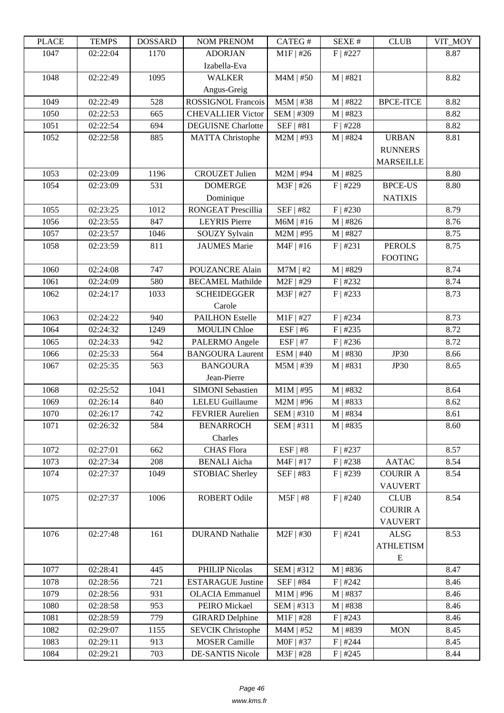| LEUCE | ר TL\MI  | <u> עוזרומטרע</u> | NUM TNENUM                | CATLO T     | ד בר⁄זכו   | CLUD             | VII_IVIO I |
|-------|----------|-------------------|---------------------------|-------------|------------|------------------|------------|
| 1047  | 02:22:04 | 1170              | <b>ADORJAN</b>            | $M1F$ #26   | $F$   #227 |                  | 8.87       |
|       |          |                   | Izabella-Eva              |             |            |                  |            |
| 1048  | 02:22:49 | 1095              | <b>WALKER</b>             | $M4M$   #50 | $M$   #821 |                  | 8.82       |
|       |          |                   | Angus-Greig               |             |            |                  |            |
| 1049  | 02:22:49 | 528               | <b>ROSSIGNOL Francois</b> | $M5M$   #38 | M   #822   | <b>BPCE-ITCE</b> | 8.82       |
| 1050  | 02:22:53 | 665               | <b>CHEVALLIER Victor</b>  | SEM   #309  | M   #823   |                  | 8.82       |
| 1051  | 02:22:54 | 694               | <b>DEGUISNE</b> Charlotte | SEF   #81   | $F$   #228 |                  | 8.82       |
| 1052  | 02:22:58 | 885               | <b>MATTA Christophe</b>   | $M2M$   #93 | M   #824   | <b>URBAN</b>     | 8.81       |
|       |          |                   |                           |             |            | <b>RUNNERS</b>   |            |
|       |          |                   |                           |             |            | <b>MARSEILLE</b> |            |
| 1053  | 02:23:09 | 1196              | <b>CROUZET Julien</b>     | $M2M$   #94 | $M$   #825 |                  | 8.80       |
| 1054  | 02:23:09 | 531               | <b>DOMERGE</b>            | M3F   #26   | $F$   #229 | <b>BPCE-US</b>   | 8.80       |
|       |          |                   | Dominique                 |             |            | <b>NATIXIS</b>   |            |
| 1055  | 02:23:25 | 1012              | <b>RONGEAT Prescillia</b> | SEF   #82   | $F$   #230 |                  | 8.79       |
| 1056  | 02:23:55 | 847               | <b>LEYRIS</b> Pierre      | $M6M$   #16 | M   #826   |                  | 8.76       |
| 1057  | 02:23:57 | 1046              | SOUZY Sylvain             | $M2M$   #95 | M   #827   |                  | 8.75       |
| 1058  | 02:23:59 | 811               | <b>JAUMES</b> Marie       | $M4F$   #16 | F   #231   | <b>PEROLS</b>    | 8.75       |
|       |          |                   |                           |             |            | <b>FOOTING</b>   |            |
| 1060  | 02:24:08 | 747               | POUZANCRE Alain           | $M7M$   #2  | M   #829   |                  | 8.74       |
| 1061  | 02:24:09 | 580               | <b>BECAMEL Mathilde</b>   | M2F   #29   | $F$   #232 |                  | 8.74       |
| 1062  | 02:24:17 | 1033              | <b>SCHEIDEGGER</b>        | M3F   #27   | $F$   #233 |                  | 8.73       |
|       |          |                   | Carole                    |             |            |                  |            |
| 1063  | 02:24:22 | 940               | <b>PAILHON Estelle</b>    | $M1F$   #27 | $F$   #234 |                  | 8.73       |
| 1064  | 02:24:32 | 1249              | <b>MOULIN</b> Chloe       | $ESF$   #6  | $F$   #235 |                  | 8.72       |
| 1065  | 02:24:33 | 942               | PALERMO Angele            | $ESF$   #7  | $F$   #236 |                  | 8.72       |
| 1066  | 02:25:33 | 564               | <b>BANGOURA Laurent</b>   | $ESM$   #40 | M   #830   | <b>JP30</b>      | 8.66       |
| 1067  | 02:25:35 | 563               | <b>BANGOURA</b>           | M5M   #39   | M   #831   | <b>JP30</b>      | 8.65       |
|       |          |                   | Jean-Pierre               |             |            |                  |            |
| 1068  | 02:25:52 | 1041              | <b>SIMONI</b> Sebastien   | $M1M$   #95 | M   #832   |                  | 8.64       |
| 1069  | 02:26:14 | 840               | <b>LELEU</b> Guillaume    | $M2M$   #96 | M   #833   |                  | 8.62       |
| 1070  | 02:26:17 | 742               | <b>FEVRIER Aurelien</b>   | SEM   #310  | M   #834   |                  | 8.61       |
| 1071  | 02:26:32 | 584               | <b>BENARROCH</b>          | SEM   #311  | $M$   #835 |                  | 8.60       |
|       |          |                   | Charles                   |             |            |                  |            |
| 1072  | 02:27:01 | 662               | <b>CHAS</b> Flora         | $ESF$   #8  | F   #237   |                  | 8.57       |
| 1073  | 02:27:34 | 208               | <b>BENALI</b> Aicha       | $M4F$   #17 | $F$   #238 | <b>AATAC</b>     | 8.54       |
| 1074  | 02:27:37 | 1049              | STOBIAC Sherley           | SEF   #83   | $F$   #239 | <b>COURIR A</b>  | 8.54       |
|       |          |                   |                           |             |            | <b>VAUVERT</b>   |            |
| 1075  | 02:27:37 | 1006              | ROBERT Odile              | $M5F$   #8  | $F$   #240 | <b>CLUB</b>      | 8.54       |
|       |          |                   |                           |             |            | <b>COURIR A</b>  |            |
|       |          |                   |                           |             |            | <b>VAUVERT</b>   |            |
| 1076  | 02:27:48 | 161               | <b>DURAND Nathalie</b>    | $M2F$   #30 | F   #241   | <b>ALSG</b>      | 8.53       |
|       |          |                   |                           |             |            | <b>ATHLETISM</b> |            |
|       |          |                   |                           |             |            | E                |            |
| 1077  | 02:28:41 | 445               | PHILIP Nicolas            | SEM   #312  | M   #836   |                  | 8.47       |
| 1078  | 02:28:56 | 721               | <b>ESTARAGUE Justine</b>  | SEF   #84   | $F$   #242 |                  | 8.46       |
| 1079  | 02:28:56 | 931               | <b>OLACIA</b> Emmanuel    | $M1M$   #96 | M   #837   |                  | 8.46       |
| 1080  | 02:28:58 | 953               | PEIRO Mickael             | SEM   #313  | M   #838   |                  | 8.46       |
| 1081  | 02:28:59 | 779               | <b>GIRARD Delphine</b>    | $M1F$   #28 | F   #243   |                  | 8.46       |
| 1082  | 02:29:07 | 1155              | <b>SEVCIK Christophe</b>  | $M4M$   #52 | M   #839   | <b>MON</b>       | 8.45       |
| 1083  | 02:29:11 | 913               | <b>MOSER Camille</b>      | M0F   #37   | $F$   #244 |                  | 8.45       |
| 1084  | 02:29:21 | 703               | <b>DE-SANTIS Nicole</b>   | M3F   #28   | F   #245   |                  | 8.44       |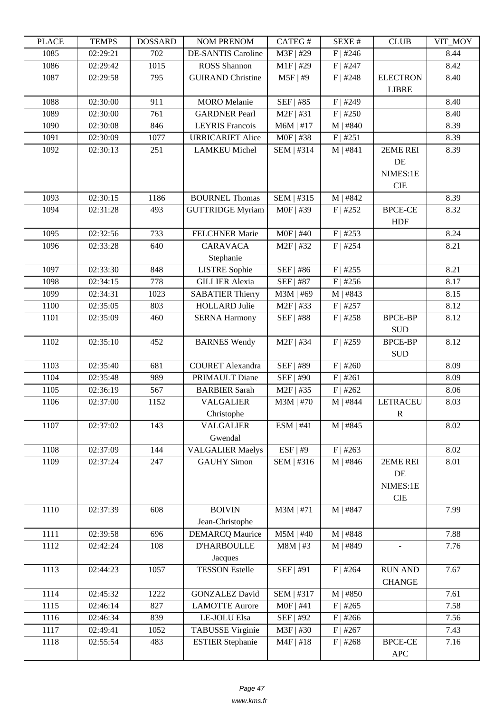| LEUCE | ר TL\MI  | <b>UUUUUUU</b> | <b>NUMERICAN</b>            | CATLO T          | υL/VL π    | CLUD                            | TUNL_ITY |
|-------|----------|----------------|-----------------------------|------------------|------------|---------------------------------|----------|
| 1085  | 02:29:21 | 702            | <b>DE-SANTIS Caroline</b>   | M3F   #29        | $F$   #246 |                                 | 8.44     |
| 1086  | 02:29:42 | 1015           | <b>ROSS</b> Shannon         | $M1F$ #29        | $F$   #247 |                                 | 8.42     |
| 1087  | 02:29:58 | 795            | <b>GUIRAND Christine</b>    | $M5F$   #9       | $F$   #248 | <b>ELECTRON</b><br><b>LIBRE</b> | 8.40     |
| 1088  | 02:30:00 | 911            | <b>MORO</b> Melanie         | SEF   #85        | $F$   #249 |                                 | 8.40     |
| 1089  | 02:30:00 | 761            | <b>GARDNER Pearl</b>        | M2F   #31        | $F$   #250 |                                 | 8.40     |
| 1090  | 02:30:08 | 846            | <b>LEYRIS</b> Francois      | $M6M$   #17      | $M$   #840 |                                 | 8.39     |
| 1091  | 02:30:09 | 1077           | <b>URRICARIET Alice</b>     | M0F   #38        | F   #251   |                                 | 8.39     |
| 1092  | 02:30:13 | 251            | <b>LAMKEU Michel</b>        | SEM   #314       | $M$   #841 | 2EME REI                        | 8.39     |
|       |          |                |                             |                  |            | DE                              |          |
|       |          |                |                             |                  |            | NIMES:1E                        |          |
|       |          |                |                             |                  |            | <b>CIE</b>                      |          |
| 1093  | 02:30:15 | 1186           | <b>BOURNEL Thomas</b>       | SEM   #315       | M   #842   |                                 | 8.39     |
| 1094  | 02:31:28 | 493            | <b>GUTTRIDGE Myriam</b>     | M0F   #39        | $F$   #252 | <b>BPCE-CE</b>                  | 8.32     |
|       |          |                |                             |                  |            | <b>HDF</b>                      |          |
| 1095  | 02:32:56 | 733            | <b>FELCHNER Marie</b>       | $M0F$   #40      | $F$   #253 |                                 | 8.24     |
| 1096  | 02:33:28 | 640            | <b>CARAVACA</b>             | $M2F$   #32      | $F$   #254 |                                 | 8.21     |
|       |          |                | Stephanie                   |                  |            |                                 |          |
| 1097  | 02:33:30 | 848            | <b>LISTRE</b> Sophie        | SEF   #86        | $F$   #255 |                                 | 8.21     |
| 1098  | 02:34:15 | 778            | <b>GILLIER Alexia</b>       | SEF   #87        | $F$   #256 |                                 | 8.17     |
| 1099  | 02:34:31 | 1023           | <b>SABATIER Thierry</b>     | M3M   #69        | M   #843   |                                 | 8.15     |
| 1100  | 02:35:05 | 803            | <b>HOLLARD</b> Julie        | $M2F$   #33      | $F$   #257 |                                 | 8.12     |
| 1101  | 02:35:09 | 460            | <b>SERNA Harmony</b>        | <b>SEF   #88</b> | $F$   #258 | <b>BPCE-BP</b>                  | 8.12     |
|       |          |                |                             |                  |            | <b>SUD</b>                      |          |
| 1102  | 02:35:10 | 452            | <b>BARNES Wendy</b>         | M2F   #34        | $F$   #259 | <b>BPCE-BP</b>                  | 8.12     |
|       |          |                |                             |                  |            | <b>SUD</b>                      |          |
| 1103  | 02:35:40 | 681            | <b>COURET</b> Alexandra     | SEF   #89        | $F$   #260 |                                 | 8.09     |
| 1104  | 02:35:48 | 989            | PRIMAULT Diane              | SEF   #90        | F   #261   |                                 | 8.09     |
| 1105  | 02:36:19 | 567            | <b>BARBIER Sarah</b>        | $M2F$   #35      | $F$   #262 |                                 | 8.06     |
| 1106  | 02:37:00 | 1152           | <b>VALGALIER</b>            | $M3M$   #70      | M   #844   | <b>LETRACEU</b>                 | 8.03     |
|       |          |                | Christophe                  |                  |            | $\mathbf R$                     |          |
| 1107  | 02:37:02 | 143            | <b>VALGALIER</b><br>Gwendal | ESM   #41        | $M$   #845 |                                 | 8.02     |
| 1108  | 02:37:09 | 144            | <b>VALGALIER Maelys</b>     | ESF   #9         | $F$   #263 |                                 | 8.02     |
| 1109  | 02:37:24 | 247            | <b>GAUHY Simon</b>          | SEM   #316       | $M$   #846 | 2EME REI                        | 8.01     |
|       |          |                |                             |                  |            | DE                              |          |
|       |          |                |                             |                  |            | NIMES:1E                        |          |
|       |          |                |                             |                  |            | <b>CIE</b>                      |          |
| 1110  | 02:37:39 | 608            | <b>BOIVIN</b>               | M3M   #71        | M   #847   |                                 | 7.99     |
|       |          |                | Jean-Christophe             |                  |            |                                 |          |
| 1111  | 02:39:58 | 696            | <b>DEMARCQ Maurice</b>      | $M5M$   #40      | M   #848   |                                 | 7.88     |
| 1112  | 02:42:24 | 108            | <b>D'HARBOULLE</b>          | $M8M$   #3       | M   #849   |                                 | 7.76     |
|       |          |                | Jacques                     |                  |            |                                 |          |
| 1113  | 02:44:23 | 1057           | <b>TESSON Estelle</b>       | SEF   #91        | $F$   #264 | <b>RUN AND</b>                  | 7.67     |
|       |          |                |                             |                  |            | <b>CHANGE</b>                   |          |
| 1114  | 02:45:32 | 1222           | <b>GONZALEZ David</b>       | SEM   #317       | M   #850   |                                 | 7.61     |
| 1115  | 02:46:14 | 827            | <b>LAMOTTE Aurore</b>       | $MOF$   #41      | $F$   #265 |                                 | 7.58     |
| 1116  | 02:46:34 | 839            | LE-JOLU Elsa                | SEF   #92        | $F$   #266 |                                 | 7.56     |
| 1117  | 02:49:41 | 1052           | <b>TABUSSE Virginie</b>     | M3F   #30        | $F$   #267 |                                 | 7.43     |
| 1118  | 02:55:54 | 483            | <b>ESTIER Stephanie</b>     | $M4F$   #18      | $F$   #268 | <b>BPCE-CE</b>                  | 7.16     |
|       |          |                |                             |                  |            | APC                             |          |